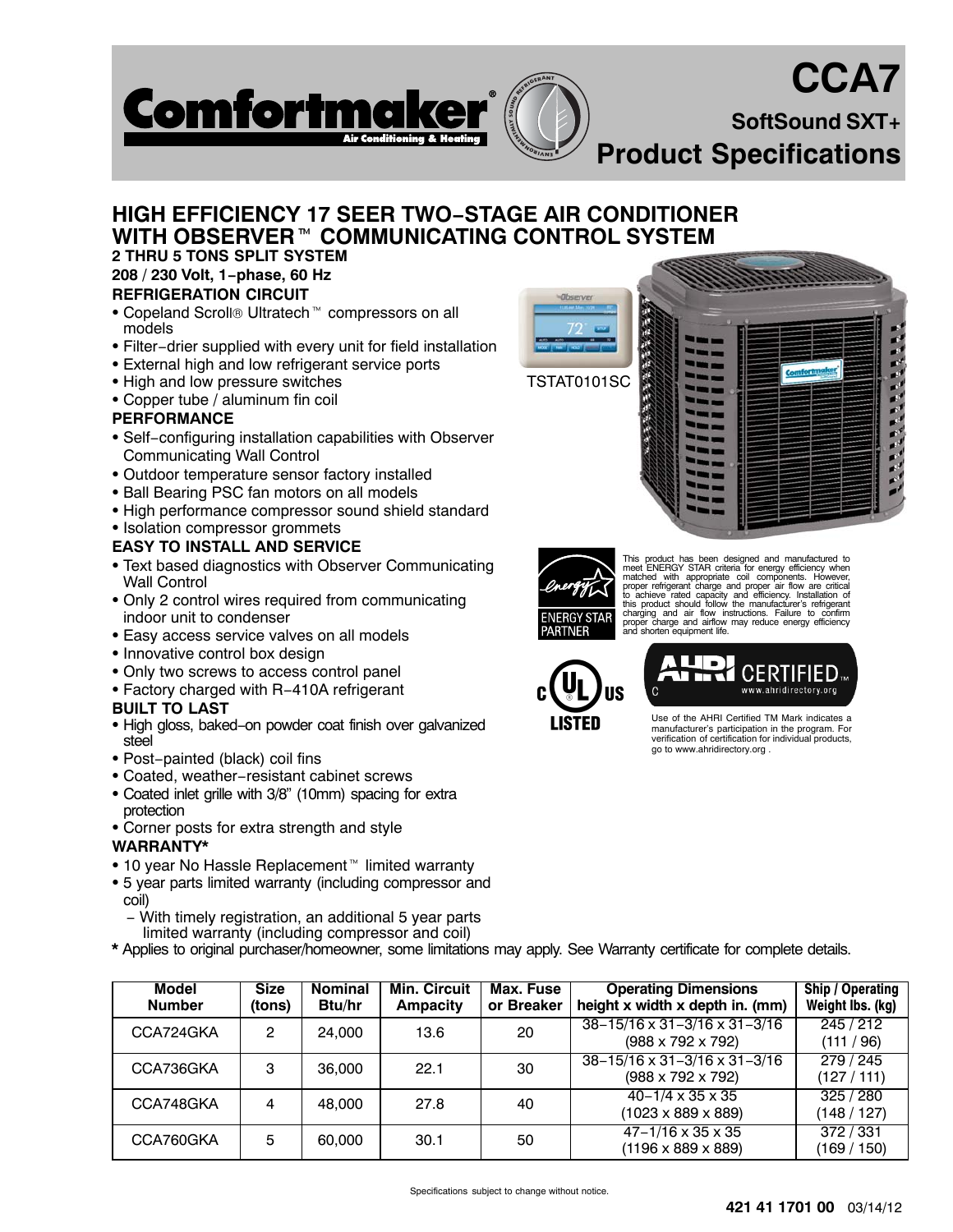# **CCA7**

**SoftSound SXT+**

**RProduct Specifications** 

# **HIGH EFFICIENCY 17 SEER TWO−STAGE AIR CONDITIONER HIGH EFFICIENCY 1<br>WITH OBSERVER™ WITH OBSERVER™ COMMUNICATING CONTROL SYSTEM**

**NO MENTALLY SOUND REFRIGERANT**

#### **2 THRU 5 TONS SPLIT SYSTEM 208 / 230 Volt, 1−phase, 60 Hz REFRIGERATION CIRCUIT**

• Copeland Scroll® Ultratech<sup>™</sup> compressors on all models

**Comfortmak** 

- Filter−drier supplied with every unit for field installation
- **External high and low refrigerant service ports**
- High and low pressure switches
- Copper tube / aluminum fin coil

## **PERFORMANCE**

- Self−configuring installation capabilities with Observer Communicating Wall Control
- Outdoor temperature sensor factory installed
- Ball Bearing PSC fan motors on all models
- High performance compressor sound shield standard
- Isolation compressor grommets

### **EASY TO INSTALL AND SERVICE**

- Text based diagnostics with Observer Communicating Wall Control
- Only 2 control wires required from communicating indoor unit to condenser
- Easy access service valves on all models
- Innovative control box design
- Only two screws to access control panel
- Factory charged with R−410A refrigerant

### **BUILT TO LAST**

- High gloss, baked−on powder coat finish over galvanized steel
- Post−painted (black) coil fins
- Coated, weather−resistant cabinet screws
- Coated inlet grille with 3/8" (10mm) spacing for extra protection
- Corner posts for extra strength and style

### **WARRANTY\***

- 10 year No Hassle Replacement<sup>™</sup> limited warranty
- 5 year parts limited warranty (including compressor and coil)
	- − With timely registration, an additional 5 year parts limited warranty (including compressor and coil)
- **\*** Applies to original purchaser/homeowner, some limitations may apply. See Warranty certificate for complete details.

| Model<br><b>Number</b> | <b>Size</b><br>(tons) | <b>Nominal</b><br><b>Btu/hr</b> | <b>Min. Circuit</b><br><b>Ampacity</b> | Max. Fuse<br>or Breaker | <b>Operating Dimensions</b><br>height x width x depth in. (mm)                  | Ship / Operating<br>Weight Ibs. (kg) |
|------------------------|-----------------------|---------------------------------|----------------------------------------|-------------------------|---------------------------------------------------------------------------------|--------------------------------------|
| CCA724GKA              | 2                     | 24.000                          | 13.6                                   | 20                      | $38 - 15/16 \times 31 - 3/16 \times 31 - 3/16$<br>$(988 \times 792 \times 792)$ | 245/212<br>(111 / 96)                |
| CCA736GKA              | 3                     | 36,000                          | 22.1                                   | 30                      | $38 - 15/16 \times 31 - 3/16 \times 31 - 3/16$<br>$(988 \times 792 \times 792)$ | 279 / 245<br>(127/111)               |
| CCA748GKA              | 4                     | 48.000                          | 27.8                                   | 40                      | $40 - 1/4 \times 35 \times 35$<br>$(1023 \times 889 \times 889)$                | 325/280<br>(148/127)                 |
| CCA760GKA              | 5                     | 60,000                          | 30.1                                   | 50                      | $47 - 1/16 \times 35 \times 35$<br>$(1196 \times 889 \times 889)$               | 372 / 331<br>(169 / 150)             |





This product has been designed and manufactured to<br>metel ENERGY STAR criteria for energy efficiency when<br>matched with appropriate coil components. However,<br>proper refrigerant charge and proper air flow are critical<br>to achi charging and air flow instructions. Failure to confirm proper charge and airflow may reduce energy efficiency and shorten equipment life.



Use of the AHRI Certified TM Mark indicates a manufacturer's participation in the program. For verification of certification for individual products,

CERTIFIED www.ahridirectory.org

go to www.ahridirectory.org .

Specifications subject to change without notice.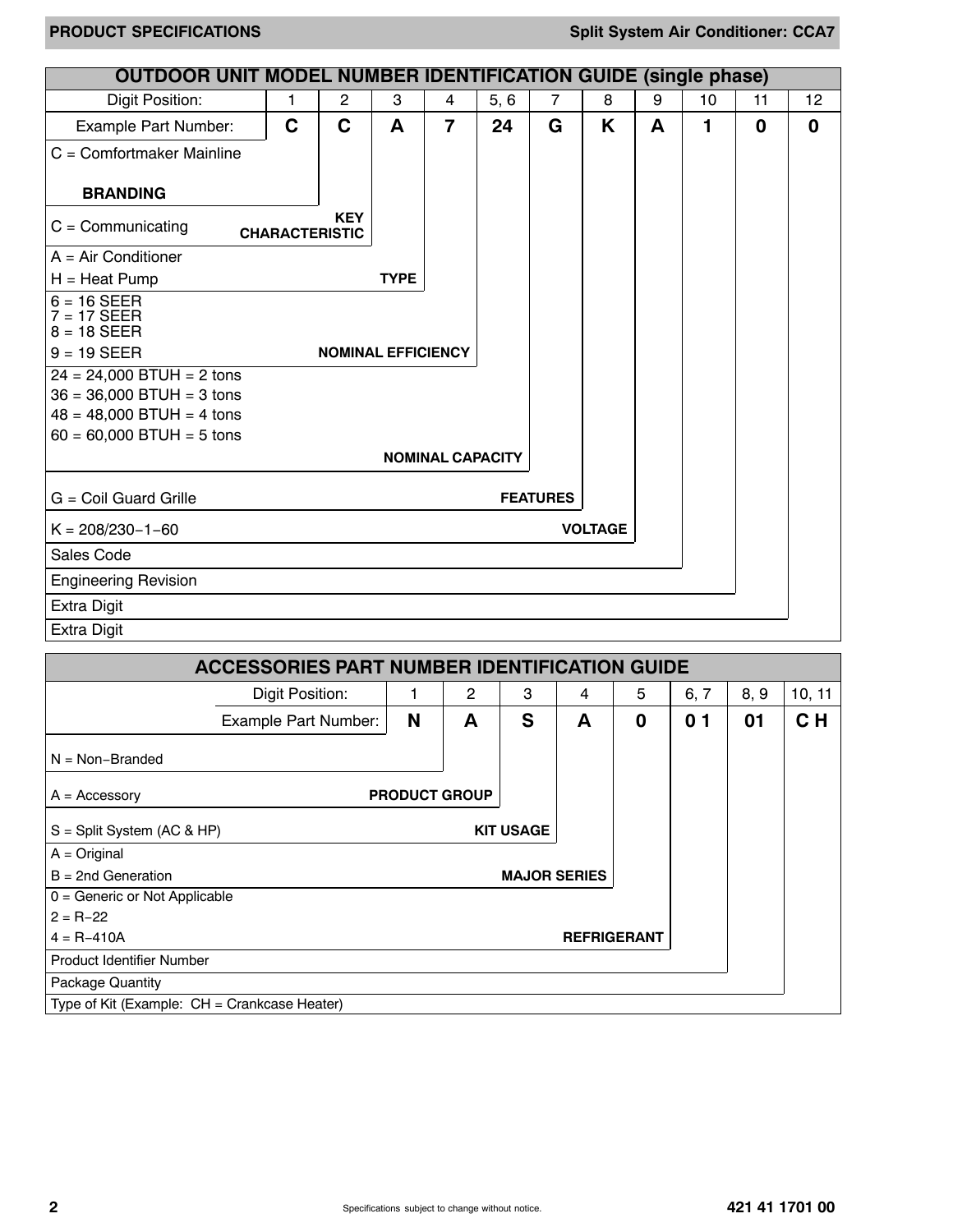| <b>OUTDOOR UNIT MODEL NUMBER IDENTIFICATION GUIDE (single phase)</b> |                       |                |                           |                         |      |                 |                |   |    |             |    |
|----------------------------------------------------------------------|-----------------------|----------------|---------------------------|-------------------------|------|-----------------|----------------|---|----|-------------|----|
| Digit Position:                                                      | 1                     | $\overline{c}$ | 3                         | 4                       | 5, 6 | $\overline{7}$  | 8              | 9 | 10 | 11          | 12 |
| Example Part Number:                                                 | C                     | C              | A                         | $\overline{7}$          | 24   | G               | K              | A | 1  | $\mathbf 0$ | 0  |
| $C =$ Comfortmaker Mainline                                          |                       |                |                           |                         |      |                 |                |   |    |             |    |
| <b>BRANDING</b>                                                      |                       |                |                           |                         |      |                 |                |   |    |             |    |
| $C =$ Communicating                                                  | <b>CHARACTERISTIC</b> | <b>KEY</b>     |                           |                         |      |                 |                |   |    |             |    |
| $A = Air Conditioner$                                                |                       |                |                           |                         |      |                 |                |   |    |             |    |
| $H =$ Heat Pump                                                      |                       |                | <b>TYPE</b>               |                         |      |                 |                |   |    |             |    |
| $6 = 16$ SEER                                                        |                       |                |                           |                         |      |                 |                |   |    |             |    |
| $7 = 17$ SEER<br>$8 = 18$ SEER                                       |                       |                |                           |                         |      |                 |                |   |    |             |    |
| $9 = 19$ SEER                                                        |                       |                | <b>NOMINAL EFFICIENCY</b> |                         |      |                 |                |   |    |             |    |
| $24 = 24,000$ BTUH = 2 tons                                          |                       |                |                           |                         |      |                 |                |   |    |             |    |
| $36 = 36,000$ BTUH = 3 tons                                          |                       |                |                           |                         |      |                 |                |   |    |             |    |
| $48 = 48,000$ BTUH = 4 tons                                          |                       |                |                           |                         |      |                 |                |   |    |             |    |
| $60 = 60,000$ BTUH = 5 tons                                          |                       |                |                           |                         |      |                 |                |   |    |             |    |
|                                                                      |                       |                |                           | <b>NOMINAL CAPACITY</b> |      |                 |                |   |    |             |    |
| G = Coil Guard Grille                                                |                       |                |                           |                         |      | <b>FEATURES</b> |                |   |    |             |    |
| $K = 208/230 - 1 - 60$                                               |                       |                |                           |                         |      |                 | <b>VOLTAGE</b> |   |    |             |    |
| Sales Code                                                           |                       |                |                           |                         |      |                 |                |   |    |             |    |
| <b>Engineering Revision</b>                                          |                       |                |                           |                         |      |                 |                |   |    |             |    |
| <b>Extra Digit</b>                                                   |                       |                |                           |                         |      |                 |                |   |    |             |    |
| <b>Extra Digit</b>                                                   |                       |                |                           |                         |      |                 |                |   |    |             |    |

|                                              | <b>ACCESSORIES PART NUMBER IDENTIFICATION GUIDE</b> |                      |   |                     |   |                    |                  |      |                |
|----------------------------------------------|-----------------------------------------------------|----------------------|---|---------------------|---|--------------------|------------------|------|----------------|
|                                              | Digit Position:                                     |                      | 2 | 3                   | 4 | 5                  | 6, 7             | 8, 9 | 10, 11         |
|                                              | <b>Example Part Number:</b>                         | N                    | A | S                   | A | 0                  | $\mathbf 0$<br>1 | 01   | C <sub>H</sub> |
| $N = Non-Branded$                            |                                                     |                      |   |                     |   |                    |                  |      |                |
| $A =$ Accessory                              |                                                     | <b>PRODUCT GROUP</b> |   |                     |   |                    |                  |      |                |
| $S =$ Split System (AC & HP)                 |                                                     |                      |   | <b>KIT USAGE</b>    |   |                    |                  |      |                |
| $A = Original$                               |                                                     |                      |   |                     |   |                    |                  |      |                |
| $B = 2nd$ Generation                         |                                                     |                      |   | <b>MAJOR SERIES</b> |   |                    |                  |      |                |
| $0 =$ Generic or Not Applicable              |                                                     |                      |   |                     |   |                    |                  |      |                |
| $2 = R - 22$                                 |                                                     |                      |   |                     |   |                    |                  |      |                |
| $4 = R - 410A$                               |                                                     |                      |   |                     |   | <b>REFRIGERANT</b> |                  |      |                |
| <b>Product Identifier Number</b>             |                                                     |                      |   |                     |   |                    |                  |      |                |
| Package Quantity                             |                                                     |                      |   |                     |   |                    |                  |      |                |
| Type of Kit (Example: CH = Crankcase Heater) |                                                     |                      |   |                     |   |                    |                  |      |                |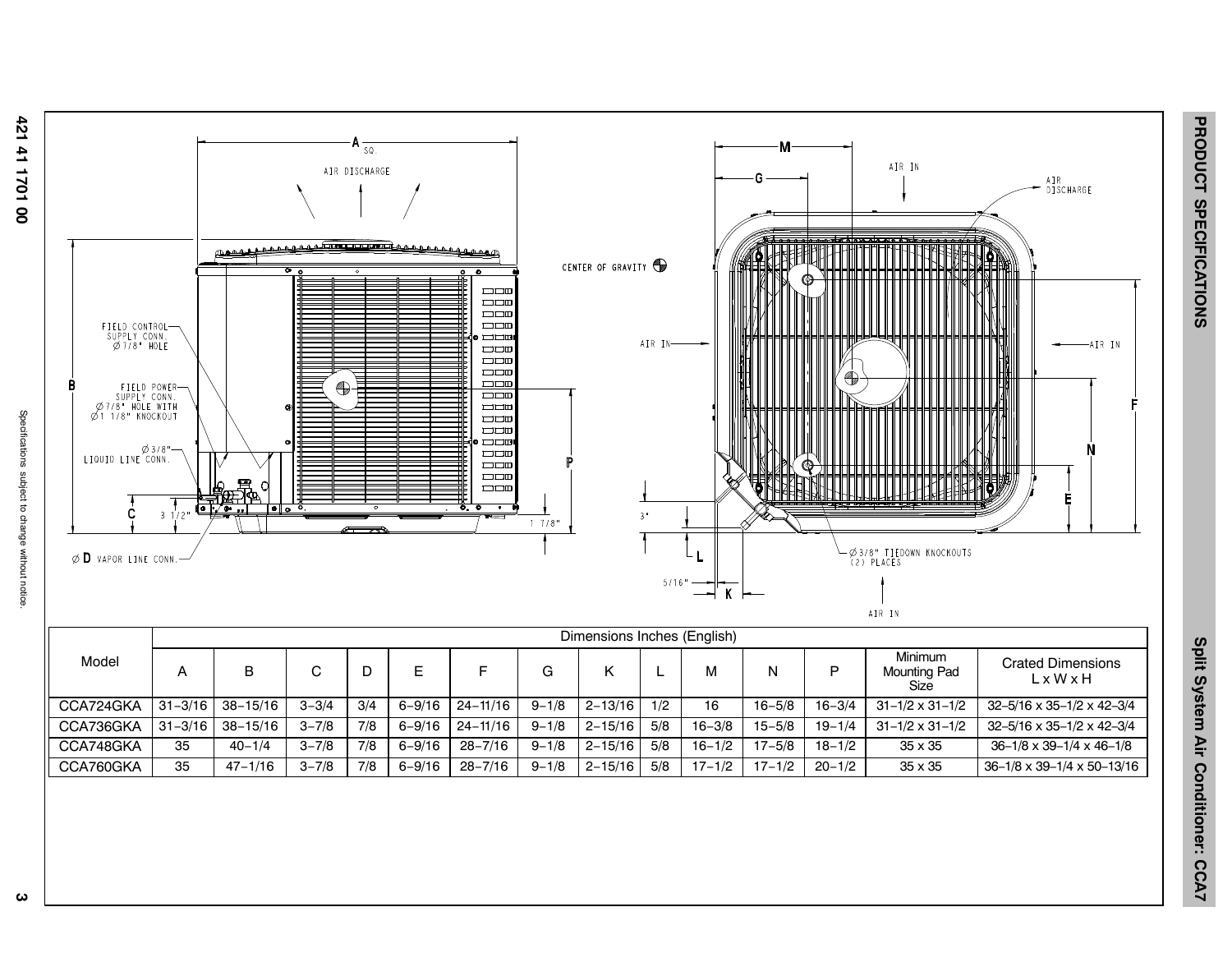Specifications subject to change without notice



**3** Specifications subject to change without notice. ω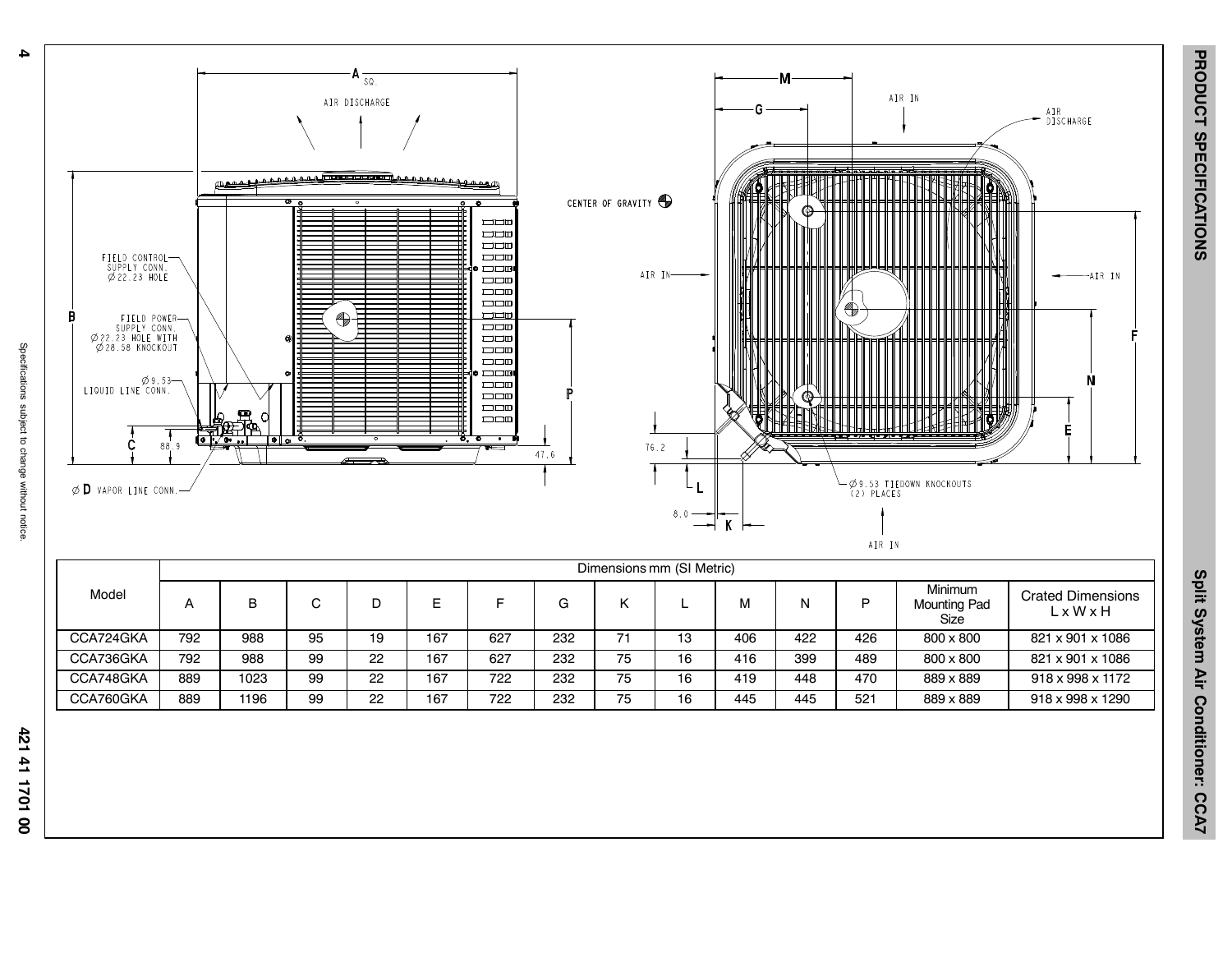**4**



1071141

8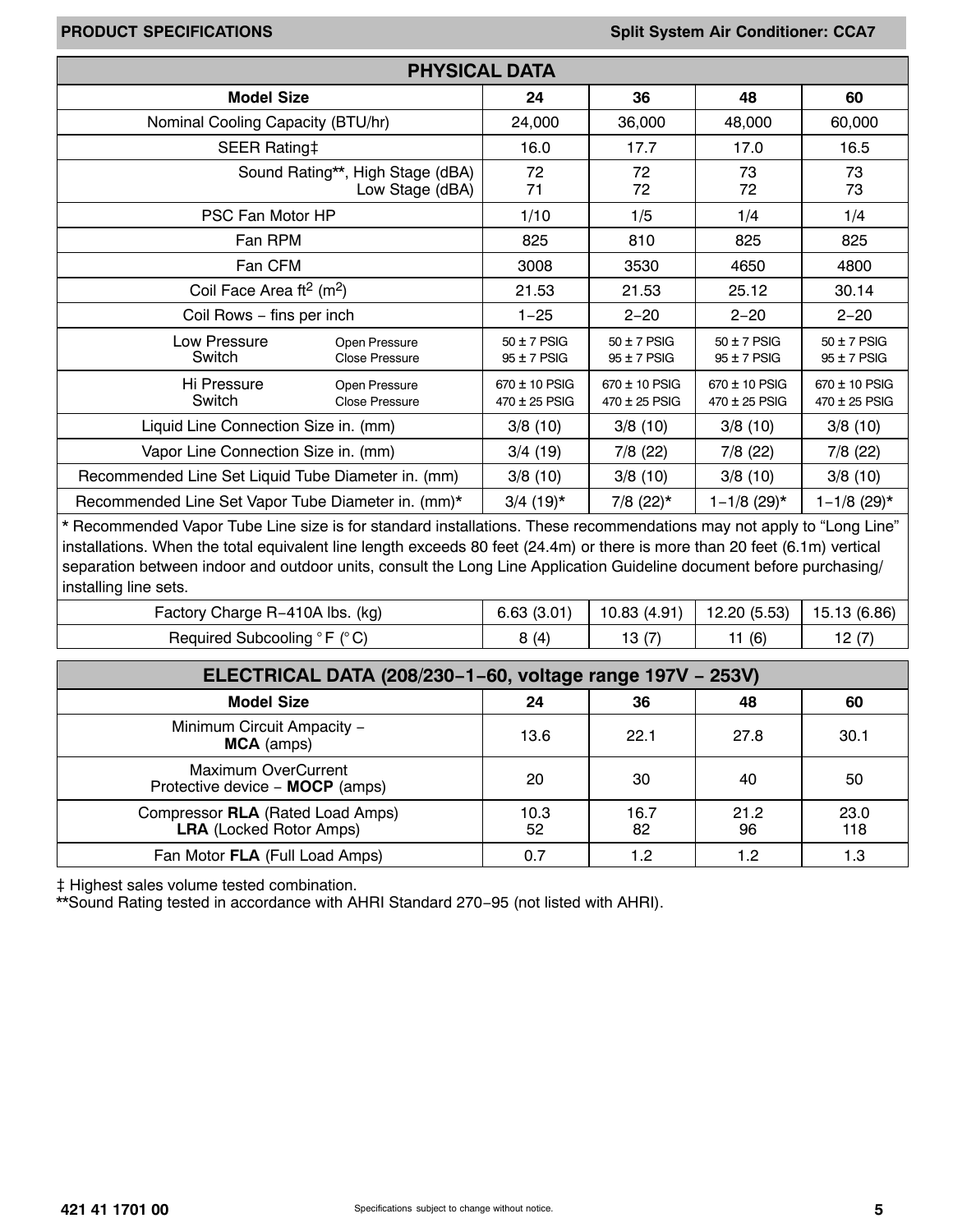|                                                    | <b>PHYSICAL DATA</b>                                |                                    |                                    |                                    |                                    |
|----------------------------------------------------|-----------------------------------------------------|------------------------------------|------------------------------------|------------------------------------|------------------------------------|
| <b>Model Size</b>                                  |                                                     | 24                                 | 36                                 | 48                                 | 60                                 |
| Nominal Cooling Capacity (BTU/hr)                  |                                                     | 24,000                             | 36,000                             | 48,000                             | 60,000                             |
| <b>SEER Rating‡</b>                                |                                                     | 16.0                               | 17.7                               | 17.0                               | 16.5                               |
|                                                    | Sound Rating**, High Stage (dBA)<br>Low Stage (dBA) | 72<br>71                           | 72<br>72                           | 73<br>72                           | 73<br>73                           |
| PSC Fan Motor HP                                   |                                                     | 1/10                               | 1/5                                | 1/4                                | 1/4                                |
| Fan RPM                                            | 825                                                 | 810                                | 825                                | 825                                |                                    |
| Fan CFM                                            | 3008                                                | 3530                               | 4650                               | 4800                               |                                    |
| Coil Face Area ft <sup>2</sup> (m <sup>2</sup> )   |                                                     | 21.53                              | 21.53                              | 25.12                              | 30.14                              |
| Coil Rows - fins per inch                          |                                                     | $1 - 25$                           | $2 - 20$                           | $2 - 20$                           | $2 - 20$                           |
| Low Pressure<br>Switch                             | Open Pressure<br><b>Close Pressure</b>              | $50 \pm 7$ PSIG<br>$95 \pm 7$ PSIG | $50 \pm 7$ PSIG<br>$95 \pm 7$ PSIG | $50 \pm 7$ PSIG<br>$95 \pm 7$ PSIG | $50 \pm 7$ PSIG<br>$95 \pm 7$ PSIG |
| Hi Pressure<br>Switch                              | Open Pressure<br><b>Close Pressure</b>              | 670 ± 10 PSIG<br>$470 \pm 25$ PSIG | 670 ± 10 PSIG<br>$470 \pm 25$ PSIG | $670 \pm 10$ PSIG<br>470 ± 25 PSIG | 670 ± 10 PSIG<br>470 ± 25 PSIG     |
| Liquid Line Connection Size in. (mm)               |                                                     | 3/8(10)                            | 3/8(10)                            | 3/8(10)                            | 3/8(10)                            |
| Vapor Line Connection Size in. (mm)                | 3/4(19)                                             | 7/8 (22)                           | $7/8$ (22)                         | 7/8 (22)                           |                                    |
| Recommended Line Set Liquid Tube Diameter in. (mm) |                                                     | 3/8(10)                            | 3/8(10)                            | 3/8(10)                            | 3/8(10)                            |
| Recommended Line Set Vapor Tube Diameter in. (mm)* |                                                     | $3/4$ (19) <sup>*</sup>            | $7/8$ (22) <sup>*</sup>            | $1 - 1/8$ (29) <sup>*</sup>        | $1 - 1/8$ (29)*                    |

\* Recommended Vapor Tube Line size is for standard installations. These recommendations may not apply to "Long Line" installations. When the total equivalent line length exceeds 80 feet (24.4m) or there is more than 20 feet (6.1m) vertical separation between indoor and outdoor units, consult the Long Line Application Guideline document before purchasing/ installing line sets.

| Factory Charge R-410A lbs. (kg)                             | 6.63<br>10.UT | 10.83 (4.91) | 12.20 (5.53) | 15.13 (6.86) |
|-------------------------------------------------------------|---------------|--------------|--------------|--------------|
| $\degree$ F ( $\degree$ C)<br><b>Required</b><br>Subcooling | (4)           | . ت          | (6)          | ے ،          |

| ELECTRICAL DATA (208/230-1-60, voltage range 197V - 253V)          |            |            |            |             |  |  |  |  |  |  |
|--------------------------------------------------------------------|------------|------------|------------|-------------|--|--|--|--|--|--|
| <b>Model Size</b>                                                  | 24         | 36         | 48         | 60          |  |  |  |  |  |  |
| Minimum Circuit Ampacity -<br><b>MCA</b> (amps)                    | 13.6       | 22.1       | 27.8       | 30.1        |  |  |  |  |  |  |
| Maximum OverCurrent<br>Protective device - MOCP (amps)             | 20         | 30         | 40         | 50          |  |  |  |  |  |  |
| Compressor RLA (Rated Load Amps)<br><b>LRA</b> (Locked Rotor Amps) | 10.3<br>52 | 16.7<br>82 | 21.2<br>96 | 23.0<br>118 |  |  |  |  |  |  |
| Fan Motor FLA (Full Load Amps)                                     | 0.7        | 1.2        | 1.2        | 1.3         |  |  |  |  |  |  |

 $\ddagger$  Highest sales volume tested combination.

\*\*Sound Rating tested in accordance with AHRI Standard 270−95 (not listed with AHRI).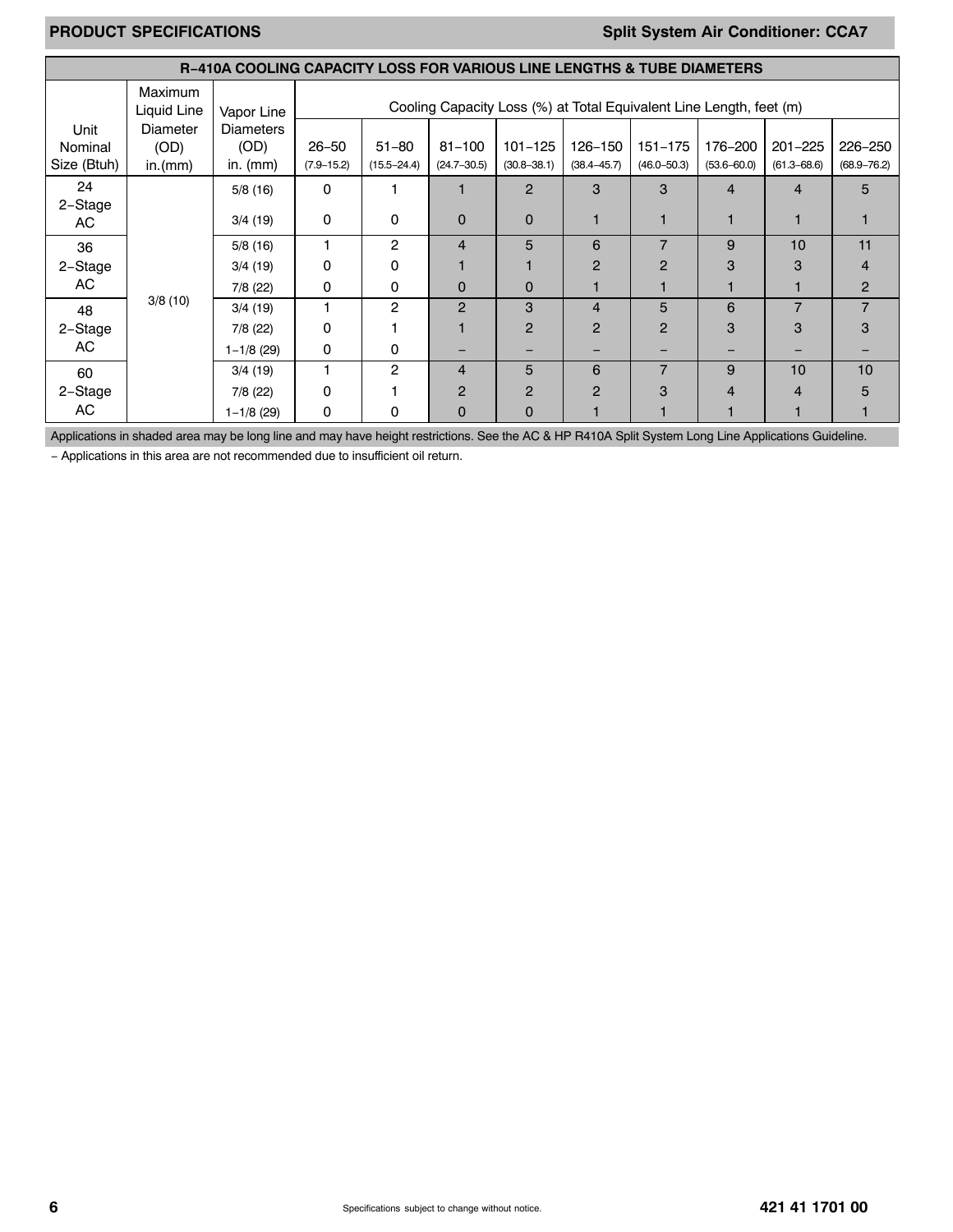# **PRODUCT SPECIFICATIONS Split System Air Conditioner: CCA7**

|                 | <b>R-410A COOLING CAPACITY LOSS FOR VARIOUS LINE LENGTHS &amp; TUBE DIAMETERS</b> |                          |                |                 |                 |                                                                     |                 |                 |                 |                 |                 |
|-----------------|-----------------------------------------------------------------------------------|--------------------------|----------------|-----------------|-----------------|---------------------------------------------------------------------|-----------------|-----------------|-----------------|-----------------|-----------------|
|                 | Maximum<br>Liquid Line                                                            | Vapor Line               |                |                 |                 | Cooling Capacity Loss (%) at Total Equivalent Line Length, feet (m) |                 |                 |                 |                 |                 |
| Unit<br>Nominal | Diameter<br>(OD)                                                                  | <b>Diameters</b><br>(OD) | $26 - 50$      | $51 - 80$       | $81 - 100$      | $101 - 125$                                                         | 126-150         | $151 - 175$     | 176–200         | $201 - 225$     | 226-250         |
| Size (Btuh)     | in.(mm)                                                                           | in. $(mm)$               | $(7.9 - 15.2)$ | $(15.5 - 24.4)$ | $(24.7 - 30.5)$ | $(30.8 - 38.1)$                                                     | $(38.4 - 45.7)$ | $(46.0 - 50.3)$ | $(53.6 - 60.0)$ | $(61.3 - 68.6)$ | $(68.9 - 76.2)$ |
| 24              |                                                                                   | 5/8(16)                  | 0              |                 |                 | $\overline{2}$                                                      | 3               | 3               | $\overline{4}$  | 4               | 5               |
| 2-Stage<br>AC   |                                                                                   | 3/4(19)                  | $\mathbf 0$    | 0               | $\Omega$        | $\Omega$                                                            |                 |                 |                 |                 |                 |
| 36              |                                                                                   | 5/8(16)                  |                | 2               | $\overline{4}$  | 5                                                                   | 6               | $\overline{7}$  | 9               | 10              | 11              |
| 2-Stage         |                                                                                   | 3/4(19)                  | 0              | $\Omega$        |                 |                                                                     | $\overline{2}$  | 2               | 3               | з               |                 |
| AC.             |                                                                                   | 7/8 (22)                 | 0              | 0               | $\Omega$        | $\Omega$                                                            |                 |                 |                 |                 | $\overline{2}$  |
| 48              | 3/8(10)                                                                           | 3/4(19)                  |                | 2               | $\overline{2}$  | 3                                                                   | 4               | 5               | 6               | $\overline{7}$  | 7               |
| 2-Stage         |                                                                                   | 7/8(22)                  | 0              |                 |                 | $\overline{2}$                                                      | $\overline{2}$  | $\overline{2}$  | 3               | 3               |                 |
| AC              |                                                                                   | $1 - 1/8$ (29)           | 0              | 0               |                 |                                                                     |                 |                 |                 |                 |                 |
| 60              |                                                                                   | 3/4(19)                  |                | 2               | 4               | 5                                                                   | 6               | $\overline{7}$  | 9               | 10              | 10              |
| 2-Stage         |                                                                                   | 7/8 (22)                 | 0              |                 | $\overline{2}$  | 2                                                                   | 2               | 3               | 4               | 4               |                 |
| AC.             |                                                                                   | $1 - 1/8$ (29)           | 0              | 0               | $\mathbf 0$     | 0                                                                   |                 |                 |                 |                 |                 |

Applications in shaded area may be long line and may have height restrictions. See the AC & HP R410A Split System Long Line Applications Guideline.

− Applications in this area are not recommended due to insufficient oil return.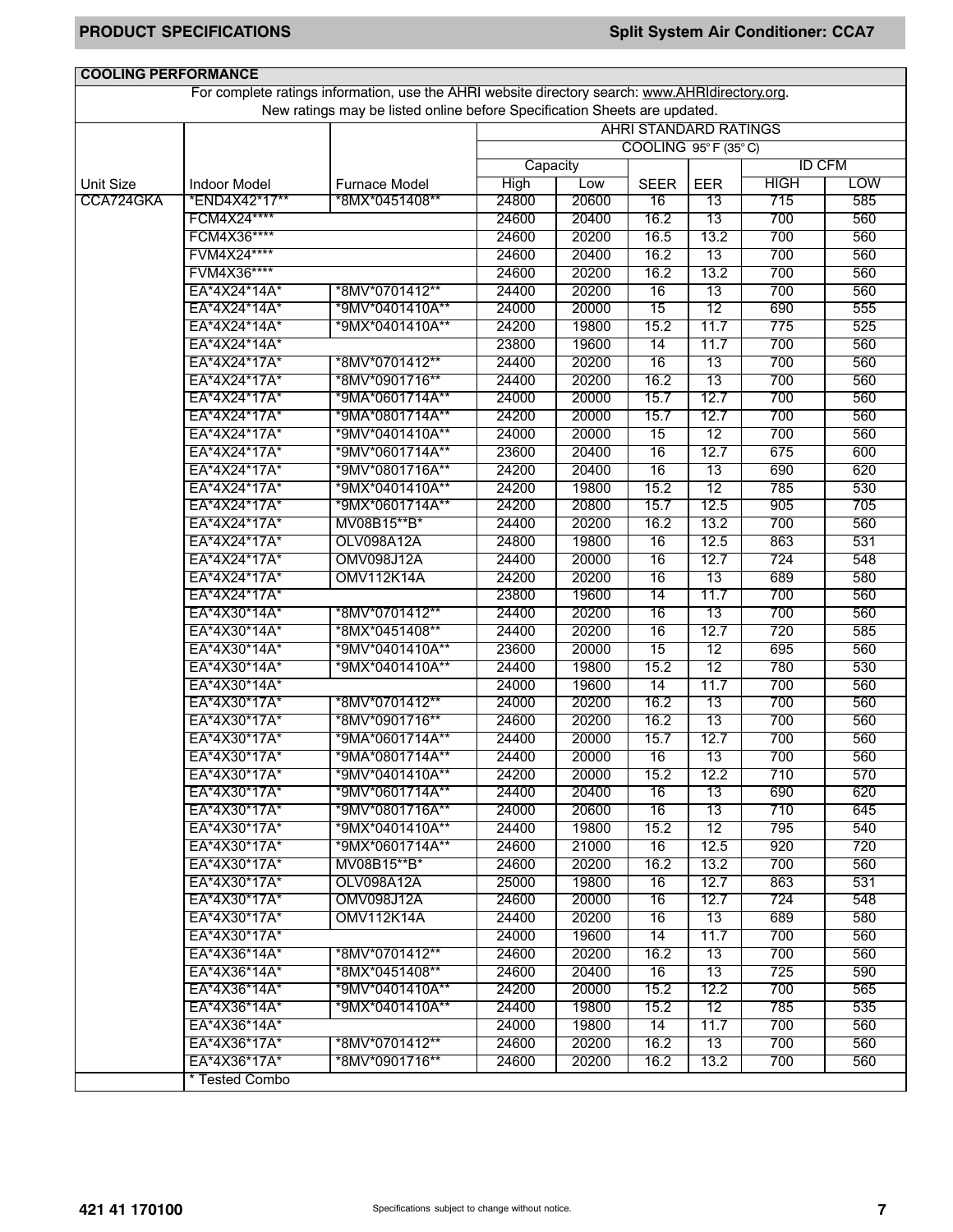| <b>COOLING PERFORMANCE</b> |                     |                                                                                                 |                                                     |       |                 |      |               |            |  |  |
|----------------------------|---------------------|-------------------------------------------------------------------------------------------------|-----------------------------------------------------|-------|-----------------|------|---------------|------------|--|--|
|                            |                     | For complete ratings information, use the AHRI website directory search: www.AHRIdirectory.org. |                                                     |       |                 |      |               |            |  |  |
|                            |                     | New ratings may be listed online before Specification Sheets are updated.                       |                                                     |       |                 |      |               |            |  |  |
|                            |                     |                                                                                                 | <b>AHRI STANDARD RATINGS</b><br>COOLING 95°F (35°C) |       |                 |      |               |            |  |  |
|                            |                     |                                                                                                 |                                                     |       |                 |      |               |            |  |  |
|                            |                     |                                                                                                 | Capacity                                            |       |                 |      | <b>ID CFM</b> |            |  |  |
| <b>Unit Size</b>           | <b>Indoor Model</b> | <b>Furnace Model</b>                                                                            | High                                                | Low   | <b>SEER</b>     | EER  | <b>HIGH</b>   | <b>LOW</b> |  |  |
| CCA724GKA                  | *END4X42*17**       | *8MX*0451408**                                                                                  | 24800                                               | 20600 | 16              | 13   | 715           | 585        |  |  |
|                            | FCM4X24****         |                                                                                                 | 24600                                               | 20400 | 16.2            | 13   | 700           | 560        |  |  |
|                            | FCM4X36****         |                                                                                                 | 24600                                               | 20200 | 16.5            | 13.2 | 700           | 560        |  |  |
|                            | FVM4X24****         |                                                                                                 | 24600                                               | 20400 | 16.2            | 13   | 700           | 560        |  |  |
|                            | FVM4X36****         |                                                                                                 | 24600                                               | 20200 | 16.2            | 13.2 | 700           | 560        |  |  |
|                            | EA*4X24*14A*        | *8MV*0701412**                                                                                  | 24400                                               | 20200 | 16              | 13   | 700           | 560        |  |  |
|                            | EA*4X24*14A*        | *9MV*0401410A**                                                                                 | 24000                                               | 20000 | 15              | 12   | 690           | 555        |  |  |
|                            | EA*4X24*14A*        | *9MX*0401410A**                                                                                 | 24200                                               | 19800 | 15.2            | 11.7 | 775           | 525        |  |  |
|                            | EA*4X24*14A*        |                                                                                                 | 23800                                               | 19600 | 14              | 11.7 | 700           | 560        |  |  |
|                            | EA*4X24*17A*        | *8MV*0701412**                                                                                  | 24400                                               | 20200 | 16              | 13   | 700           | 560        |  |  |
|                            | EA*4X24*17A*        | *8MV*0901716**                                                                                  | 24400                                               | 20200 | 16.2            | 13   | 700           | 560        |  |  |
|                            | EA*4X24*17A*        | *9MA*0601714A**                                                                                 | 24000                                               | 20000 | 15.7            | 12.7 | 700           | 560        |  |  |
|                            | EA*4X24*17A*        | *9MA*0801714A**                                                                                 | 24200                                               | 20000 | 15.7            | 12.7 | 700           | 560        |  |  |
|                            | EA*4X24*17A*        | *9MV*0401410A**                                                                                 | 24000                                               | 20000 | $\overline{15}$ | 12   | 700           | 560        |  |  |
|                            | EA*4X24*17A*        | *9MV*0601714A**                                                                                 | 23600                                               | 20400 | 16              | 12.7 | 675           | 600        |  |  |
|                            | EA*4X24*17A*        | *9MV*0801716A**                                                                                 | 24200                                               | 20400 | 16              | 13   | 690           | 620        |  |  |
|                            | EA*4X24*17A*        | *9MX*0401410A**                                                                                 | 24200                                               | 19800 | 15.2            | 12   | 785           | 530        |  |  |
|                            | EA*4X24*17A*        | *9MX*0601714A**                                                                                 | 24200                                               | 20800 | 15.7            | 12.5 | 905           | 705        |  |  |
|                            | EA*4X24*17A*        | MV08B15**B*                                                                                     | 24400                                               | 20200 | 16.2            | 13.2 | 700           | 560        |  |  |
|                            | EA*4X24*17A*        | OLV098A12A                                                                                      | 24800                                               | 19800 | 16              | 12.5 | 863           | 531        |  |  |
|                            | EA*4X24*17A*        | <b>OMV098J12A</b>                                                                               | 24400                                               | 20000 | 16              | 12.7 | 724           | 548        |  |  |
|                            | EA*4X24*17A*        | <b>OMV112K14A</b>                                                                               | 24200                                               | 20200 | 16              | 13   | 689           | 580        |  |  |
|                            | EA*4X24*17A*        |                                                                                                 | 23800                                               | 19600 | 14              | 11.7 | 700           | 560        |  |  |
|                            | EA*4X30*14A*        | *8MV*0701412**                                                                                  | 24400                                               | 20200 | 16              | 13   | 700           | 560        |  |  |
|                            | EA*4X30*14A*        | *8MX*0451408**                                                                                  | 24400                                               | 20200 | 16              | 12.7 | 720           | 585        |  |  |
|                            | EA*4X30*14A*        | *9MV*0401410A**                                                                                 | 23600                                               | 20000 | 15              | 12   | 695           | 560        |  |  |
|                            | EA*4X30*14A*        | *9MX*0401410A**                                                                                 | 24400                                               | 19800 | 15.2            | 12   | 780           | 530        |  |  |
|                            | EA*4X30*14A*        |                                                                                                 | 24000                                               | 19600 | 14              | 11.7 | 700           | 560        |  |  |
|                            | EA*4X30*17A*        | *8MV*0701412**                                                                                  | 24000                                               | 20200 | 16.2            | 13   | 700           | 560        |  |  |
|                            | EA*4X30*17A*        | *8MV*0901716**                                                                                  | 24600                                               | 20200 | 16.2            | 13   | 700           | 560        |  |  |
|                            | EA*4X30*17A*        | *9MA*0601714A**                                                                                 | 24400                                               | 20000 | 15.7            | 12.7 | 700           | 560        |  |  |
|                            | EA*4X30*17A*        | *9MA*0801714A**                                                                                 | 24400                                               | 20000 | 16              | 13   | 700           | 560        |  |  |
|                            | EA*4X30*17A*        | *9MV*0401410A**                                                                                 | 24200                                               | 20000 | 15.2            | 12.2 | 710           | 570        |  |  |
|                            | EA*4X30*17A*        | *9MV*0601714A**                                                                                 | 24400                                               | 20400 | 16              | 13   | 690           | 620        |  |  |
|                            | EA*4X30*17A*        | *9MV*0801716A**                                                                                 | 24000                                               | 20600 | 16              | 13   | 710           | 645        |  |  |
|                            | EA*4X30*17A*        | *9MX*0401410A**                                                                                 | 24400                                               | 19800 | 15.2            | 12   | 795           | 540        |  |  |
|                            | EA*4X30*17A*        | *9MX*0601714A**                                                                                 | 24600                                               | 21000 | 16              | 12.5 | 920           | 720        |  |  |
|                            | EA*4X30*17A*        | MV08B15**B*                                                                                     | 24600                                               | 20200 | 16.2            | 13.2 | 700           | 560        |  |  |
|                            | EA*4X30*17A*        | OLV098A12A                                                                                      | 25000                                               | 19800 | 16              | 12.7 | 863           | 531        |  |  |
|                            | EA*4X30*17A*        | OMV098J12A                                                                                      | 24600                                               | 20000 | 16              | 12.7 | 724           | 548        |  |  |
|                            | EA*4X30*17A*        | <b>OMV112K14A</b>                                                                               | 24400                                               | 20200 | 16              | 13   | 689           | 580        |  |  |
|                            | EA*4X30*17A*        |                                                                                                 | 24000                                               | 19600 | 14              | 11.7 | 700           | 560        |  |  |
|                            | EA*4X36*14A*        | *8MV*0701412**                                                                                  | 24600                                               | 20200 | 16.2            | 13   | 700           | 560        |  |  |
|                            | EA*4X36*14A*        | *8MX*0451408**                                                                                  | 24600                                               | 20400 | 16              | 13   | 725           | 590        |  |  |
|                            | EA*4X36*14A*        | *9MV*0401410A**                                                                                 | 24200                                               | 20000 | 15.2            | 12.2 | 700           | 565        |  |  |
|                            | EA*4X36*14A*        | *9MX*0401410A**                                                                                 | 24400                                               | 19800 | 15.2            | 12   | 785           | 535        |  |  |
|                            | EA*4X36*14A*        |                                                                                                 | 24000                                               | 19800 | 14              | 11.7 | 700           | 560        |  |  |
|                            | EA*4X36*17A*        | *8MV*0701412**                                                                                  | 24600                                               | 20200 | 16.2            | 13   | 700           | 560        |  |  |
|                            | EA*4X36*17A*        | *8MV*0901716**                                                                                  |                                                     | 20200 |                 | 13.2 |               |            |  |  |
|                            |                     |                                                                                                 | 24600                                               |       | 16.2            |      | 700           | 560        |  |  |
|                            | * Tested Combo      |                                                                                                 |                                                     |       |                 |      |               |            |  |  |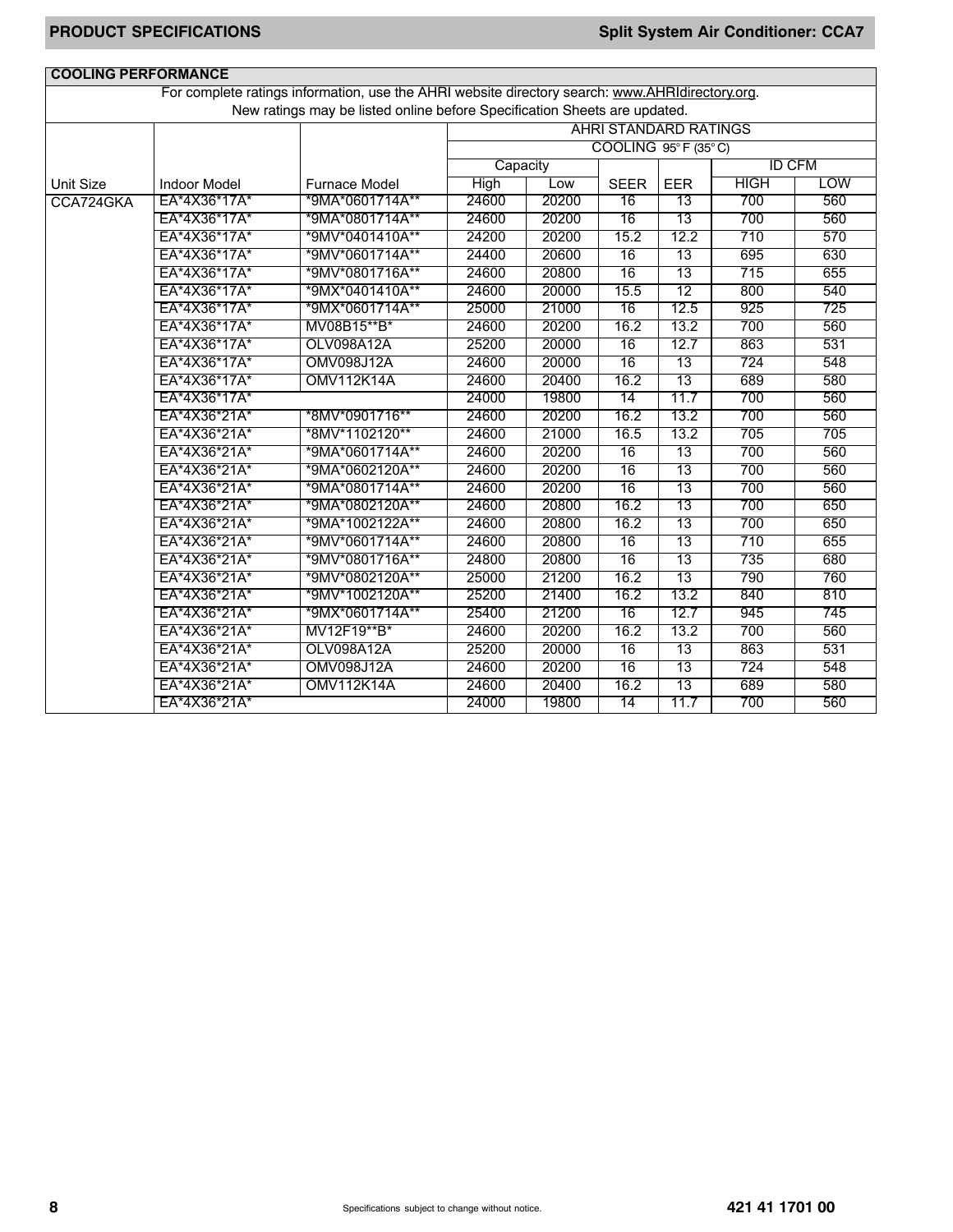| <b>COOLING PERFORMANCE</b> |                     |                                                                                                 |          |       |                                          |                 |               |     |
|----------------------------|---------------------|-------------------------------------------------------------------------------------------------|----------|-------|------------------------------------------|-----------------|---------------|-----|
|                            |                     | For complete ratings information, use the AHRI website directory search: www.AHRIdirectory.org. |          |       |                                          |                 |               |     |
|                            |                     | New ratings may be listed online before Specification Sheets are updated.                       |          |       |                                          |                 |               |     |
|                            |                     |                                                                                                 |          |       | AHRI STANDARD RATINGS                    |                 |               |     |
|                            |                     |                                                                                                 |          |       | COOLING $95^{\circ}$ F (35 $^{\circ}$ C) |                 |               |     |
|                            |                     |                                                                                                 | Capacity |       |                                          |                 | <b>ID CFM</b> |     |
| <b>Unit Size</b>           | <b>Indoor Model</b> | Furnace Model                                                                                   | High     | Low   | <b>SEER</b>                              | <b>EER</b>      | <b>HIGH</b>   | LOW |
| CCA724GKA                  | EA*4X36*17A*        | *9MA*0601714A**                                                                                 | 24600    | 20200 | 16                                       | 13              | 700           | 560 |
|                            | EA*4X36*17A*        | *9MA*0801714A**                                                                                 | 24600    | 20200 | 16                                       | 13              | 700           | 560 |
|                            | EA*4X36*17A*        | *9MV*0401410A**                                                                                 | 24200    | 20200 | 15.2                                     | 12.2            | 710           | 570 |
|                            | EA*4X36*17A*        | *9MV*0601714A**                                                                                 | 24400    | 20600 | 16                                       | 13              | 695           | 630 |
|                            | EA*4X36*17A*        | *9MV*0801716A**                                                                                 | 24600    | 20800 | 16                                       | 13              | 715           | 655 |
|                            | EA*4X36*17A*        | *9MX*0401410A**                                                                                 | 24600    | 20000 | 15.5                                     | $\overline{12}$ | 800           | 540 |
|                            | EA*4X36*17A*        | *9MX*0601714A**                                                                                 | 25000    | 21000 | 16                                       | 12.5            | 925           | 725 |
|                            | EA*4X36*17A*        | MV08B15**B*                                                                                     | 24600    | 20200 | 16.2                                     | 13.2            | 700           | 560 |
|                            | EA*4X36*17A*        | OLV098A12A                                                                                      | 25200    | 20000 | 16                                       | 12.7            | 863           | 531 |
|                            | EA*4X36*17A*        | <b>OMV098J12A</b>                                                                               | 24600    | 20000 | 16                                       | 13              | 724           | 548 |
|                            | EA*4X36*17A*        | OMV112K14A                                                                                      | 24600    | 20400 | 16.2                                     | 13              | 689           | 580 |
|                            | EA*4X36*17A*        |                                                                                                 | 24000    | 19800 | 14                                       | 11.7            | 700           | 560 |
|                            | EA*4X36*21A*        | *8MV*0901716**                                                                                  | 24600    | 20200 | 16.2                                     | 13.2            | 700           | 560 |
|                            | EA*4X36*21A*        | *8MV*1102120**                                                                                  | 24600    | 21000 | 16.5                                     | 13.2            | 705           | 705 |
|                            | EA*4X36*21A*        | *9MA*0601714A**                                                                                 | 24600    | 20200 | 16                                       | 13              | 700           | 560 |
|                            | EA*4X36*21A*        | *9MA*0602120A**                                                                                 | 24600    | 20200 | 16                                       | 13              | 700           | 560 |
|                            | EA*4X36*21A*        | *9MA*0801714A**                                                                                 | 24600    | 20200 | 16                                       | 13              | 700           | 560 |
|                            | EA*4X36*21A*        | *9MA*0802120A**                                                                                 | 24600    | 20800 | 16.2                                     | 13              | 700           | 650 |
|                            | EA*4X36*21A*        | *9MA*1002122A**                                                                                 | 24600    | 20800 | 16.2                                     | 13              | 700           | 650 |
|                            | EA*4X36*21A*        | *9MV*0601714A**                                                                                 | 24600    | 20800 | 16                                       | 13              | 710           | 655 |
|                            | EA*4X36*21A*        | *9MV*0801716A**                                                                                 | 24800    | 20800 | 16                                       | 13              | 735           | 680 |
|                            | EA*4X36*21A*        | *9MV*0802120A**                                                                                 | 25000    | 21200 | 16.2                                     | 13              | 790           | 760 |
|                            | EA*4X36*21A*        | *9MV*1002120A**                                                                                 | 25200    | 21400 | 16.2                                     | 13.2            | 840           | 810 |
|                            | EA*4X36*21A*        | *9MX*0601714A**                                                                                 | 25400    | 21200 | 16                                       | 12.7            | 945           | 745 |
|                            | EA*4X36*21A*        | MV12F19**B*                                                                                     | 24600    | 20200 | 16.2                                     | 13.2            | 700           | 560 |
|                            | EA*4X36*21A*        | OLV098A12A                                                                                      | 25200    | 20000 | 16                                       | 13              | 863           | 531 |
|                            | EA*4X36*21A*        | <b>OMV098J12A</b>                                                                               | 24600    | 20200 | 16                                       | 13              | 724           | 548 |
|                            | EA*4X36*21A*        | <b>OMV112K14A</b>                                                                               | 24600    | 20400 | 16.2                                     | 13              | 689           | 580 |
|                            | EA*4X36*21A*        |                                                                                                 | 24000    | 19800 | 14                                       | 11.7            | 700           | 560 |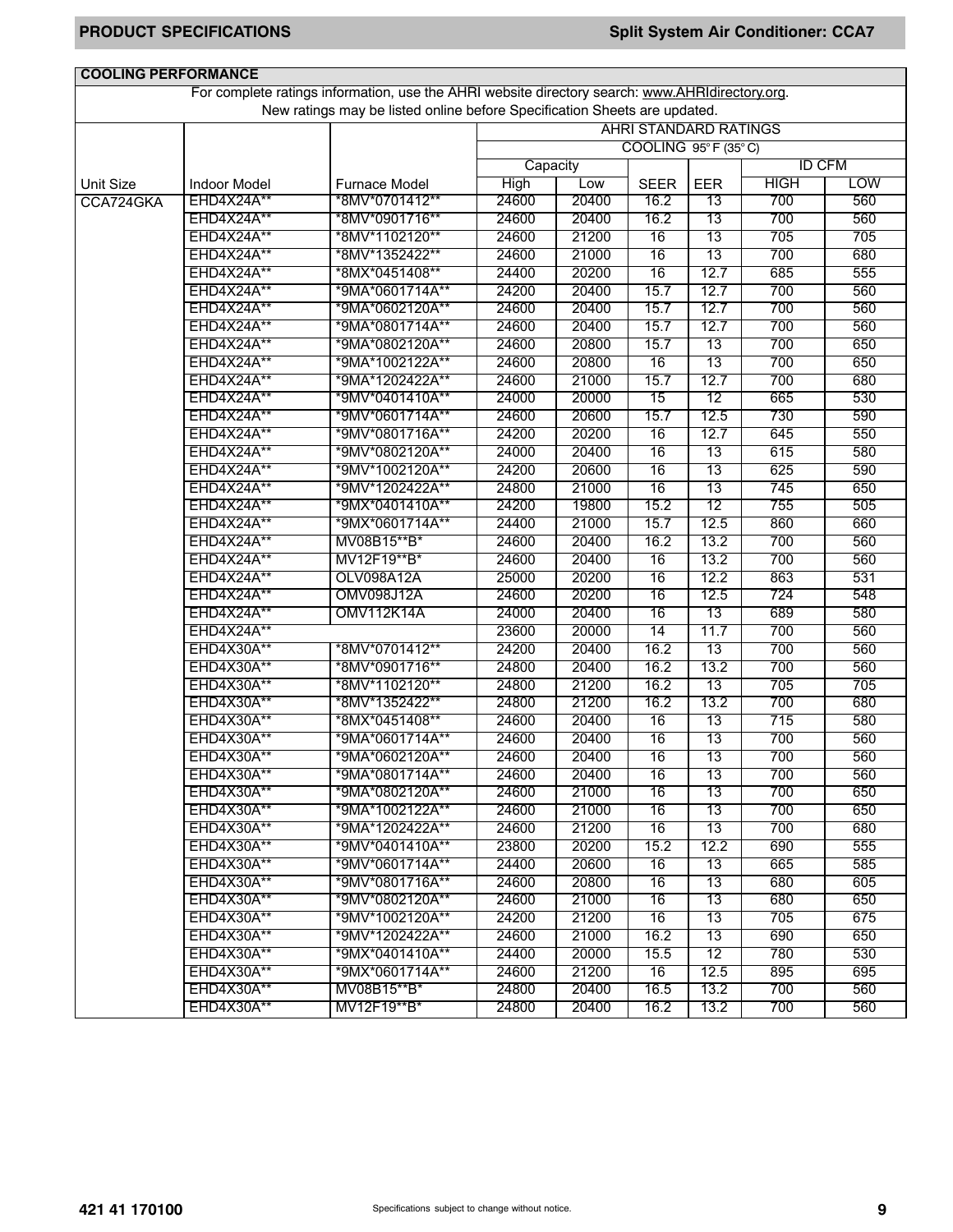| <b>COOLING PERFORMANCE</b> |                          |                                                                                                 |             |       |                 |                              |               |            |
|----------------------------|--------------------------|-------------------------------------------------------------------------------------------------|-------------|-------|-----------------|------------------------------|---------------|------------|
|                            |                          | For complete ratings information, use the AHRI website directory search: www.AHRIdirectory.org. |             |       |                 |                              |               |            |
|                            |                          | New ratings may be listed online before Specification Sheets are updated.                       |             |       |                 |                              |               |            |
|                            |                          |                                                                                                 |             |       |                 | <b>AHRI STANDARD RATINGS</b> |               |            |
|                            |                          |                                                                                                 |             |       |                 | COOLING 95°F (35°C)          |               |            |
|                            |                          |                                                                                                 | Capacity    |       |                 |                              | <b>ID CFM</b> |            |
| Unit Size                  | <b>Indoor Model</b>      | <b>Furnace Model</b>                                                                            | <b>High</b> | Low   | <b>SEER</b>     | <b>EER</b>                   | <b>HIGH</b>   | <b>LOW</b> |
| CCA724GKA                  | <b>EHD4X24A**</b>        | *8MV*0701412**                                                                                  | 24600       | 20400 | 16.2            | 13                           | 700           | 560        |
|                            | <b>EHD4X24A**</b>        | *8MV*0901716**                                                                                  | 24600       | 20400 | 16.2            | 13                           | 700           | 560        |
|                            | EHD4X24A**               | *8MV*1102120**                                                                                  | 24600       | 21200 | 16              | 13                           | 705           | 705        |
|                            | <b>EHD4X24A**</b>        | *8MV*1352422**                                                                                  | 24600       | 21000 | 16              | 13                           | 700           | 680        |
|                            | EHD4X24A**               | *8MX*0451408**                                                                                  | 24400       | 20200 | 16              | 12.7                         | 685           | 555        |
|                            | EHD4X24A**               | *9MA*0601714A**                                                                                 | 24200       | 20400 | 15.7            | 12.7                         | 700           | 560        |
|                            | EHD4X24A**               | *9MA*0602120A**                                                                                 | 24600       | 20400 | 15.7            | 12.7                         | 700           | 560        |
|                            | <b>EHD4X24A**</b>        | *9MA*0801714A**                                                                                 | 24600       | 20400 | 15.7            | 12.7                         | 700           | 560        |
|                            | <b>EHD4X24A**</b>        | *9MA*0802120A**                                                                                 | 24600       | 20800 | 15.7            | 13                           | 700           | 650        |
|                            | EHD4X24A**               | *9MA*1002122A**                                                                                 | 24600       | 20800 | $\overline{16}$ | 13                           | 700           | 650        |
|                            | <b>EHD4X24A**</b>        | *9MA*1202422A**                                                                                 | 24600       | 21000 | 15.7            | 12.7                         | 700           | 680        |
|                            | EHD4X24A**               | *9MV*0401410A**                                                                                 | 24000       | 20000 | 15              | 12                           | 665           | 530        |
|                            | EHD4X24A**               | *9MV*0601714A**                                                                                 | 24600       | 20600 | 15.7            | 12.5                         | 730           | 590        |
|                            | EHD4X24A**               | *9MV*0801716A**                                                                                 | 24200       | 20200 | 16              | 12.7                         | 645           | 550        |
|                            | EHD4X24A**               | *9MV*0802120A**                                                                                 | 24000       | 20400 | 16              | 13                           | 615           | 580        |
|                            | <b>EHD4X24A**</b>        | *9MV*1002120A**                                                                                 | 24200       | 20600 | 16              | 13                           | 625           | 590        |
|                            | EHD4X24A**               | *9MV*1202422A**                                                                                 | 24800       | 21000 | 16              | 13                           | 745           | 650        |
|                            | EHD4X24A**               | *9MX*0401410A**                                                                                 | 24200       | 19800 | 15.2            | 12                           | 755           | 505        |
|                            | <b>EHD4X24A**</b>        | *9MX*0601714A**                                                                                 | 24400       | 21000 | 15.7            | 12.5                         | 860           | 660        |
|                            | EHD4X24A**               | MV08B15**B*                                                                                     | 24600       | 20400 | 16.2            | 13.2                         | 700           | 560        |
|                            | <b>EHD4X24A**</b>        | MV12F19**B*                                                                                     | 24600       | 20400 | 16              | 13.2                         | 700           | 560        |
|                            | <b>EHD4X24A**</b>        | OLV098A12A                                                                                      | 25000       | 20200 | 16              | 12.2                         | 863           | 531        |
|                            | <b>EHD4X24A**</b>        | OMV098J12A                                                                                      | 24600       | 20200 | 16              | 12.5                         | 724           | 548        |
|                            | EHD4X24A**               | <b>OMV112K14A</b>                                                                               | 24000       | 20400 | 16              | 13                           | 689           | 580        |
|                            | EHD4X24A**               |                                                                                                 | 23600       | 20000 | 14              | 11.7                         | 700           | 560        |
|                            | EHD4X30A**               | *8MV*0701412**                                                                                  | 24200       | 20400 | 16.2            | 13                           | 700           | 560        |
|                            | EHD4X30A**               | *8MV*0901716**                                                                                  | 24800       | 20400 | 16.2            | 13.2                         | 700           | 560        |
|                            | EHD4X30A**               | *8MV*1102120**                                                                                  | 24800       | 21200 | 16.2            | 13                           | 705           | 705        |
|                            | EHD4X30A**               | *8MV*1352422**                                                                                  | 24800       | 21200 | 16.2            | 13.2                         | 700           | 680        |
|                            | EHD4X30A**               |                                                                                                 | 24600       | 20400 | 16              | 13                           | 715           | 580        |
|                            | EHD4X30A**               | *8MX*0451408**<br>*9MA*0601714A**                                                               | 24600       | 20400 | 16              | 13                           | 700           | 560        |
|                            | EHD4X30A**               | *9MA*0602120A**                                                                                 | 24600       | 20400 | 16              | 13                           | 700           | 560        |
|                            | EHD4X30A**               |                                                                                                 |             |       | 16              | 13                           | 700           |            |
|                            |                          | *9MA*0801714A**<br>*9MA*0802120A**                                                              | 24600       | 20400 |                 |                              |               | 560        |
|                            | EHD4X30A**<br>EHD4X30A** |                                                                                                 | 24600       | 21000 | 16              | 13                           | 700           | 650        |
|                            |                          | *9MA*1002122A**                                                                                 | 24600       | 21000 | $\overline{16}$ | 13                           | 700           | 650        |
|                            | <b>EHD4X30A**</b>        | *9MA*1202422A**                                                                                 | 24600       | 21200 | 16              | 13                           | 700           | 680        |
|                            | <b>EHD4X30A**</b>        | *9MV*0401410A**                                                                                 | 23800       | 20200 | 15.2            | 12.2                         | 690           | 555        |
|                            | EHD4X30A**               | *9MV*0601714A**                                                                                 | 24400       | 20600 | 16              | 13                           | 665           | 585        |
|                            | <b>EHD4X30A**</b>        | *9MV*0801716A**                                                                                 | 24600       | 20800 | 16              | 13                           | 680           | 605        |
|                            | EHD4X30A**               | *9MV*0802120A**                                                                                 | 24600       | 21000 | 16              | 13                           | 680           | 650        |
|                            | EHD4X30A**               | *9MV*1002120A**                                                                                 | 24200       | 21200 | 16              | 13                           | 705           | 675        |
|                            | <b>EHD4X30A**</b>        | *9MV*1202422A**                                                                                 | 24600       | 21000 | 16.2            | 13                           | 690           | 650        |
|                            | EHD4X30A**               | *9MX*0401410A**                                                                                 | 24400       | 20000 | 15.5            | 12                           | 780           | 530        |
|                            | EHD4X30A**               | *9MX*0601714A**                                                                                 | 24600       | 21200 | 16              | 12.5                         | 895           | 695        |
|                            | <b>EHD4X30A**</b>        | MV08B15**B*                                                                                     | 24800       | 20400 | 16.5            | 13.2                         | 700           | 560        |
|                            | EHD4X30A**               | MV12F19**B*                                                                                     | 24800       | 20400 | 16.2            | 13.2                         | 700           | 560        |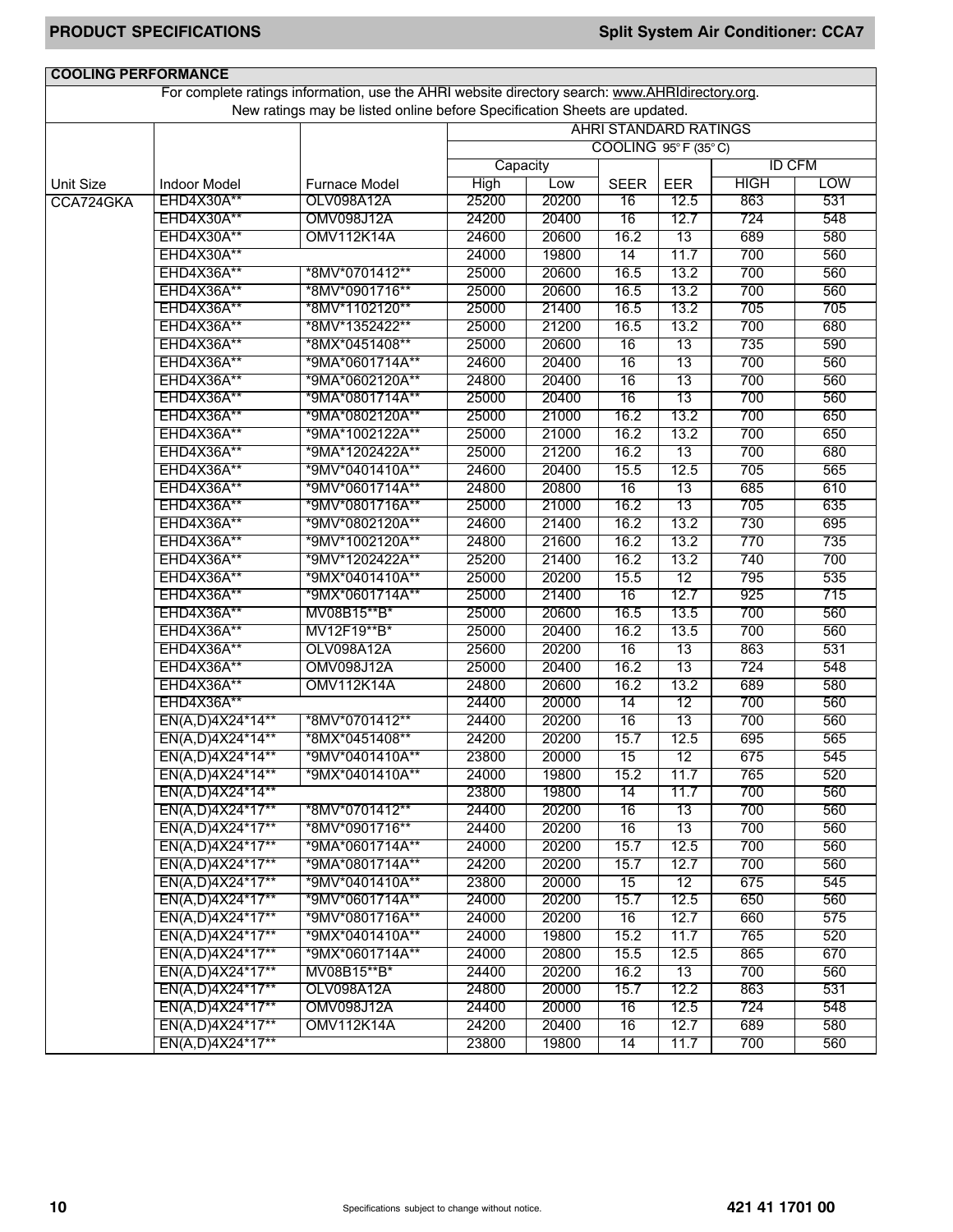| <b>COOLING PERFORMANCE</b> |                     |                                                                                                 |          |       |                              |            |               |            |
|----------------------------|---------------------|-------------------------------------------------------------------------------------------------|----------|-------|------------------------------|------------|---------------|------------|
|                            |                     | For complete ratings information, use the AHRI website directory search: www.AHRIdirectory.org. |          |       |                              |            |               |            |
|                            |                     | New ratings may be listed online before Specification Sheets are updated.                       |          |       |                              |            |               |            |
|                            |                     |                                                                                                 |          |       | <b>AHRI STANDARD RATINGS</b> |            |               |            |
|                            |                     |                                                                                                 |          |       | COOLING 95°F (35°C)          |            |               |            |
|                            |                     |                                                                                                 | Capacity |       |                              |            | <b>ID CFM</b> |            |
| <b>Unit Size</b>           | <b>Indoor Model</b> | <b>Furnace Model</b>                                                                            | High     | Low   | <b>SEER</b>                  | <b>EER</b> | <b>HIGH</b>   | <b>LOW</b> |
| CCA724GKA                  | EHD4X30A**          | OLV098A12A                                                                                      | 25200    | 20200 | 16                           | 12.5       | 863           | 531        |
|                            | EHD4X30A**          | <b>OMV098J12A</b>                                                                               | 24200    | 20400 | 16                           | 12.7       | 724           | 548        |
|                            | EHD4X30A**          | <b>OMV112K14A</b>                                                                               | 24600    | 20600 | 16.2                         | 13         | 689           | 580        |
|                            | EHD4X30A**          |                                                                                                 | 24000    | 19800 | 14                           | 11.7       | 700           | 560        |
|                            | EHD4X36A**          | *8MV*0701412**                                                                                  | 25000    | 20600 | 16.5                         | 13.2       | 700           | 560        |
|                            | EHD4X36A**          | *8MV*0901716**                                                                                  | 25000    | 20600 | 16.5                         | 13.2       | 700           | 560        |
|                            | EHD4X36A**          | *8MV*1102120**                                                                                  | 25000    | 21400 | 16.5                         | 13.2       | 705           | 705        |
|                            | EHD4X36A**          | *8MV*1352422**                                                                                  | 25000    | 21200 | 16.5                         | 13.2       | 700           | 680        |
|                            | EHD4X36A**          | *8MX*0451408**                                                                                  | 25000    | 20600 | 16                           | 13         | 735           | 590        |
|                            | <b>EHD4X36A**</b>   | *9MA*0601714A**                                                                                 | 24600    | 20400 | 16                           | 13         | 700           | 560        |
|                            | <b>EHD4X36A**</b>   | *9MA*0602120A**                                                                                 | 24800    | 20400 | 16                           | 13         | 700           | 560        |
|                            | <b>EHD4X36A**</b>   | *9MA*0801714A**                                                                                 | 25000    | 20400 | 16                           | 13         | 700           | 560        |
|                            | EHD4X36A**          | *9MA*0802120A**                                                                                 | 25000    | 21000 | 16.2                         | 13.2       | 700           | 650        |
|                            | EHD4X36A**          | *9MA*1002122A**                                                                                 | 25000    | 21000 | 16.2                         | 13.2       | 700           | 650        |
|                            | EHD4X36A**          | *9MA*1202422A**                                                                                 | 25000    | 21200 | 16.2                         | 13         | 700           | 680        |
|                            | EHD4X36A**          | *9MV*0401410A**                                                                                 | 24600    | 20400 | 15.5                         | 12.5       | 705           | 565        |
|                            | EHD4X36A**          | *9MV*0601714A**                                                                                 | 24800    | 20800 | 16                           | 13         | 685           | 610        |
|                            | EHD4X36A**          | *9MV*0801716A**                                                                                 | 25000    | 21000 | 16.2                         | 13         | 705           | 635        |
|                            | EHD4X36A**          | *9MV*0802120A**                                                                                 | 24600    | 21400 | 16.2                         | 13.2       | 730           | 695        |
|                            | EHD4X36A**          | *9MV*1002120A**                                                                                 | 24800    | 21600 | 16.2                         | 13.2       | 770           | 735        |
|                            | EHD4X36A**          | *9MV*1202422A**                                                                                 | 25200    | 21400 | 16.2                         | 13.2       | 740           | 700        |
|                            | <b>EHD4X36A**</b>   | *9MX*0401410A**                                                                                 | 25000    | 20200 | 15.5                         | 12         | 795           | 535        |
|                            | <b>EHD4X36A**</b>   | *9MX*0601714A**                                                                                 | 25000    | 21400 | 16                           | 12.7       | 925           | 715        |
|                            | <b>EHD4X36A**</b>   | MV08B15**B*                                                                                     | 25000    | 20600 | 16.5                         | 13.5       | 700           | 560        |
|                            | EHD4X36A**          | MV12F19**B*                                                                                     | 25000    | 20400 | 16.2                         | 13.5       | 700           | 560        |
|                            | EHD4X36A**          | OLV098A12A                                                                                      | 25600    | 20200 | 16                           | 13         | 863           | 531        |
|                            | EHD4X36A**          | <b>OMV098J12A</b>                                                                               | 25000    | 20400 | 16.2                         | 13         | 724           | 548        |
|                            | EHD4X36A**          | <b>OMV112K14A</b>                                                                               | 24800    | 20600 | 16.2                         | 13.2       | 689           | 580        |
|                            | EHD4X36A**          |                                                                                                 | 24400    | 20000 | 14                           | 12         | 700           | 560        |
|                            | EN(A,D)4X24*14**    | *8MV*0701412**                                                                                  | 24400    | 20200 | 16                           | 13         | 700           | 560        |
|                            | EN(A,D)4X24*14**    | *8MX*0451408**                                                                                  | 24200    | 20200 | 15.7                         | 12.5       | 695           | 565        |
|                            | EN(A,D)4X24*14**    | *9MV*0401410A**                                                                                 | 23800    | 20000 | 15                           | 12         | 675           | 545        |
|                            | EN(A,D)4X24*14**    | *9MX*0401410A**                                                                                 | 24000    | 19800 | 15.2                         | 11.7       | 765           | 520        |
|                            | EN(A,D)4X24*14**    |                                                                                                 | 23800    | 19800 | 14                           | 11.7       | 700           | 560        |
|                            | EN(A,D)4X24*17**    | *8MV*0701412**                                                                                  | 24400    | 20200 | 16                           | 13         | 700           | 560        |
|                            | EN(A,D)4X24*17**    | *8MV*0901716**                                                                                  | 24400    | 20200 | 16                           | 13         | 700           | 560        |
|                            | EN(A,D)4X24*17**    | *9MA*0601714A**                                                                                 | 24000    | 20200 | 15.7                         | 12.5       | 700           | 560        |
|                            | EN(A,D)4X24*17**    | *9MA*0801714A**                                                                                 | 24200    | 20200 | 15.7                         | 12.7       | 700           | 560        |
|                            | EN(A,D)4X24*17**    | *9MV*0401410A**                                                                                 | 23800    | 20000 | 15                           | 12         | 675           | 545        |
|                            | EN(A,D)4X24*17**    | *9MV*0601714A**                                                                                 | 24000    | 20200 | 15.7                         | 12.5       | 650           | 560        |
|                            | EN(A,D)4X24*17**    | *9MV*0801716A**                                                                                 | 24000    | 20200 | 16                           | 12.7       | 660           | 575        |
|                            | EN(A,D)4X24*17**    | *9MX*0401410A**                                                                                 | 24000    | 19800 | 15.2                         | 11.7       | 765           | 520        |
|                            | EN(A,D)4X24*17**    | *9MX*0601714A**                                                                                 | 24000    | 20800 | 15.5                         | 12.5       | 865           | 670        |
|                            | EN(A,D)4X24*17**    | MV08B15**B*                                                                                     | 24400    | 20200 | 16.2                         | 13         | 700           | 560        |
|                            | EN(A,D)4X24*17**    | OLV098A12A                                                                                      | 24800    | 20000 | 15.7                         | 12.2       | 863           | 531        |
|                            | EN(A,D)4X24*17**    | <b>OMV098J12A</b>                                                                               | 24400    | 20000 | 16                           | 12.5       | 724           | 548        |
|                            | EN(A,D)4X24*17**    | OMV112K14A                                                                                      | 24200    | 20400 | 16                           | 12.7       | 689           | 580        |
|                            | EN(A,D)4X24*17**    |                                                                                                 | 23800    | 19800 | 14                           | 11.7       | 700           | 560        |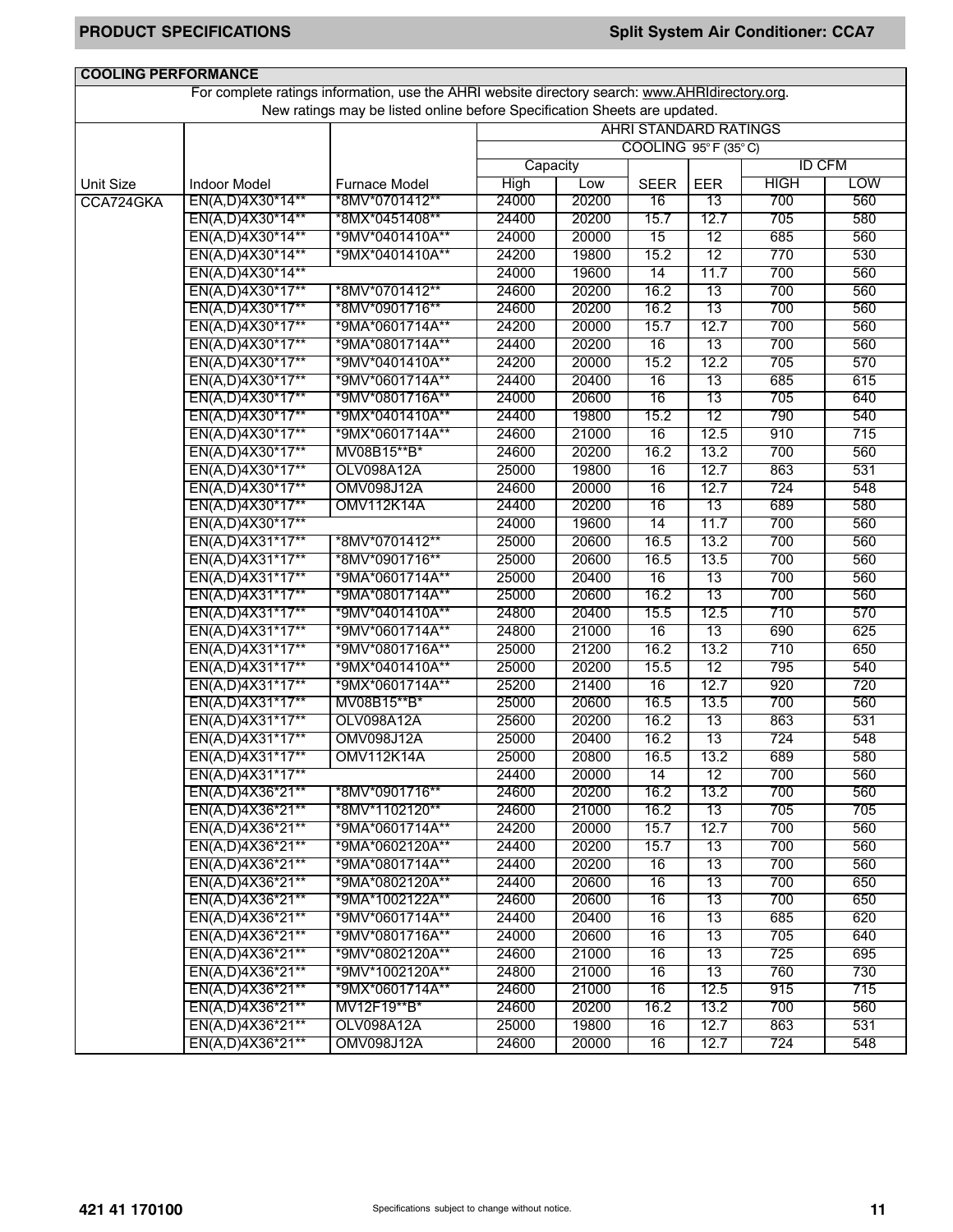| <b>COOLING PERFORMANCE</b> |                     |                                                                                                 |          |       |                              |            |               |            |
|----------------------------|---------------------|-------------------------------------------------------------------------------------------------|----------|-------|------------------------------|------------|---------------|------------|
|                            |                     | For complete ratings information, use the AHRI website directory search: www.AHRIdirectory.org. |          |       |                              |            |               |            |
|                            |                     | New ratings may be listed online before Specification Sheets are updated.                       |          |       |                              |            |               |            |
|                            |                     |                                                                                                 |          |       | <b>AHRI STANDARD RATINGS</b> |            |               |            |
|                            |                     |                                                                                                 |          |       | COOLING 95°F (35°C)          |            |               |            |
|                            |                     |                                                                                                 | Capacity |       |                              |            | <b>ID CFM</b> |            |
| <b>Unit Size</b>           | <b>Indoor Model</b> | <b>Furnace Model</b>                                                                            | High     | Low   | <b>SEER</b>                  | <b>EER</b> | <b>HIGH</b>   | <b>LOW</b> |
| CCA724GKA                  | EN(A,D)4X30*14**    | *8MV*0701412**                                                                                  | 24000    | 20200 | 16                           | 13         | 700           | 560        |
|                            | EN(A,D)4X30*14**    | *8MX*0451408**                                                                                  | 24400    | 20200 | 15.7                         | 12.7       | 705           | 580        |
|                            | EN(A,D)4X30*14**    | *9MV*0401410A**                                                                                 | 24000    | 20000 | 15                           | 12         | 685           | 560        |
|                            | EN(A,D)4X30*14**    | *9MX*0401410A**                                                                                 | 24200    | 19800 | 15.2                         | 12         | 770           | 530        |
|                            | EN(A,D)4X30*14**    |                                                                                                 | 24000    | 19600 | 14                           | 11.7       | 700           | 560        |
|                            | EN(A,D)4X30*17**    | *8MV*0701412**                                                                                  | 24600    | 20200 | 16.2                         | 13         | 700           | 560        |
|                            | EN(A,D)4X30*17**    | *8MV*0901716**                                                                                  | 24600    | 20200 | 16.2                         | 13         | 700           | 560        |
|                            | EN(A,D)4X30*17**    | *9MA*0601714A**                                                                                 | 24200    | 20000 | 15.7                         | 12.7       | 700           | 560        |
|                            | EN(A,D)4X30*17**    | *9MA*0801714A**                                                                                 | 24400    | 20200 | 16                           | 13         | 700           | 560        |
|                            | EN(A,D)4X30*17**    | *9MV*0401410A**                                                                                 | 24200    | 20000 | 15.2                         | 12.2       | 705           | 570        |
|                            | EN(A,D)4X30*17**    | *9MV*0601714A**                                                                                 | 24400    | 20400 | 16                           | 13         | 685           | 615        |
|                            | EN(A,D)4X30*17**    | *9MV*0801716A**                                                                                 | 24000    | 20600 | 16                           | 13         | 705           | 640        |
|                            | EN(A,D)4X30*17**    | *9MX*0401410A**                                                                                 | 24400    | 19800 | 15.2                         | 12         | 790           | 540        |
|                            | EN(A,D)4X30*17**    | *9MX*0601714A**                                                                                 | 24600    | 21000 | 16                           | 12.5       | 910           | 715        |
|                            | EN(A,D)4X30*17**    | MV08B15**B*                                                                                     | 24600    | 20200 | 16.2                         | 13.2       | 700           | 560        |
|                            | EN(A,D)4X30*17**    | OLV098A12A                                                                                      | 25000    | 19800 | 16                           | 12.7       | 863           | 531        |
|                            | EN(A,D)4X30*17**    | <b>OMV098J12A</b>                                                                               | 24600    | 20000 | 16                           | 12.7       | 724           | 548        |
|                            | EN(A,D)4X30*17**    | <b>OMV112K14A</b>                                                                               | 24400    | 20200 | 16                           | 13         | 689           | 580        |
|                            | EN(A,D)4X30*17**    |                                                                                                 | 24000    | 19600 | 14                           | 11.7       | 700           | 560        |
|                            | EN(A,D)4X31*17**    | *8MV*0701412**                                                                                  | 25000    | 20600 | 16.5                         | 13.2       | 700           | 560        |
|                            | EN(A,D)4X31*17**    | *8MV*0901716**                                                                                  | 25000    | 20600 | 16.5                         | 13.5       | 700           | 560        |
|                            | EN(A,D)4X31*17**    | *9MA*0601714A**                                                                                 | 25000    | 20400 | 16                           | 13         | 700           | 560        |
|                            | EN(A,D)4X31*17**    | *9MA*0801714A**                                                                                 | 25000    | 20600 | 16.2                         | 13         | 700           | 560        |
|                            | EN(A,D)4X31*17**    | *9MV*0401410A**                                                                                 | 24800    | 20400 | 15.5                         | 12.5       | 710           | 570        |
|                            | EN(A,D)4X31*17**    | *9MV*0601714A**                                                                                 | 24800    | 21000 | 16                           | 13         | 690           | 625        |
|                            | EN(A,D)4X31*17**    | *9MV*0801716A**                                                                                 | 25000    | 21200 | 16.2                         | 13.2       | 710           | 650        |
|                            | EN(A,D)4X31*17**    | *9MX*0401410A**                                                                                 | 25000    | 20200 | 15.5                         | 12         | 795           | 540        |
|                            | EN(A,D)4X31*17**    | *9MX*0601714A**                                                                                 | 25200    | 21400 | 16                           | 12.7       | 920           | 720        |
|                            | EN(A,D)4X31*17**    | MV08B15**B*                                                                                     | 25000    | 20600 | 16.5                         | 13.5       | 700           | 560        |
|                            | EN(A,D)4X31*17**    | OLV098A12A                                                                                      | 25600    | 20200 | 16.2                         | 13         | 863           | 531        |
|                            | EN(A,D)4X31*17**    | <b>OMV098J12A</b>                                                                               | 25000    | 20400 | 16.2                         | 13         | 724           | 548        |
|                            | EN(A,D)4X31*17**    | <b>OMV112K14A</b>                                                                               | 25000    | 20800 | 16.5                         | 13.2       | 689           | 580        |
|                            | EN(A,D)4X31*17**    |                                                                                                 | 24400    | 20000 | 14                           | 12         | 700           | 560        |
|                            | EN(A,D)4X36*21**    | *8MV*0901716**                                                                                  | 24600    | 20200 | 16.2                         | 13.2       | 700           | 560        |
|                            | EN(A,D)4X36*21**    | *8MV*1102120**                                                                                  | 24600    | 21000 | 16.2                         | 13         | 705           | 705        |
|                            | EN(A,D)4X36*21**    | *9MA*0601714A**                                                                                 | 24200    | 20000 | 15.7                         | 12.7       | 700           | 560        |
|                            | EN(A,D)4X36*21**    | *9MA*0602120A**                                                                                 | 24400    | 20200 | 15.7                         | 13         | 700           | 560        |
|                            | EN(A,D)4X36*21**    | *9MA*0801714A**                                                                                 | 24400    | 20200 | 16                           | 13         | 700           | 560        |
|                            | EN(A,D)4X36*21**    | *9MA*0802120A**                                                                                 | 24400    | 20600 | 16                           | 13         | 700           | 650        |
|                            | EN(A,D)4X36*21**    | *9MA*1002122A**                                                                                 | 24600    | 20600 | 16                           | 13         | 700           | 650        |
|                            | EN(A,D)4X36*21**    | *9MV*0601714A**                                                                                 | 24400    | 20400 | 16                           | 13         | 685           | 620        |
|                            | EN(A,D)4X36*21**    | *9MV*0801716A**                                                                                 | 24000    | 20600 | 16                           | 13         | 705           | 640        |
|                            | EN(A,D)4X36*21**    | *9MV*0802120A**                                                                                 | 24600    | 21000 | 16                           | 13         | 725           | 695        |
|                            | EN(A,D)4X36*21**    | *9MV*1002120A**                                                                                 | 24800    | 21000 | 16                           | 13         | 760           | 730        |
|                            | EN(A,D)4X36*21**    | *9MX*0601714A**                                                                                 | 24600    | 21000 | 16                           | 12.5       | 915           | 715        |
|                            | EN(A,D)4X36*21**    | MV12F19**B*                                                                                     | 24600    | 20200 | 16.2                         | 13.2       | 700           | 560        |
|                            | EN(A,D)4X36*21**    | OLV098A12A                                                                                      | 25000    | 19800 | 16                           | 12.7       | 863           | 531        |
|                            | EN(A,D)4X36*21**    | <b>OMV098J12A</b>                                                                               | 24600    | 20000 | 16                           | 12.7       | 724           | 548        |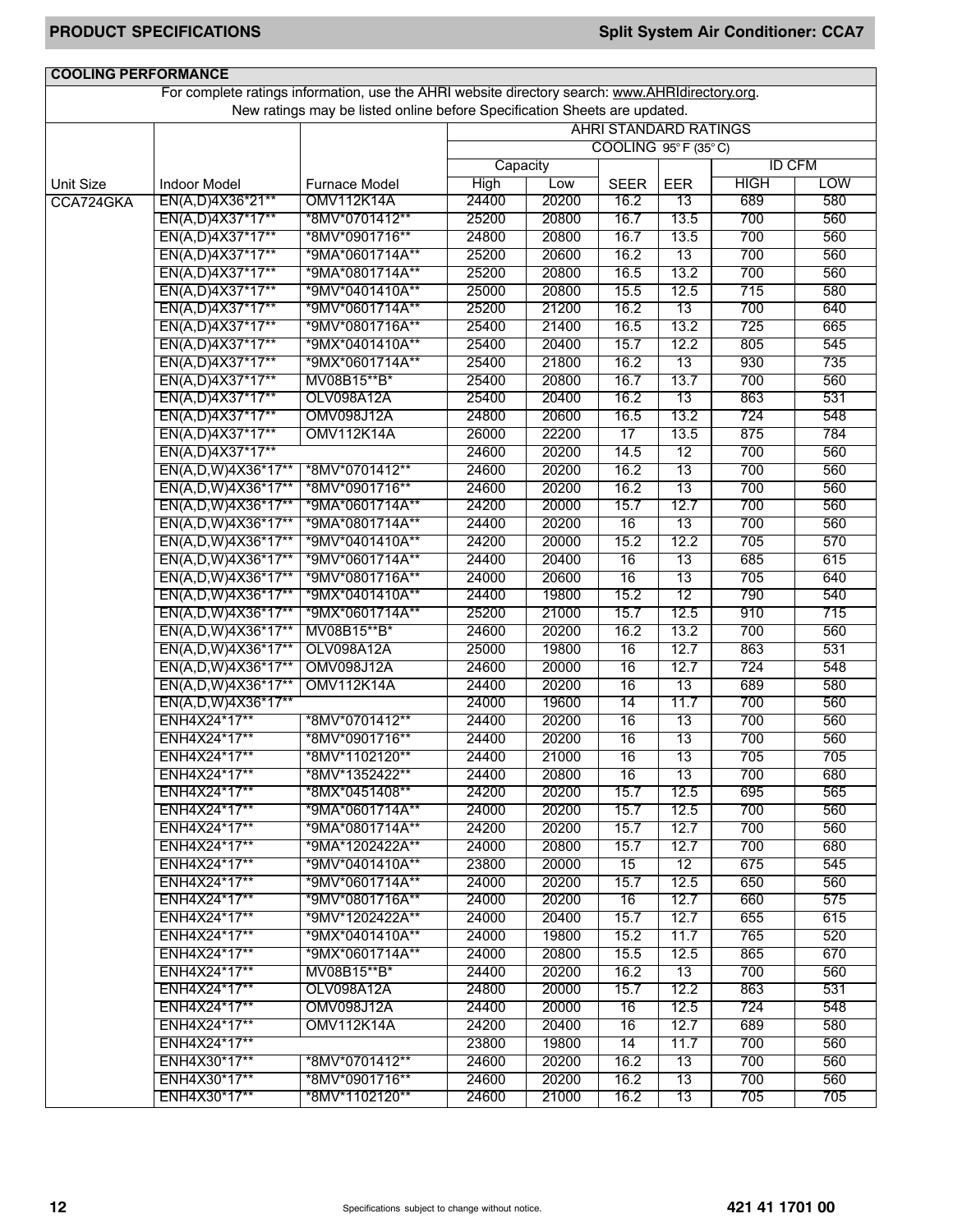| <b>COOLING PERFORMANCE</b> |                              |                                                                                                 |                |       |                              |            |               |            |
|----------------------------|------------------------------|-------------------------------------------------------------------------------------------------|----------------|-------|------------------------------|------------|---------------|------------|
|                            |                              | For complete ratings information, use the AHRI website directory search: www.AHRIdirectory.org. |                |       |                              |            |               |            |
|                            |                              | New ratings may be listed online before Specification Sheets are updated.                       |                |       |                              |            |               |            |
|                            |                              |                                                                                                 |                |       | <b>AHRI STANDARD RATINGS</b> |            |               |            |
|                            |                              |                                                                                                 |                |       | COOLING 95°F (35°C)          |            |               |            |
|                            |                              |                                                                                                 | Capacity       |       |                              |            | <b>ID CFM</b> |            |
| <b>Unit Size</b>           | <b>Indoor Model</b>          | <b>Furnace Model</b>                                                                            | High           | Low   | <b>SEER</b>                  | <b>EER</b> | <b>HIGH</b>   | <b>LOW</b> |
| CCA724GKA                  | EN(A,D)4X36*21**             | <b>OMV112K14A</b>                                                                               | 24400          | 20200 | 16.2                         | 13         | 689           | 580        |
|                            | EN(A,D)4X37*17**             | *8MV*0701412**                                                                                  | 25200          | 20800 | 16.7                         | 13.5       | 700           | 560        |
|                            | EN(A,D)4X37*17**             | *8MV*0901716**                                                                                  | 24800          | 20800 | 16.7                         | 13.5       | 700           | 560        |
|                            | EN(A,D)4X37*17**             | *9MA*0601714A**                                                                                 | 25200          | 20600 | 16.2                         | 13         | 700           | 560        |
|                            | EN(A,D)4X37*17**             | *9MA*0801714A**                                                                                 | 25200          | 20800 | 16.5                         | 13.2       | 700           | 560        |
|                            | EN(A,D)4X37*17**             | *9MV*0401410A**                                                                                 | 25000          | 20800 | 15.5                         | 12.5       | 715           | 580        |
|                            | EN(A,D)4X37*17**             | *9MV*0601714A**                                                                                 | 25200          | 21200 | 16.2                         | 13         | 700           | 640        |
|                            | EN(A,D)4X37*17**             | *9MV*0801716A**                                                                                 | 25400          | 21400 | 16.5                         | 13.2       | 725           | 665        |
|                            | EN(A,D)4X37*17**             | *9MX*0401410A**                                                                                 | 25400          | 20400 | 15.7                         | 12.2       | 805           | 545        |
|                            | EN(A,D)4X37*17**             | *9MX*0601714A**                                                                                 | 25400          | 21800 | 16.2                         | 13         | 930           | 735        |
|                            | EN(A,D)4X37*17**             | MV08B15**B*                                                                                     | 25400          | 20800 | 16.7                         | 13.7       | 700           | 560        |
|                            | EN(A,D)4X37*17**             | OLV098A12A                                                                                      | 25400          | 20400 | 16.2                         | 13         | 863           | 531        |
|                            | EN(A,D)4X37*17**             | <b>OMV098J12A</b>                                                                               | 24800          | 20600 | 16.5                         | 13.2       | 724           | 548        |
|                            | EN(A,D)4X37*17**             | <b>OMV112K14A</b>                                                                               | 26000          | 22200 | 17                           | 13.5       | 875           | 784        |
|                            | EN(A,D)4X37*17**             |                                                                                                 | 24600          | 20200 | 14.5                         | 12         | 700           | 560        |
|                            | EN(A,D,W)4X36*17**           | *8MV*0701412**                                                                                  | 24600          | 20200 | 16.2                         | 13         | 700           | 560        |
|                            | EN(A,D,W)4X36*17**           | *8MV*0901716**                                                                                  | 24600          | 20200 | 16.2                         | 13         | 700           | 560        |
|                            | EN(A,D,W)4X36*17**           | *9MA*0601714A**                                                                                 | 24200          | 20000 | 15.7                         | 12.7       | 700           | 560        |
|                            | EN(A,D,W)4X36*17**           | *9MA*0801714A**                                                                                 | 24400          | 20200 | 16                           | 13         | 700           | 560        |
|                            | EN(A,D,W)4X36*17**           | *9MV*0401410A**                                                                                 | 24200          | 20000 | 15.2                         | 12.2       | 705           | 570        |
|                            | EN(A,D,W)4X36*17**           | *9MV*0601714A**                                                                                 | 24400          | 20400 | 16                           | 13         | 685           | 615        |
|                            | EN(A,D,W)4X36*17**           | *9MV*0801716A**                                                                                 | 24000          | 20600 | 16                           | 13         | 705           | 640        |
|                            | EN(A,D,W)4X36*17**           | *9MX*0401410A**                                                                                 | 24400          | 19800 | 15.2                         | 12         | 790           | 540        |
|                            | EN(A,D,W)4X36*17**           | *9MX*0601714A**                                                                                 | 25200          | 21000 | 15.7                         | 12.5       | 910           | 715        |
|                            | EN(A,D,W)4X36*17**           | MV08B15**B*                                                                                     | 24600          | 20200 | 16.2                         | 13.2       | 700           | 560        |
|                            | EN(A,D,W)4X36*17**           | OLV098A12A                                                                                      | 25000          | 19800 | 16                           | 12.7       | 863           | 531        |
|                            | EN(A,D,W)4X36*17**           | <b>OMV098J12A</b>                                                                               | 24600          | 20000 | 16                           | 12.7       | 724           | 548        |
|                            | EN(A,D,W)4X36*17**           | <b>OMV112K14A</b>                                                                               | 24400          | 20200 | 16                           | 13         | 689           | 580        |
|                            | EN(A,D,W)4X36*17**           |                                                                                                 | 24000          | 19600 | 14                           | 11.7       | 700           | 560        |
|                            | ENH4X24*17**                 | *8MV*0701412**                                                                                  | 24400          | 20200 | 16                           | 13         | 700           | 560        |
|                            | ENH4X24*17**                 | *8MV*0901716**                                                                                  | 24400          | 20200 | 16                           | 13         | 700           | 560        |
|                            | ENH4X24*17**                 | *8MV*1102120**                                                                                  | 24400          | 21000 | 16                           | 13         | 705           | 705        |
|                            | ENH4X24*17**                 | *8MV*1352422**                                                                                  | 24400          | 20800 | 16                           | 13         | 700           | 680        |
|                            | ENH4X24*17**                 | *8MX*0451408**                                                                                  | 24200          | 20200 | 15.7                         | 12.5       | 695           | 565        |
|                            | ENH4X24*17**                 | *9MA*0601714A**                                                                                 | 24000          | 20200 | 15.7                         | 12.5       | 700           | 560        |
|                            | ENH4X24*17**                 | *9MA*0801714A**                                                                                 | 24200          | 20200 | 15.7                         | 12.7       | 700           | 560        |
|                            | ENH4X24*17**                 | *9MA*1202422A**                                                                                 | 24000          | 20800 | 15.7                         | 12.7       | 700           | 680        |
|                            | ENH4X24*17**<br>ENH4X24*17** | *9MV*0401410A**<br>*9MV*0601714A**                                                              | 23800          | 20000 | $\overline{15}$              | 12         | 675           | 545        |
|                            |                              |                                                                                                 | 24000          | 20200 | 15.7                         | 12.5       | 650           | 560        |
|                            | ENH4X24*17**                 | *9MV*0801716A**                                                                                 | 24000<br>24000 | 20200 | 16                           | 12.7       | 660           | 575        |
|                            | ENH4X24*17**                 | *9MV*1202422A**                                                                                 |                | 20400 | 15.7                         | 12.7       | 655           | 615        |
|                            | ENH4X24*17**                 | *9MX*0401410A**                                                                                 | 24000          | 19800 | 15.2                         | 11.7       | 765           | 520        |
|                            | ENH4X24*17**                 | *9MX*0601714A**                                                                                 | 24000          | 20800 | 15.5                         | 12.5       | 865           | 670        |
|                            | ENH4X24*17**                 | MV08B15**B*                                                                                     | 24400          | 20200 | 16.2                         | 13         | 700           | 560        |
|                            | ENH4X24*17**                 | OLV098A12A                                                                                      | 24800          | 20000 | 15.7                         | 12.2       | 863           | 531        |
|                            | ENH4X24*17**                 | <b>OMV098J12A</b>                                                                               | 24400          | 20000 | $\overline{16}$              | 12.5       | 724           | 548        |
|                            | ENH4X24*17**                 | OMV112K14A                                                                                      | 24200          | 20400 | 16                           | 12.7       | 689           | 580        |
|                            | ENH4X24*17**                 |                                                                                                 | 23800          | 19800 | 14                           | 11.7       | 700           | 560        |
|                            | ENH4X30*17**                 | *8MV*0701412**                                                                                  | 24600          | 20200 | 16.2                         | 13         | 700           | 560        |
|                            | ENH4X30*17**                 | *8MV*0901716**                                                                                  | 24600          | 20200 | 16.2                         | 13         | 700           | 560        |
|                            | ENH4X30*17**                 | *8MV*1102120**                                                                                  | 24600          | 21000 | 16.2                         | 13         | 705           | 705        |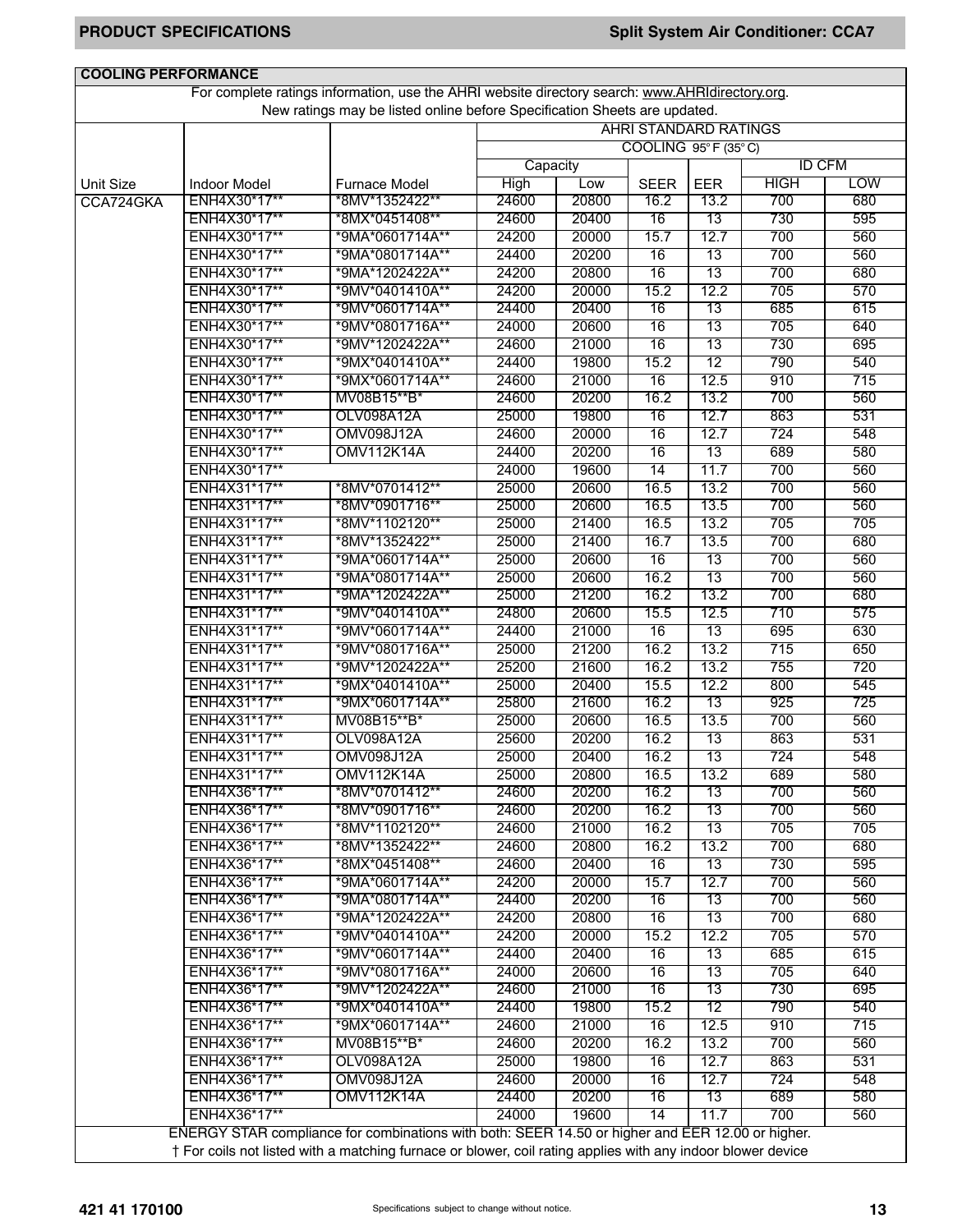| <b>COOLING PERFORMANCE</b> |                                                                                                 |                                                                                                             |          |       |                              |            |               |            |  |  |
|----------------------------|-------------------------------------------------------------------------------------------------|-------------------------------------------------------------------------------------------------------------|----------|-------|------------------------------|------------|---------------|------------|--|--|
|                            | For complete ratings information, use the AHRI website directory search: www.AHRIdirectory.org. |                                                                                                             |          |       |                              |            |               |            |  |  |
|                            |                                                                                                 | New ratings may be listed online before Specification Sheets are updated.                                   |          |       |                              |            |               |            |  |  |
|                            |                                                                                                 |                                                                                                             |          |       | <b>AHRI STANDARD RATINGS</b> |            |               |            |  |  |
|                            |                                                                                                 |                                                                                                             |          |       | COOLING 95°F (35°C)          |            |               |            |  |  |
|                            |                                                                                                 |                                                                                                             | Capacity |       |                              |            | <b>ID CFM</b> |            |  |  |
| <b>Unit Size</b>           | <b>Indoor Model</b>                                                                             | <b>Furnace Model</b>                                                                                        | High     | Low   | <b>SEER</b>                  | <b>EER</b> | <b>HIGH</b>   | <b>LOW</b> |  |  |
| CCA724GKA                  | ENH4X30*17**                                                                                    | *8MV*1352422**                                                                                              | 24600    | 20800 | 16.2                         | 13.2       | 700           | 680        |  |  |
|                            | ENH4X30*17**                                                                                    | *8MX*0451408**                                                                                              | 24600    | 20400 | $\overline{16}$              | 13         | 730           | 595        |  |  |
|                            | ENH4X30*17**                                                                                    | *9MA*0601714A**                                                                                             | 24200    | 20000 | 15.7                         | 12.7       | 700           | 560        |  |  |
|                            | ENH4X30*17**                                                                                    | *9MA*0801714A**                                                                                             | 24400    | 20200 | 16                           | 13         | 700           | 560        |  |  |
|                            | ENH4X30*17**                                                                                    | *9MA*1202422A**                                                                                             | 24200    | 20800 | 16                           | 13         | 700           | 680        |  |  |
|                            | ENH4X30*17**                                                                                    | *9MV*0401410A**                                                                                             | 24200    | 20000 | 15.2                         | 12.2       | 705           | 570        |  |  |
|                            | ENH4X30*17**                                                                                    | *9MV*0601714A**                                                                                             | 24400    | 20400 | 16                           | 13         | 685           | 615        |  |  |
|                            | ENH4X30*17**                                                                                    | *9MV*0801716A**                                                                                             | 24000    | 20600 | 16                           | 13         | 705           | 640        |  |  |
|                            | ENH4X30*17**                                                                                    | *9MV*1202422A**                                                                                             | 24600    | 21000 | 16                           | 13         | 730           | 695        |  |  |
|                            |                                                                                                 |                                                                                                             |          |       |                              |            |               |            |  |  |
|                            | ENH4X30*17**                                                                                    | *9MX*0401410A**                                                                                             | 24400    | 19800 | 15.2                         | 12         | 790           | 540        |  |  |
|                            | ENH4X30*17**                                                                                    | *9MX*0601714A**                                                                                             | 24600    | 21000 | 16                           | 12.5       | 910           | 715        |  |  |
|                            | ENH4X30*17**                                                                                    | MV08B15**B*                                                                                                 | 24600    | 20200 | 16.2                         | 13.2       | 700           | 560        |  |  |
|                            | ENH4X30*17**                                                                                    | OLV098A12A                                                                                                  | 25000    | 19800 | 16                           | 12.7       | 863           | 531        |  |  |
|                            | ENH4X30*17**                                                                                    | <b>OMV098J12A</b>                                                                                           | 24600    | 20000 | 16                           | 12.7       | 724           | 548        |  |  |
|                            | ENH4X30*17**                                                                                    | OMV112K14A                                                                                                  | 24400    | 20200 | 16                           | 13         | 689           | 580        |  |  |
|                            | ENH4X30*17**                                                                                    |                                                                                                             | 24000    | 19600 | 14                           | 11.7       | 700           | 560        |  |  |
|                            | ENH4X31*17**                                                                                    | *8MV*0701412**                                                                                              | 25000    | 20600 | 16.5                         | 13.2       | 700           | 560        |  |  |
|                            | ENH4X31*17**                                                                                    | *8MV*0901716**                                                                                              | 25000    | 20600 | 16.5                         | 13.5       | 700           | 560        |  |  |
|                            | ENH4X31*17**                                                                                    | *8MV*1102120**                                                                                              | 25000    | 21400 | 16.5                         | 13.2       | 705           | 705        |  |  |
|                            | ENH4X31*17**                                                                                    | *8MV*1352422**                                                                                              | 25000    | 21400 | 16.7                         | 13.5       | 700           | 680        |  |  |
|                            | ENH4X31*17**                                                                                    | *9MA*0601714A**                                                                                             | 25000    | 20600 | 16                           | 13         | 700           | 560        |  |  |
|                            | ENH4X31*17**                                                                                    | *9MA*0801714A**                                                                                             | 25000    | 20600 | 16.2                         | 13         | 700           | 560        |  |  |
|                            | ENH4X31*17**                                                                                    | *9MA*1202422A**                                                                                             | 25000    | 21200 | 16.2                         | 13.2       | 700           | 680        |  |  |
|                            | ENH4X31*17**                                                                                    | *9MV*0401410A**                                                                                             | 24800    | 20600 | 15.5                         | 12.5       | 710           | 575        |  |  |
|                            | ENH4X31*17**                                                                                    | *9MV*0601714A**                                                                                             | 24400    | 21000 | 16                           | 13         | 695           | 630        |  |  |
|                            | ENH4X31*17**                                                                                    | *9MV*0801716A**                                                                                             | 25000    | 21200 | 16.2                         | 13.2       | 715           | 650        |  |  |
|                            | ENH4X31*17**                                                                                    | *9MV*1202422A**                                                                                             | 25200    | 21600 | 16.2                         | 13.2       | 755           | 720        |  |  |
|                            | ENH4X31*17**                                                                                    | *9MX*0401410A**                                                                                             | 25000    | 20400 | 15.5                         | 12.2       | 800           | 545        |  |  |
|                            | ENH4X31*17**                                                                                    | *9MX*0601714A**                                                                                             | 25800    | 21600 | 16.2                         | 13         | 925           | 725        |  |  |
|                            | ENH4X31*17**                                                                                    | MV08B15**B*                                                                                                 | 25000    | 20600 | 16.5                         | 13.5       | 700           | 560        |  |  |
|                            | ENH4X31*17**                                                                                    | <b>OLV098A12A</b>                                                                                           | 25600    | 20200 | 16.2                         | 13         | 863           | 531        |  |  |
|                            | ENH4X31*17**                                                                                    | OMV098J12A                                                                                                  | 25000    | 20400 | 16.2                         | 13         | 724           | 548        |  |  |
|                            | ENH4X31*17**                                                                                    | <b>OMV112K14A</b>                                                                                           | 25000    | 20800 | 16.5                         | 13.2       | 689           | 580        |  |  |
|                            | ENH4X36*17**                                                                                    | *8MV*0701412**                                                                                              | 24600    | 20200 | 16.2                         | 13         | 700           | 560        |  |  |
|                            | ENH4X36*17**                                                                                    | *8MV*0901716**                                                                                              | 24600    | 20200 | 16.2                         | 13         | 700           | 560        |  |  |
|                            | ENH4X36*17**                                                                                    | *8MV*1102120**                                                                                              | 24600    | 21000 |                              | 13         | 705           | 705        |  |  |
|                            |                                                                                                 | *8MV*1352422**                                                                                              |          |       | 16.2                         |            |               |            |  |  |
|                            | ENH4X36*17**                                                                                    |                                                                                                             | 24600    | 20800 | 16.2                         | 13.2       | 700           | 680        |  |  |
|                            | ENH4X36*17**                                                                                    | *8MX*0451408**                                                                                              | 24600    | 20400 | 16                           | 13         | 730           | 595        |  |  |
|                            | ENH4X36*17**                                                                                    | *9MA*0601714A**                                                                                             | 24200    | 20000 | 15.7                         | 12.7       | 700           | 560        |  |  |
|                            | ENH4X36*17**                                                                                    | *9MA*0801714A**                                                                                             | 24400    | 20200 | 16                           | 13         | 700           | 560        |  |  |
|                            | ENH4X36*17**                                                                                    | *9MA*1202422A**                                                                                             | 24200    | 20800 | 16                           | 13         | 700           | 680        |  |  |
|                            | ENH4X36*17**                                                                                    | *9MV*0401410A**                                                                                             | 24200    | 20000 | 15.2                         | 12.2       | 705           | 570        |  |  |
|                            | ENH4X36*17**                                                                                    | *9MV*0601714A**                                                                                             | 24400    | 20400 | 16                           | 13         | 685           | 615        |  |  |
|                            | ENH4X36*17**                                                                                    | *9MV*0801716A**                                                                                             | 24000    | 20600 | 16                           | 13         | 705           | 640        |  |  |
|                            | ENH4X36*17**                                                                                    | *9MV*1202422A**                                                                                             | 24600    | 21000 | 16                           | 13         | 730           | 695        |  |  |
|                            | ENH4X36*17**                                                                                    | *9MX*0401410A**                                                                                             | 24400    | 19800 | 15.2                         | 12         | 790           | 540        |  |  |
|                            | ENH4X36*17**                                                                                    | *9MX*0601714A**                                                                                             | 24600    | 21000 | 16                           | 12.5       | 910           | 715        |  |  |
|                            | ENH4X36*17**                                                                                    | MV08B15**B*                                                                                                 | 24600    | 20200 | 16.2                         | 13.2       | 700           | 560        |  |  |
|                            | ENH4X36*17**                                                                                    | OLV098A12A                                                                                                  | 25000    | 19800 | 16                           | 12.7       | 863           | 531        |  |  |
|                            | ENH4X36*17**                                                                                    | <b>OMV098J12A</b>                                                                                           | 24600    | 20000 | 16                           | 12.7       | 724           | 548        |  |  |
|                            | ENH4X36*17**                                                                                    | OMV112K14A                                                                                                  | 24400    | 20200 | 16                           | 13         | 689           | 580        |  |  |
|                            | ENH4X36*17**                                                                                    |                                                                                                             | 24000    | 19600 | $\overline{14}$              | 11.7       | 700           | 560        |  |  |
|                            |                                                                                                 | ENERGY STAR compliance for combinations with both: SEER 14.50 or higher and EER 12.00 or higher.            |          |       |                              |            |               |            |  |  |
|                            |                                                                                                 | † For coils not listed with a matching furnace or blower, coil rating applies with any indoor blower device |          |       |                              |            |               |            |  |  |
|                            |                                                                                                 |                                                                                                             |          |       |                              |            |               |            |  |  |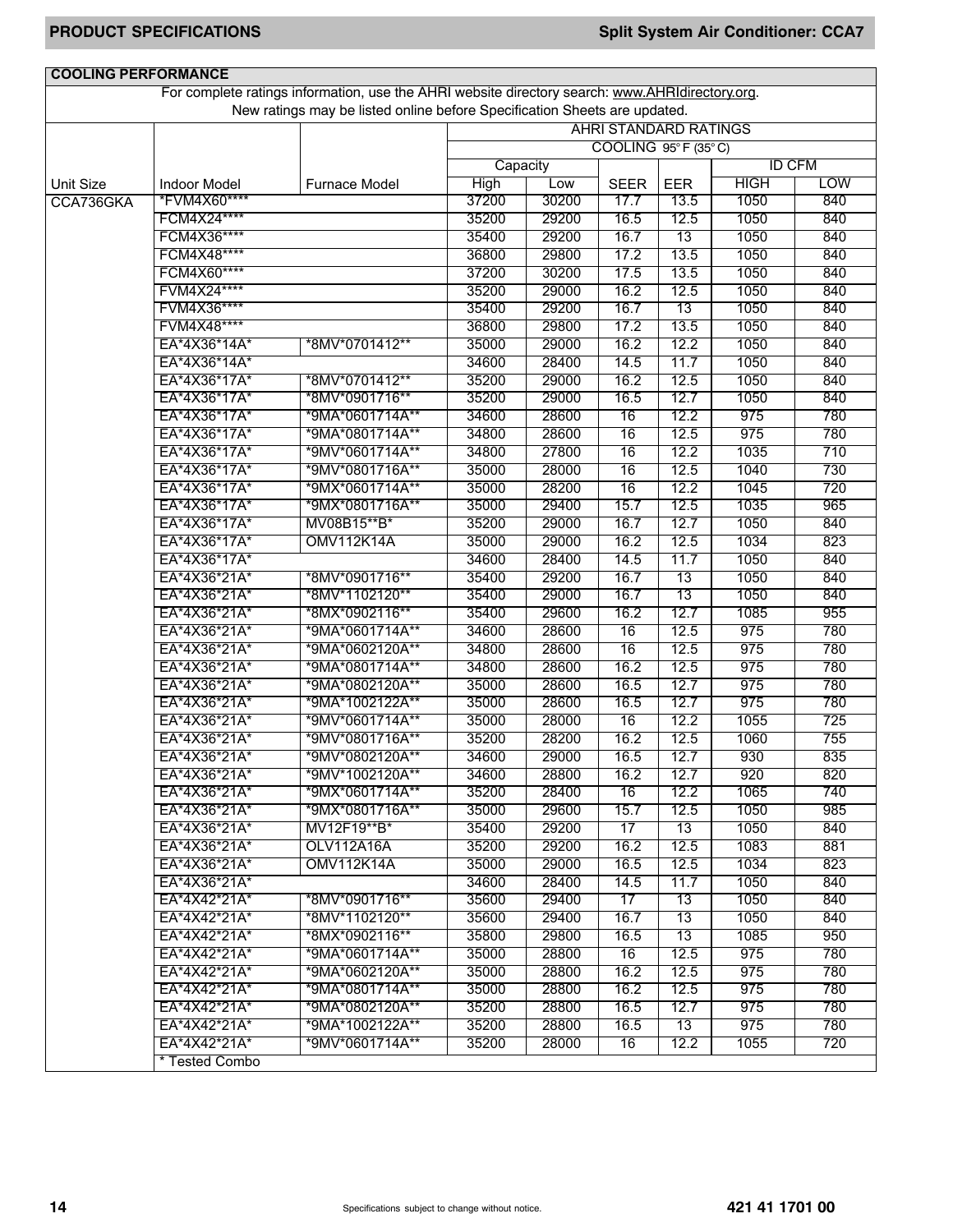| <b>COOLING PERFORMANCE</b>    |                                     | For complete ratings information, use the AHRI website directory search: www.AHRIdirectory.org. |             |       |                     |                              |             |               |
|-------------------------------|-------------------------------------|-------------------------------------------------------------------------------------------------|-------------|-------|---------------------|------------------------------|-------------|---------------|
|                               |                                     | New ratings may be listed online before Specification Sheets are updated.                       |             |       |                     |                              |             |               |
|                               |                                     |                                                                                                 |             |       |                     | <b>AHRI STANDARD RATINGS</b> |             |               |
|                               |                                     |                                                                                                 |             |       |                     | COOLING 95°F (35°C)          |             |               |
|                               |                                     |                                                                                                 | Capacity    |       |                     |                              |             | <b>ID CFM</b> |
|                               |                                     |                                                                                                 | <b>High</b> | Low   |                     |                              | <b>HIGH</b> | <b>LOW</b>    |
| <b>Unit Size</b><br>CCA736GKA | <b>Indoor Model</b><br>*FVM4X60**** | <b>Furnace Model</b>                                                                            | 37200       | 30200 | <b>SEER</b><br>17.7 | <b>EER</b><br>13.5           | 1050        | 840           |
|                               | FCM4X24****                         |                                                                                                 | 35200       | 29200 | 16.5                | 12.5                         | 1050        | 840           |
|                               | FCM4X36****                         |                                                                                                 | 35400       | 29200 | 16.7                | 13                           | 1050        | 840           |
|                               | FCM4X48****                         |                                                                                                 | 36800       | 29800 | 17.2                | 13.5                         | 1050        | 840           |
|                               | FCM4X60****                         |                                                                                                 | 37200       | 30200 | 17.5                | 13.5                         | 1050        | 840           |
|                               | FVM4X24****                         |                                                                                                 | 35200       | 29000 | 16.2                | 12.5                         | 1050        | 840           |
|                               | FVM4X36****                         |                                                                                                 | 35400       | 29200 | 16.7                | 13                           | 1050        | 840           |
|                               | FVM4X48****                         |                                                                                                 | 36800       | 29800 | 17.2                | 13.5                         | 1050        | 840           |
|                               | EA*4X36*14A*                        | *8MV*0701412**                                                                                  | 35000       | 29000 | 16.2                | 12.2                         | 1050        | 840           |
|                               | EA*4X36*14A*                        |                                                                                                 | 34600       | 28400 | 14.5                | 11.7                         | 1050        | 840           |
|                               | EA*4X36*17A*                        | *8MV*0701412**                                                                                  | 35200       | 29000 | 16.2                | 12.5                         | 1050        | 840           |
|                               | EA*4X36*17A*                        | *8MV*0901716**                                                                                  | 35200       | 29000 | 16.5                | 12.7                         | 1050        | 840           |
|                               | EA*4X36*17A*                        | *9MA*0601714A**                                                                                 | 34600       | 28600 | 16                  | 12.2                         | 975         | 780           |
|                               | EA*4X36*17A*                        | *9MA*0801714A**                                                                                 | 34800       | 28600 | 16                  | 12.5                         | 975         | 780           |
|                               | EA*4X36*17A*                        | *9MV*0601714A**                                                                                 | 34800       | 27800 | 16                  | 12.2                         | 1035        | 710           |
|                               | EA*4X36*17A*                        | *9MV*0801716A**                                                                                 | 35000       | 28000 | 16                  | 12.5                         | 1040        | 730           |
|                               | EA*4X36*17A*                        | *9MX*0601714A**                                                                                 | 35000       | 28200 | 16                  | 12.2                         | 1045        | 720           |
|                               | EA*4X36*17A*                        | *9MX*0801716A**                                                                                 | 35000       | 29400 | 15.7                | 12.5                         | 1035        | 965           |
|                               | EA*4X36*17A*                        | MV08B15**B*                                                                                     | 35200       | 29000 | 16.7                | 12.7                         | 1050        | 840           |
|                               | EA*4X36*17A*                        | <b>OMV112K14A</b>                                                                               | 35000       | 29000 | 16.2                | 12.5                         | 1034        | 823           |
|                               | EA*4X36*17A*                        |                                                                                                 | 34600       | 28400 | 14.5                | 11.7                         | 1050        | 840           |
|                               | EA*4X36*21A*                        | *8MV*0901716**                                                                                  | 35400       | 29200 | 16.7                | 13                           | 1050        | 840           |
|                               | EA*4X36*21A*                        | *8MV*1102120**                                                                                  | 35400       | 29000 | 16.7                | 13                           | 1050        | 840           |
|                               | EA*4X36*21A*                        | *8MX*0902116**                                                                                  | 35400       | 29600 | 16.2                | 12.7                         | 1085        | 955           |
|                               | EA*4X36*21A*                        | *9MA*0601714A**                                                                                 | 34600       | 28600 | 16                  | 12.5                         | 975         | 780           |
|                               | EA*4X36*21A*                        | *9MA*0602120A**                                                                                 | 34800       | 28600 | 16                  | 12.5                         | 975         | 780           |
|                               | EA*4X36*21A*                        | *9MA*0801714A**                                                                                 | 34800       | 28600 | 16.2                | 12.5                         | 975         | 780           |
|                               | EA*4X36*21A*                        | *9MA*0802120A**                                                                                 | 35000       | 28600 | 16.5                | 12.7                         | 975         | 780           |
|                               | EA*4X36*21A*                        | *9MA*1002122A**                                                                                 | 35000       | 28600 | 16.5                | 12.7                         | 975         | 780           |
|                               | EA*4X36*21A*                        | *9MV*0601714A**                                                                                 | 35000       | 28000 | 16                  | 12.2                         | 1055        | 725           |
|                               | EA*4X36*21A*                        | *9MV*0801716A**                                                                                 | 35200       | 28200 | 16.2                | 12.5                         | 1060        | 755           |
|                               | EA*4X36*21A*                        | *9MV*0802120A**                                                                                 | 34600       | 29000 | 16.5                | 12.7                         | 930         | 835           |
|                               | EA*4X36*21A*                        | *9MV*1002120A**                                                                                 | 34600       | 28800 | 16.2                | 12.7                         | 920         | 820           |
|                               | EA*4X36*21A*                        | *9MX*0601714A**                                                                                 | 35200       | 28400 | 16                  | 12.2                         | 1065        | 740           |
|                               | EA*4X36*21A*                        | *9MX*0801716A**                                                                                 | 35000       | 29600 | 15.7                | 12.5                         | 1050        | 985           |
|                               | EA*4X36*21A*                        | MV12F19**B*                                                                                     | 35400       | 29200 | 17                  | 13                           | 1050        | 840           |
|                               | EA*4X36*21A*                        | OLV112A16A                                                                                      | 35200       | 29200 | 16.2                | 12.5                         | 1083        | 881           |
|                               | EA*4X36*21A*                        | <b>OMV112K14A</b>                                                                               | 35000       | 29000 | 16.5                | 12.5                         | 1034        | 823           |
|                               | EA*4X36*21A*                        |                                                                                                 | 34600       | 28400 | 14.5                | 11.7                         | 1050        | 840           |
|                               | EA*4X42*21A*                        | *8MV*0901716**                                                                                  | 35600       | 29400 | 17                  | 13                           | 1050        | 840           |
|                               | EA*4X42*21A*                        | *8MV*1102120**                                                                                  | 35600       | 29400 | 16.7                | 13                           | 1050        | 840           |
|                               | EA*4X42*21A*                        | *8MX*0902116**                                                                                  | 35800       | 29800 | 16.5                | 13                           | 1085        | 950           |
|                               | EA*4X42*21A*                        | *9MA*0601714A**                                                                                 | 35000       | 28800 | 16                  | 12.5                         | 975         | 780           |
|                               | EA*4X42*21A*                        | *9MA*0602120A**                                                                                 | 35000       | 28800 | 16.2                | 12.5                         | 975         | 780           |
|                               | EA*4X42*21A*                        | *9MA*0801714A**                                                                                 | 35000       | 28800 | 16.2                | 12.5                         | 975         | 780           |
|                               | EA*4X42*21A*                        | *9MA*0802120A**                                                                                 | 35200       | 28800 | 16.5                | 12.7                         | 975         | 780           |
|                               | EA*4X42*21A*                        | *9MA*1002122A**                                                                                 | 35200       | 28800 | 16.5                | 13                           | 975         | 780           |
|                               | EA*4X42*21A*<br>* Tested Combo      | *9MV*0601714A**                                                                                 | 35200       | 28000 | 16                  | 12.2                         | 1055        | 720           |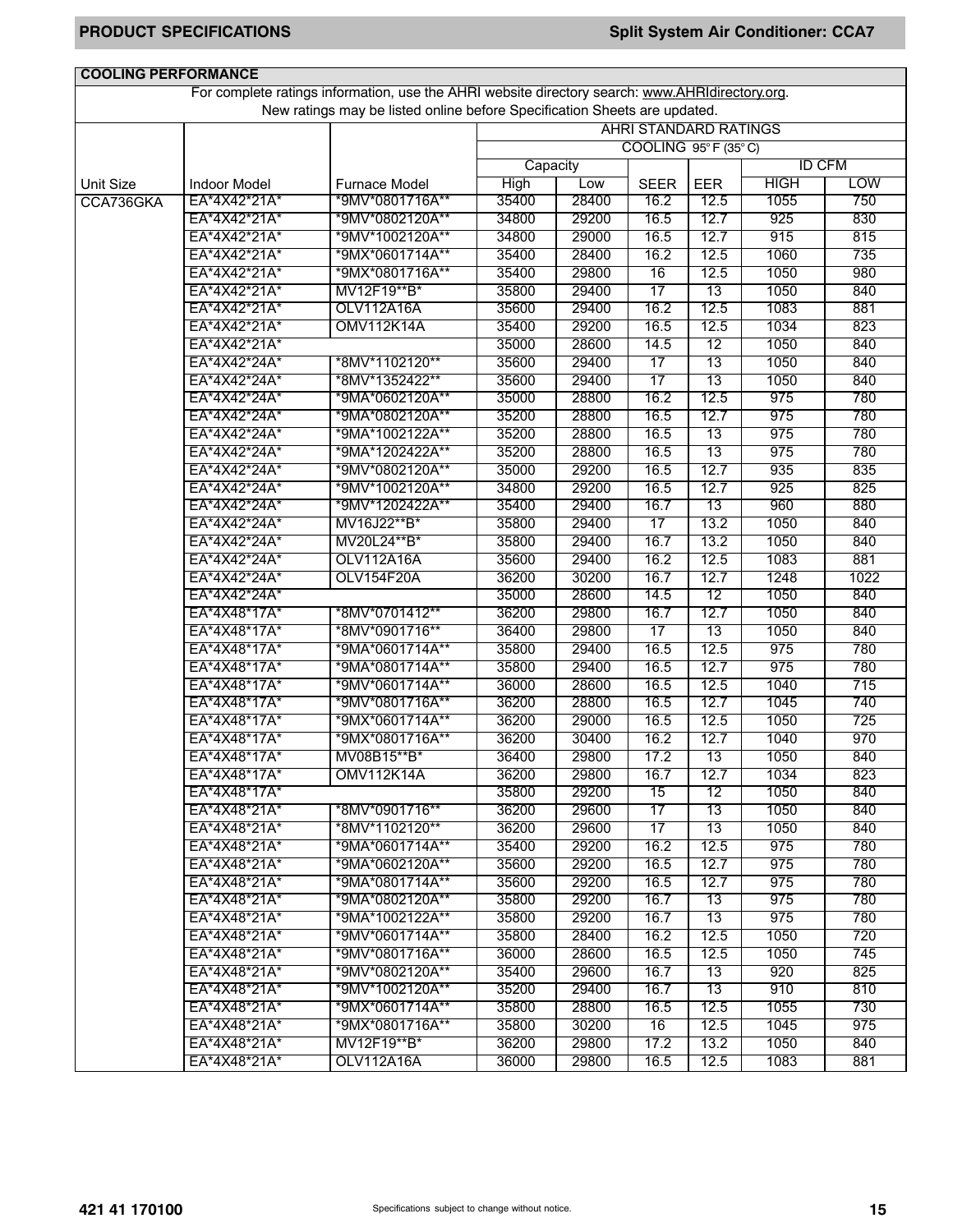| <b>COOLING PERFORMANCE</b> |                     |                                                                                                 |          |       |                              |      |               |            |
|----------------------------|---------------------|-------------------------------------------------------------------------------------------------|----------|-------|------------------------------|------|---------------|------------|
|                            |                     | For complete ratings information, use the AHRI website directory search: www.AHRIdirectory.org. |          |       |                              |      |               |            |
|                            |                     | New ratings may be listed online before Specification Sheets are updated.                       |          |       |                              |      |               |            |
|                            |                     |                                                                                                 |          |       | <b>AHRI STANDARD RATINGS</b> |      |               |            |
|                            |                     |                                                                                                 |          |       | COOLING 95°F (35°C)          |      |               |            |
|                            |                     |                                                                                                 | Capacity |       |                              |      | <b>ID CFM</b> |            |
| <b>Unit Size</b>           | <b>Indoor Model</b> | <b>Furnace Model</b>                                                                            | High     | Low   | <b>SEER</b>                  | EER  | <b>HIGH</b>   | <b>LOW</b> |
| CCA736GKA                  | EA*4X42*21A*        | *9MV*0801716A**                                                                                 | 35400    | 28400 | 16.2                         | 12.5 | 1055          | 750        |
|                            | EA*4X42*21A*        | *9MV*0802120A**                                                                                 | 34800    | 29200 | 16.5                         | 12.7 | 925           | 830        |
|                            | EA*4X42*21A*        | *9MV*1002120A**                                                                                 | 34800    | 29000 | 16.5                         | 12.7 | 915           | 815        |
|                            | EA*4X42*21A*        | *9MX*0601714A**                                                                                 | 35400    | 28400 | 16.2                         | 12.5 | 1060          | 735        |
|                            | EA*4X42*21A*        | *9MX*0801716A**                                                                                 | 35400    | 29800 | 16                           | 12.5 | 1050          | 980        |
|                            | EA*4X42*21A*        | MV12F19**B*                                                                                     | 35800    | 29400 | 17                           | 13   | 1050          | 840        |
|                            | EA*4X42*21A*        | OLV112A16A                                                                                      | 35600    | 29400 | 16.2                         | 12.5 | 1083          | 881        |
|                            | EA*4X42*21A*        | OMV112K14A                                                                                      | 35400    | 29200 | 16.5                         | 12.5 | 1034          | 823        |
|                            | EA*4X42*21A*        |                                                                                                 | 35000    | 28600 | 14.5                         | 12   | 1050          | 840        |
|                            | EA*4X42*24A*        | *8MV*1102120**                                                                                  | 35600    | 29400 | $\overline{17}$              | 13   | 1050          | 840        |
|                            | EA*4X42*24A*        | *8MV*1352422**                                                                                  | 35600    | 29400 | 17                           | 13   | 1050          | 840        |
|                            | EA*4X42*24A*        | *9MA*0602120A**                                                                                 | 35000    | 28800 | 16.2                         | 12.5 | 975           | 780        |
|                            | EA*4X42*24A*        | *9MA*0802120A**                                                                                 | 35200    | 28800 | 16.5                         | 12.7 | 975           | 780        |
|                            | EA*4X42*24A*        | *9MA*1002122A**                                                                                 | 35200    | 28800 | 16.5                         | 13   | 975           | 780        |
|                            | EA*4X42*24A*        | *9MA*1202422A**                                                                                 | 35200    | 28800 | 16.5                         | 13   | 975           | 780        |
|                            | EA*4X42*24A*        | *9MV*0802120A**                                                                                 | 35000    | 29200 | 16.5                         | 12.7 | 935           | 835        |
|                            | EA*4X42*24A*        | *9MV*1002120A**                                                                                 | 34800    | 29200 | 16.5                         | 12.7 | 925           | 825        |
|                            | EA*4X42*24A*        | *9MV*1202422A**                                                                                 | 35400    | 29400 | 16.7                         | 13   | 960           | 880        |
|                            | EA*4X42*24A*        | MV16J22**B*                                                                                     | 35800    | 29400 | 17                           | 13.2 | 1050          | 840        |
|                            | EA*4X42*24A*        | MV20L24**B*                                                                                     | 35800    | 29400 | 16.7                         | 13.2 | 1050          | 840        |
|                            | EA*4X42*24A*        | <b>OLV112A16A</b>                                                                               | 35600    | 29400 | 16.2                         | 12.5 | 1083          | 881        |
|                            | EA*4X42*24A*        | OLV154F20A                                                                                      | 36200    | 30200 | 16.7                         | 12.7 | 1248          | 1022       |
|                            | EA*4X42*24A*        |                                                                                                 | 35000    | 28600 | 14.5                         | 12   | 1050          | 840        |
|                            | EA*4X48*17A*        | *8MV*0701412**                                                                                  | 36200    | 29800 | 16.7                         | 12.7 | 1050          | 840        |
|                            | EA*4X48*17A*        | *8MV*0901716**                                                                                  | 36400    | 29800 | 17                           | 13   | 1050          | 840        |
|                            | EA*4X48*17A*        | *9MA*0601714A**                                                                                 | 35800    | 29400 | 16.5                         | 12.5 | 975           | 780        |
|                            | EA*4X48*17A*        | *9MA*0801714A**                                                                                 | 35800    | 29400 | 16.5                         | 12.7 | 975           | 780        |
|                            | EA*4X48*17A*        | *9MV*0601714A**                                                                                 | 36000    | 28600 | 16.5                         | 12.5 | 1040          | 715        |
|                            | EA*4X48*17A*        | *9MV*0801716A**                                                                                 | 36200    | 28800 | 16.5                         | 12.7 | 1045          | 740        |
|                            | EA*4X48*17A*        | *9MX*0601714A**                                                                                 | 36200    | 29000 | 16.5                         | 12.5 | 1050          | 725        |
|                            | EA*4X48*17A*        | *9MX*0801716A**                                                                                 | 36200    | 30400 | 16.2                         | 12.7 | 1040          | 970        |
|                            | EA*4X48*17A*        | MV08B15**B*                                                                                     | 36400    | 29800 | 17.2                         | 13   | 1050          | 840        |
|                            | EA*4X48*17A*        | <b>OMV112K14A</b>                                                                               | 36200    | 29800 | 16.7                         | 12.7 | 1034          | 823        |
|                            | EA*4X48*17A*        |                                                                                                 | 35800    | 29200 | 15                           | 12   | 1050          | 840        |
|                            | EA*4X48*21A*        | *8MV*0901716**                                                                                  | 36200    | 29600 | $\overline{17}$              | 13   | 1050          | 840        |
|                            | EA*4X48*21A*        | *8MV*1102120**                                                                                  | 36200    | 29600 | 17                           | 13   | 1050          | 840        |
|                            | EA*4X48*21A*        | *9MA*0601714A**                                                                                 | 35400    | 29200 | 16.2                         | 12.5 | 975           | 780        |
|                            | EA*4X48*21A*        | *9MA*0602120A**                                                                                 | 35600    | 29200 | 16.5                         | 12.7 | 975           | 780        |
|                            | EA*4X48*21A*        | *9MA*0801714A**                                                                                 | 35600    | 29200 | 16.5                         | 12.7 | 975           | 780        |
|                            | EA*4X48*21A*        | *9MA*0802120A**                                                                                 | 35800    | 29200 | 16.7                         | 13   | 975           | 780        |
|                            | EA*4X48*21A*        | *9MA*1002122A**                                                                                 | 35800    | 29200 | 16.7                         | 13   | 975           | 780        |
|                            | EA*4X48*21A*        | *9MV*0601714A**                                                                                 | 35800    | 28400 | 16.2                         | 12.5 | 1050          | 720        |
|                            | EA*4X48*21A*        | *9MV*0801716A**                                                                                 | 36000    | 28600 | 16.5                         | 12.5 | 1050          | 745        |
|                            | EA*4X48*21A*        | *9MV*0802120A**                                                                                 | 35400    | 29600 | 16.7                         | 13   | 920           | 825        |
|                            | EA*4X48*21A*        | *9MV*1002120A**                                                                                 | 35200    | 29400 | 16.7                         | 13   | 910           | 810        |
|                            | EA*4X48*21A*        | *9MX*0601714A**                                                                                 | 35800    | 28800 | 16.5                         | 12.5 | 1055          | 730        |
|                            | EA*4X48*21A*        | *9MX*0801716A**                                                                                 | 35800    | 30200 | 16                           | 12.5 | 1045          | 975        |
|                            | EA*4X48*21A*        | MV12F19**B*                                                                                     | 36200    | 29800 | 17.2                         | 13.2 | 1050          | 840        |
|                            | EA*4X48*21A*        | OLV112A16A                                                                                      | 36000    | 29800 | 16.5                         | 12.5 | 1083          | 881        |
|                            |                     |                                                                                                 |          |       |                              |      |               |            |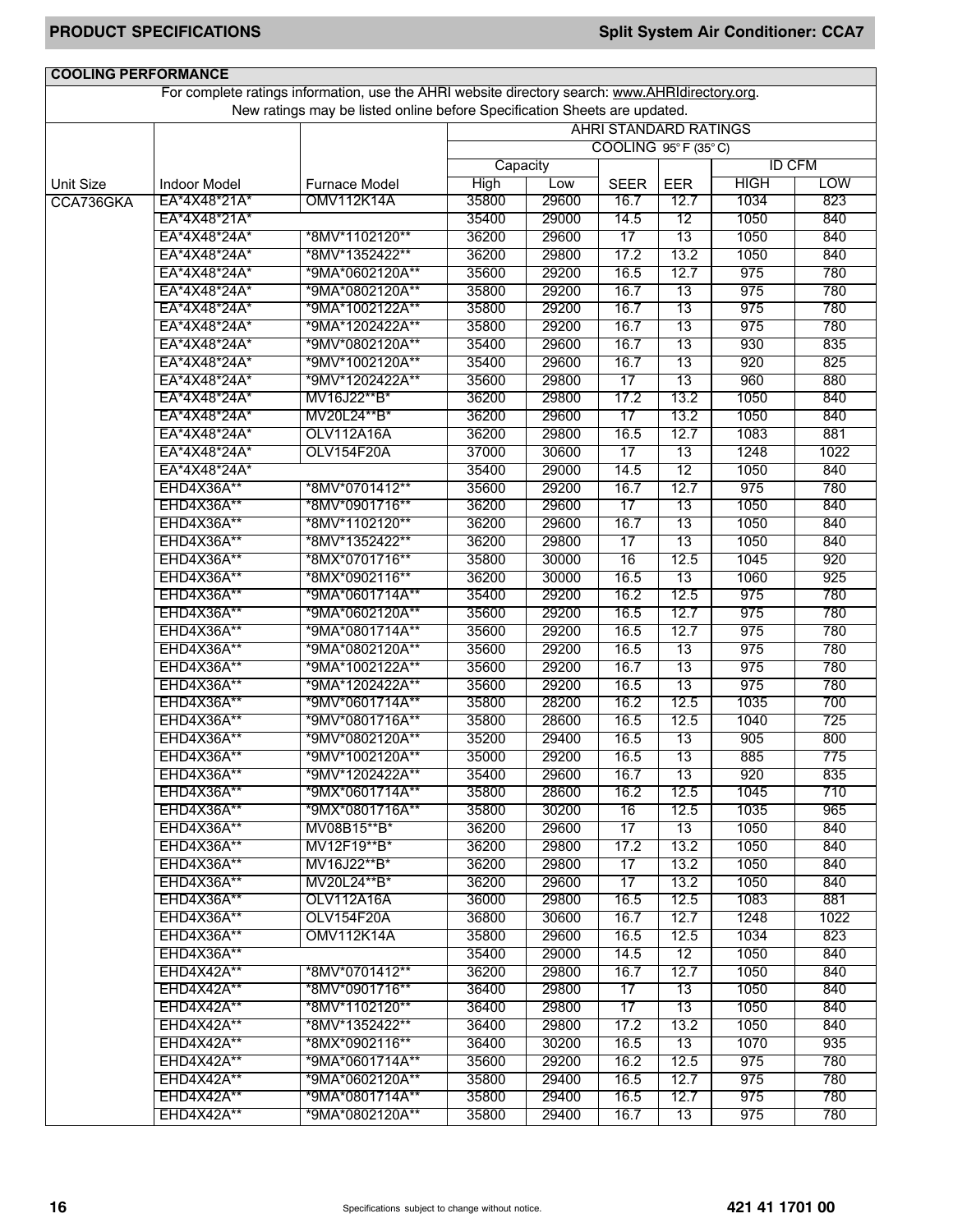| <b>COOLING PERFORMANCE</b> |                     |                                                                                                 |             |       |                       |                 |               |            |
|----------------------------|---------------------|-------------------------------------------------------------------------------------------------|-------------|-------|-----------------------|-----------------|---------------|------------|
|                            |                     | For complete ratings information, use the AHRI website directory search: www.AHRIdirectory.org. |             |       |                       |                 |               |            |
|                            |                     | New ratings may be listed online before Specification Sheets are updated.                       |             |       |                       |                 |               |            |
|                            |                     |                                                                                                 |             |       | AHRI STANDARD RATINGS |                 |               |            |
|                            |                     |                                                                                                 |             |       | COOLING 95°F (35°C)   |                 |               |            |
|                            |                     |                                                                                                 | Capacity    |       |                       |                 | <b>ID CFM</b> |            |
| <b>Unit Size</b>           | <b>Indoor Model</b> | <b>Furnace Model</b>                                                                            | <b>High</b> | Low   | <b>SEER</b>           | EER             | <b>HIGH</b>   | <b>LOW</b> |
| CCA736GKA                  | EA*4X48*21A*        | <b>OMV112K14A</b>                                                                               | 35800       | 29600 | 16.7                  | 12.7            | 1034          | 823        |
|                            | EA*4X48*21A*        |                                                                                                 | 35400       | 29000 | 14.5                  | 12              | 1050          | 840        |
|                            | EA*4X48*24A*        | *8MV*1102120**                                                                                  | 36200       | 29600 | $\overline{17}$       | 13              | 1050          | 840        |
|                            | EA*4X48*24A*        | *8MV*1352422**                                                                                  | 36200       | 29800 | 17.2                  | 13.2            | 1050          | 840        |
|                            | EA*4X48*24A*        | *9MA*0602120A**                                                                                 | 35600       | 29200 | 16.5                  | 12.7            | 975           | 780        |
|                            | EA*4X48*24A*        | *9MA*0802120A**                                                                                 | 35800       | 29200 | 16.7                  | 13              | 975           | 780        |
|                            | EA*4X48*24A*        | *9MA*1002122A**                                                                                 | 35800       | 29200 | 16.7                  | 13              | 975           | 780        |
|                            | EA*4X48*24A*        | *9MA*1202422A**                                                                                 | 35800       | 29200 | 16.7                  | 13              | 975           | 780        |
|                            | EA*4X48*24A*        | *9MV*0802120A**                                                                                 | 35400       | 29600 | 16.7                  | 13              | 930           | 835        |
|                            | EA*4X48*24A*        | *9MV*1002120A**                                                                                 | 35400       | 29600 | 16.7                  | 13              | 920           | 825        |
|                            | EA*4X48*24A*        | *9MV*1202422A**                                                                                 | 35600       | 29800 | 17                    | 13              | 960           | 880        |
|                            | EA*4X48*24A*        | MV16J22**B*                                                                                     | 36200       | 29800 | 17.2                  | 13.2            | 1050          | 840        |
|                            | EA*4X48*24A*        | MV20L24**B*                                                                                     | 36200       | 29600 | 17                    | 13.2            | 1050          | 840        |
|                            | EA*4X48*24A*        | <b>OLV112A16A</b>                                                                               | 36200       | 29800 | 16.5                  | 12.7            | 1083          | 881        |
|                            | EA*4X48*24A*        | OLV154F20A                                                                                      | 37000       | 30600 | 17                    | 13              | 1248          | 1022       |
|                            | EA*4X48*24A*        |                                                                                                 | 35400       | 29000 | 14.5                  | 12              | 1050          | 840        |
|                            | EHD4X36A**          | *8MV*0701412**                                                                                  | 35600       | 29200 | 16.7                  | 12.7            | 975           | 780        |
|                            | EHD4X36A**          | *8MV*0901716**                                                                                  | 36200       | 29600 | 17                    | 13              | 1050          | 840        |
|                            | EHD4X36A**          | *8MV*1102120**                                                                                  | 36200       | 29600 | 16.7                  | 13              | 1050          | 840        |
|                            | EHD4X36A**          | *8MV*1352422**                                                                                  | 36200       | 29800 | $\overline{17}$       | 13              | 1050          | 840        |
|                            | EHD4X36A**          | *8MX*0701716**                                                                                  | 35800       | 30000 | 16                    | 12.5            | 1045          | 920        |
|                            | EHD4X36A**          | *8MX*0902116**                                                                                  | 36200       | 30000 | 16.5                  | 13              | 1060          | 925        |
|                            | EHD4X36A**          | *9MA*0601714A**                                                                                 | 35400       | 29200 | 16.2                  | 12.5            | 975           | 780        |
|                            | EHD4X36A**          | *9MA*0602120A**                                                                                 | 35600       | 29200 | 16.5                  | 12.7            | 975           | 780        |
|                            | EHD4X36A**          | *9MA*0801714A**                                                                                 | 35600       | 29200 | 16.5                  | 12.7            | 975           | 780        |
|                            | EHD4X36A**          | *9MA*0802120A**                                                                                 | 35600       | 29200 | 16.5                  | 13              | 975           | 780        |
|                            | EHD4X36A**          | *9MA*1002122A**                                                                                 | 35600       | 29200 | 16.7                  | 13              | 975           | 780        |
|                            | EHD4X36A**          | *9MA*1202422A**                                                                                 | 35600       | 29200 | 16.5                  | 13              | 975           | 780        |
|                            | EHD4X36A**          | *9MV*0601714A**                                                                                 | 35800       | 28200 | 16.2                  | 12.5            | 1035          | 700        |
|                            | EHD4X36A**          | *9MV*0801716A**                                                                                 | 35800       | 28600 | 16.5                  | 12.5            | 1040          | 725        |
|                            | <b>EHD4X36A**</b>   | *9MV*0802120A**                                                                                 | 35200       | 29400 | 16.5                  | 13              | 905           | 800        |
|                            | EHD4X36A**          | *9MV*1002120A**                                                                                 | 35000       | 29200 | 16.5                  | 13              | 885           | 775        |
|                            | EHD4X36A**          | *9MV*1202422A**                                                                                 | 35400       | 29600 | 16.7                  | 13              | 920           | 835        |
|                            | EHD4X36A**          | *9MX*0601714A**                                                                                 | 35800       | 28600 | 16.2                  | 12.5            | 1045          | 710        |
|                            | <b>EHD4X36A**</b>   | *9MX*0801716A**                                                                                 | 35800       | 30200 | 16                    | 12.5            | 1035          | 965        |
|                            | EHD4X36A**          | MV08B15**B*                                                                                     | 36200       | 29600 | 17                    | 13              | 1050          | 840        |
|                            | EHD4X36A**          | MV12F19**B*                                                                                     | 36200       | 29800 | 17.2                  | 13.2            | 1050          | 840        |
|                            | <b>EHD4X36A**</b>   | MV16J22**B*                                                                                     | 36200       | 29800 | $\overline{17}$       | 13.2            | 1050          | 840        |
|                            | <b>EHD4X36A**</b>   | MV20L24**B*                                                                                     | 36200       | 29600 | $\overline{17}$       | 13.2            | 1050          | 840        |
|                            | EHD4X36A**          | OLV112A16A                                                                                      | 36000       | 29800 | 16.5                  | 12.5            | 1083          | 881        |
|                            | EHD4X36A**          | OLV154F20A                                                                                      | 36800       | 30600 | 16.7                  | 12.7            | 1248          | 1022       |
|                            | EHD4X36A**          | <b>OMV112K14A</b>                                                                               | 35800       | 29600 | 16.5                  | 12.5            | 1034          | 823        |
|                            | EHD4X36A**          |                                                                                                 | 35400       | 29000 | 14.5                  | 12              | 1050          | 840        |
|                            | EHD4X42A**          | *8MV*0701412**                                                                                  | 36200       | 29800 | 16.7                  | 12.7            | 1050          | 840        |
|                            | EHD4X42A**          | *8MV*0901716**                                                                                  | 36400       | 29800 | $\overline{17}$       | $\overline{13}$ | 1050          | 840        |
|                            | EHD4X42A**          | *8MV*1102120**                                                                                  | 36400       | 29800 | $\overline{17}$       | 13              | 1050          | 840        |
|                            | EHD4X42A**          | *8MV*1352422**                                                                                  | 36400       | 29800 | 17.2                  | 13.2            | 1050          | 840        |
|                            | EHD4X42A**          | *8MX*0902116**                                                                                  | 36400       | 30200 | 16.5                  | 13              | 1070          | 935        |
|                            | EHD4X42A**          | *9MA*0601714A**                                                                                 | 35600       | 29200 | 16.2                  | 12.5            | 975           | 780        |
|                            | EHD4X42A**          | *9MA*0602120A**                                                                                 | 35800       | 29400 | 16.5                  | 12.7            | 975           | 780        |
|                            | EHD4X42A**          | *9MA*0801714A**                                                                                 | 35800       | 29400 | 16.5                  | 12.7            | 975           | 780        |
|                            | EHD4X42A**          | *9MA*0802120A**                                                                                 | 35800       | 29400 | 16.7                  | 13              | 975           | 780        |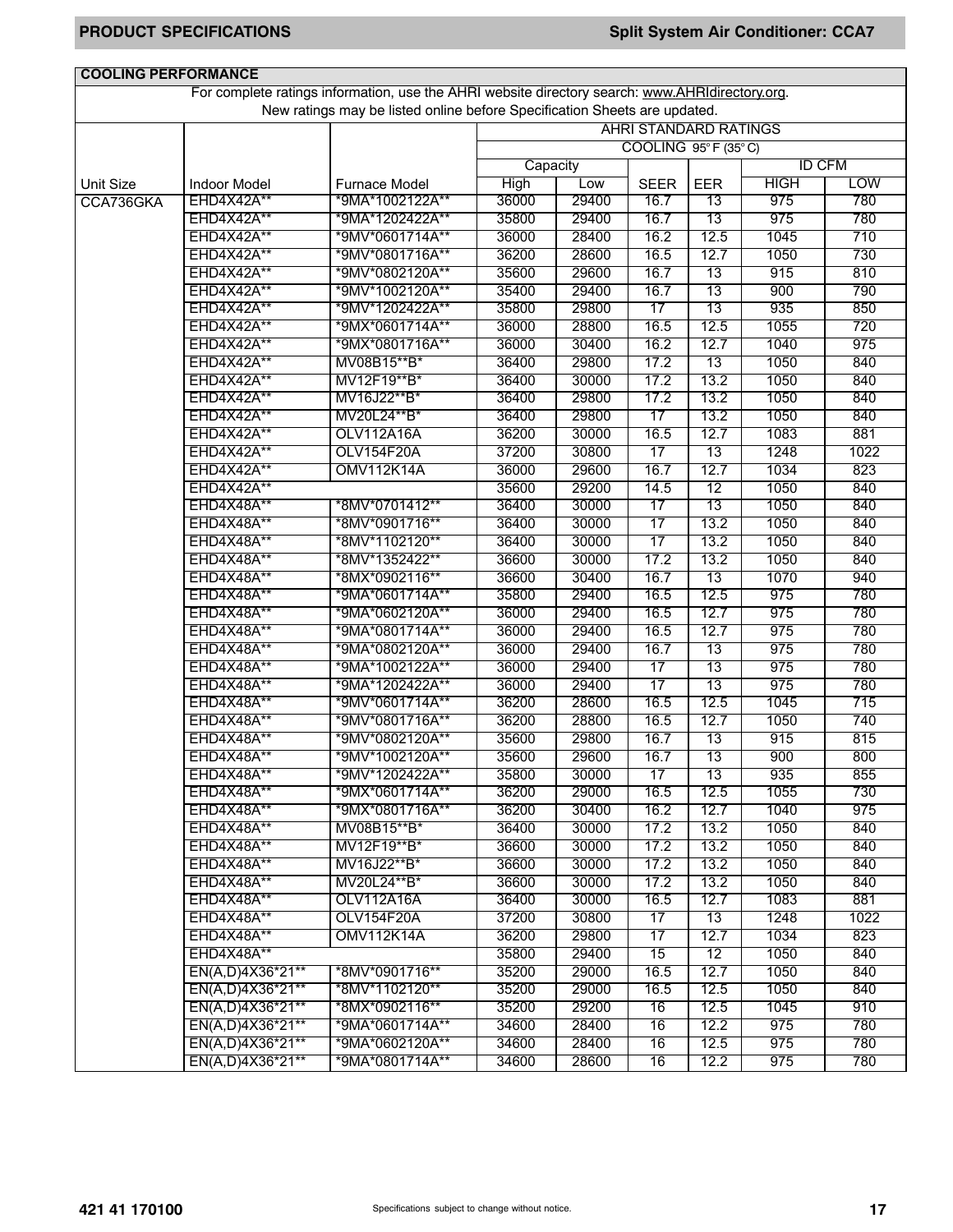| <b>COOLING PERFORMANCE</b> |                     |                                                                                                 |          |       |                              |            |             |               |
|----------------------------|---------------------|-------------------------------------------------------------------------------------------------|----------|-------|------------------------------|------------|-------------|---------------|
|                            |                     | For complete ratings information, use the AHRI website directory search: www.AHRIdirectory.org. |          |       |                              |            |             |               |
|                            |                     | New ratings may be listed online before Specification Sheets are updated.                       |          |       |                              |            |             |               |
|                            |                     |                                                                                                 |          |       | <b>AHRI STANDARD RATINGS</b> |            |             |               |
|                            |                     |                                                                                                 |          |       | COOLING 95°F (35°C)          |            |             |               |
|                            |                     |                                                                                                 | Capacity |       |                              |            |             | <b>ID CFM</b> |
| Unit Size                  | <b>Indoor Model</b> | Furnace Model                                                                                   | High     | Low   | <b>SEER</b>                  | <b>EER</b> | <b>HIGH</b> | <b>LOW</b>    |
| CCA736GKA                  | EHD4X42A**          | *9MA*1002122A**                                                                                 | 36000    | 29400 | 16.7                         | 13         | 975         | 780           |
|                            | EHD4X42A**          | *9MA*1202422A**                                                                                 | 35800    | 29400 | 16.7                         | 13         | 975         | 780           |
|                            | EHD4X42A**          | *9MV*0601714A**                                                                                 | 36000    | 28400 | 16.2                         | 12.5       | 1045        | 710           |
|                            | EHD4X42A**          | *9MV*0801716A**                                                                                 | 36200    | 28600 | 16.5                         | 12.7       | 1050        | 730           |
|                            | EHD4X42A**          | *9MV*0802120A**                                                                                 | 35600    | 29600 | 16.7                         | 13         | 915         | 810           |
|                            | EHD4X42A**          | *9MV*1002120A**                                                                                 | 35400    | 29400 | 16.7                         | 13         | 900         | 790           |
|                            | EHD4X42A**          | *9MV*1202422A**                                                                                 | 35800    | 29800 | 17                           | 13         | 935         | 850           |
|                            | EHD4X42A**          | *9MX*0601714A**                                                                                 | 36000    | 28800 | 16.5                         | 12.5       | 1055        | 720           |
|                            | EHD4X42A**          | *9MX*0801716A**                                                                                 | 36000    | 30400 | 16.2                         | 12.7       | 1040        | 975           |
|                            | EHD4X42A**          | MV08B15**B*                                                                                     | 36400    | 29800 | 17.2                         | 13         | 1050        | 840           |
|                            | <b>EHD4X42A**</b>   | MV12F19**B*                                                                                     | 36400    | 30000 | 17.2                         | 13.2       | 1050        | 840           |
|                            | EHD4X42A**          | MV16J22**B*                                                                                     | 36400    | 29800 | 17.2                         | 13.2       | 1050        | 840           |
|                            | EHD4X42A**          | MV20L24**B*                                                                                     | 36400    | 29800 | 17                           | 13.2       | 1050        | 840           |
|                            | EHD4X42A**          | <b>OLV112A16A</b>                                                                               | 36200    | 30000 | 16.5                         | 12.7       | 1083        | 881           |
|                            | EHD4X42A**          | OLV154F20A                                                                                      | 37200    | 30800 | 17                           | 13         | 1248        | 1022          |
|                            | EHD4X42A**          | <b>OMV112K14A</b>                                                                               | 36000    | 29600 | 16.7                         | 12.7       | 1034        | 823           |
|                            | EHD4X42A**          |                                                                                                 | 35600    | 29200 | 14.5                         | 12         | 1050        | 840           |
|                            | EHD4X48A**          | *8MV*0701412**                                                                                  | 36400    | 30000 | $\overline{17}$              | 13         | 1050        | 840           |
|                            | EHD4X48A**          | *8MV*0901716**                                                                                  | 36400    | 30000 | 17                           | 13.2       | 1050        | 840           |
|                            | EHD4X48A**          | *8MV*1102120**                                                                                  | 36400    | 30000 | $\overline{17}$              | 13.2       | 1050        | 840           |
|                            | EHD4X48A**          | *8MV*1352422**                                                                                  | 36600    | 30000 | 17.2                         | 13.2       | 1050        | 840           |
|                            | EHD4X48A**          | *8MX*0902116**                                                                                  | 36600    | 30400 | 16.7                         | 13         | 1070        | 940           |
|                            | EHD4X48A**          | *9MA*0601714A**                                                                                 | 35800    | 29400 | 16.5                         | 12.5       | 975         | 780           |
|                            | EHD4X48A**          | *9MA*0602120A**                                                                                 | 36000    | 29400 | 16.5                         | 12.7       | 975         | 780           |
|                            | EHD4X48A**          | *9MA*0801714A**                                                                                 | 36000    | 29400 | 16.5                         | 12.7       | 975         | 780           |
|                            | EHD4X48A**          | *9MA*0802120A**                                                                                 | 36000    | 29400 | 16.7                         | 13         | 975         | 780           |
|                            | EHD4X48A**          | *9MA*1002122A**                                                                                 | 36000    | 29400 | $\overline{17}$              | 13         | 975         | 780           |
|                            | EHD4X48A**          | *9MA*1202422A**                                                                                 | 36000    | 29400 | $\overline{17}$              | 13         | 975         | 780           |
|                            | EHD4X48A**          | *9MV*0601714A**                                                                                 | 36200    | 28600 | 16.5                         | 12.5       | 1045        | 715           |
|                            | EHD4X48A**          | *9MV*0801716A**                                                                                 | 36200    | 28800 | 16.5                         | 12.7       | 1050        | 740           |
|                            | EHD4X48A**          | *9MV*0802120A**                                                                                 | 35600    | 29800 | 16.7                         | 13         | 915         | 815           |
|                            | EHD4X48A**          | *9MV*1002120A**                                                                                 | 35600    | 29600 | 16.7                         | 13         | 900         | 800           |
|                            | EHD4X48A**          | *9MV*1202422A**                                                                                 | 35800    | 30000 | 17                           | 13         | 935         | 855           |
|                            | EHD4X48A**          | *9MX*0601714A**                                                                                 | 36200    | 29000 | 16.5                         | 12.5       | 1055        | 730           |
|                            | EHD4X48A**          | *9MX*0801716A**                                                                                 | 36200    | 30400 | 16.2                         | 12.7       | 1040        | 975           |
|                            | EHD4X48A**          | MV08B15**B*                                                                                     | 36400    | 30000 | 17.2                         | 13.2       | 1050        | 840           |
|                            | EHD4X48A**          | MV12F19**B*                                                                                     | 36600    | 30000 | 17.2                         | 13.2       | 1050        | 840           |
|                            | EHD4X48A**          | MV16J22**B*                                                                                     | 36600    | 30000 | 17.2                         | 13.2       | 1050        | 840           |
|                            | EHD4X48A**          | MV20L24**B*                                                                                     | 36600    | 30000 | 17.2                         | 13.2       | 1050        | 840           |
|                            | EHD4X48A**          | <b>OLV112A16A</b>                                                                               | 36400    | 30000 | 16.5                         | 12.7       | 1083        | 881           |
|                            | EHD4X48A**          | OLV154F20A                                                                                      | 37200    | 30800 | 17                           | 13         | 1248        | 1022          |
|                            | EHD4X48A**          | <b>OMV112K14A</b>                                                                               | 36200    | 29800 | $\overline{17}$              | 12.7       | 1034        | 823           |
|                            | EHD4X48A**          |                                                                                                 | 35800    | 29400 | 15                           | 12         | 1050        | 840           |
|                            | EN(A,D)4X36*21**    | *8MV*0901716**                                                                                  | 35200    | 29000 | 16.5                         | 12.7       | 1050        | 840           |
|                            | EN(A,D)4X36*21**    | *8MV*1102120**                                                                                  | 35200    | 29000 | 16.5                         | 12.5       | 1050        | 840           |
|                            | EN(A,D)4X36*21**    | *8MX*0902116**                                                                                  | 35200    | 29200 | 16                           | 12.5       | 1045        | 910           |
|                            | EN(A,D)4X36*21**    | *9MA*0601714A**                                                                                 | 34600    | 28400 | 16                           | 12.2       | 975         | 780           |
|                            | EN(A,D)4X36*21**    | *9MA*0602120A**                                                                                 | 34600    | 28400 | 16                           | 12.5       | 975         | 780           |
|                            | EN(A,D)4X36*21**    | *9MA*0801714A**                                                                                 | 34600    | 28600 | 16                           | 12.2       | 975         | 780           |
|                            |                     |                                                                                                 |          |       |                              |            |             |               |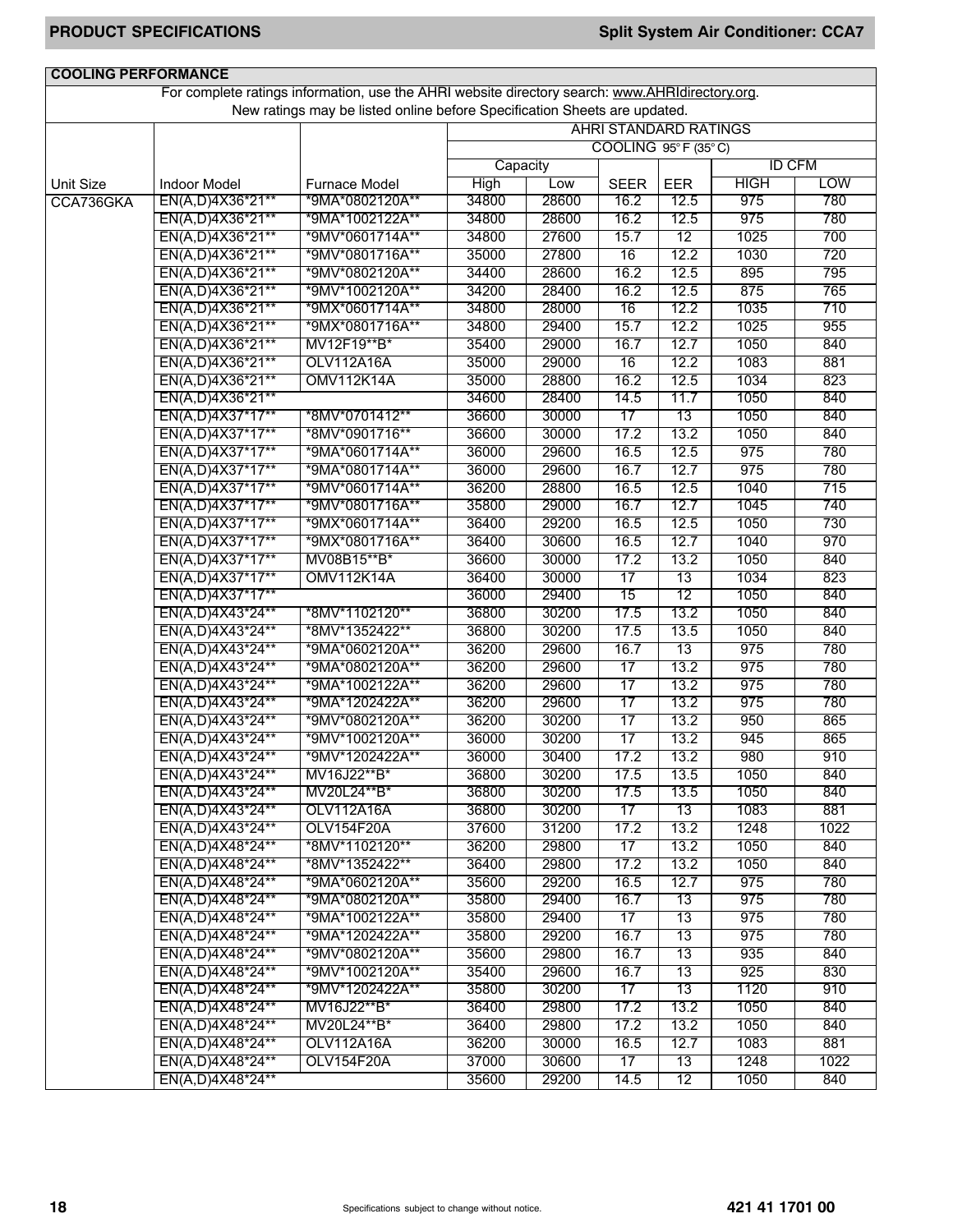| <b>COOLING PERFORMANCE</b> |                                      |                                                                                                 |                |                |                              |                 |               |            |  |
|----------------------------|--------------------------------------|-------------------------------------------------------------------------------------------------|----------------|----------------|------------------------------|-----------------|---------------|------------|--|
|                            |                                      | For complete ratings information, use the AHRI website directory search: www.AHRIdirectory.org. |                |                |                              |                 |               |            |  |
|                            |                                      | New ratings may be listed online before Specification Sheets are updated.                       |                |                |                              |                 |               |            |  |
|                            |                                      |                                                                                                 |                |                | <b>AHRI STANDARD RATINGS</b> |                 |               |            |  |
|                            |                                      |                                                                                                 |                |                | COOLING 95°F (35°C)          |                 |               |            |  |
|                            |                                      |                                                                                                 | Capacity       |                |                              |                 | <b>ID CFM</b> |            |  |
| <b>Unit Size</b>           | <b>Indoor Model</b>                  | Furnace Model                                                                                   | <b>High</b>    | Low            | <b>SEER</b>                  | EER             | <b>HIGH</b>   | <b>LOW</b> |  |
| CCA736GKA                  | EN(A,D)4X36*21**                     | *9MA*0802120A**                                                                                 | 34800          | 28600          | 16.2                         | 12.5            | 975           | 780        |  |
|                            | EN(A,D)4X36*21**                     | *9MA*1002122A**                                                                                 | 34800          | 28600          | 16.2                         | 12.5            | 975           | 780        |  |
|                            | EN(A,D)4X36*21**                     | *9MV*0601714A**                                                                                 | 34800          | 27600          | 15.7                         | 12              | 1025          | 700        |  |
|                            | EN(A,D)4X36*21**                     | *9MV*0801716A**                                                                                 | 35000          | 27800          | 16                           | 12.2            | 1030          | 720        |  |
|                            | EN(A,D)4X36*21**                     | *9MV*0802120A**                                                                                 | 34400          | 28600          | 16.2                         | 12.5            | 895           | 795        |  |
|                            | EN(A,D)4X36*21**                     | *9MV*1002120A**                                                                                 | 34200          | 28400          | 16.2                         | 12.5            | 875           | 765        |  |
|                            | EN(A,D)4X36*21**                     | *9MX*0601714A**                                                                                 | 34800          | 28000          | 16                           | 12.2            | 1035          | 710        |  |
|                            | EN(A,D)4X36*21**                     | *9MX*0801716A**                                                                                 | 34800          | 29400          | 15.7                         | 12.2            | 1025          | 955        |  |
|                            | EN(A,D)4X36*21**                     | MV12F19**B*                                                                                     | 35400          | 29000          | 16.7                         | 12.7            | 1050          | 840        |  |
|                            | EN(A,D)4X36*21**                     | OLV112A16A                                                                                      | 35000          | 29000          | 16                           | 12.2            | 1083          | 881        |  |
|                            | EN(A,D)4X36*21**                     | <b>OMV112K14A</b>                                                                               | 35000          | 28800          | 16.2                         | 12.5            | 1034          | 823        |  |
|                            | EN(A,D)4X36*21**                     |                                                                                                 | 34600          | 28400          | 14.5                         | 11.7            | 1050          | 840        |  |
|                            | EN(A,D)4X37*17**                     | *8MV*0701412**                                                                                  | 36600          | 30000          | 17                           | 13              | 1050          | 840        |  |
|                            | EN(A,D)4X37*17**                     | *8MV*0901716**                                                                                  | 36600          | 30000          | 17.2                         | 13.2            | 1050          | 840        |  |
|                            | EN(A,D)4X37*17**                     | *9MA*0601714A**                                                                                 | 36000          | 29600          | 16.5                         | 12.5            | 975           | 780        |  |
|                            | EN(A,D)4X37*17**                     | *9MA*0801714A**                                                                                 | 36000          | 29600          | 16.7                         | 12.7            | 975           | 780        |  |
|                            | EN(A,D)4X37*17**                     | *9MV*0601714A**                                                                                 | 36200          | 28800          | 16.5                         | 12.5            | 1040          | 715        |  |
|                            | EN(A,D)4X37*17**                     | *9MV*0801716A**                                                                                 | 35800          | 29000          | 16.7                         | 12.7            | 1045          | 740        |  |
|                            | EN(A,D)4X37*17**                     | *9MX*0601714A**                                                                                 | 36400          | 29200          | 16.5                         | 12.5            | 1050          | 730        |  |
|                            | EN(A,D)4X37*17**                     | *9MX*0801716A**                                                                                 | 36400          | 30600          | 16.5                         | 12.7            | 1040          | 970        |  |
|                            | EN(A,D)4X37*17**                     | MV08B15**B*                                                                                     | 36600          | 30000          | 17.2                         | 13.2            | 1050          | 840        |  |
|                            | EN(A,D)4X37*17**                     | <b>OMV112K14A</b>                                                                               | 36400          | 30000          | 17                           | 13              | 1034          | 823        |  |
|                            | EN(A,D)4X37*17**                     |                                                                                                 | 36000          | 29400          | 15                           | 12              | 1050          | 840        |  |
|                            | EN(A,D)4X43*24**                     | *8MV*1102120**                                                                                  | 36800          | 30200          | 17.5                         | 13.2            | 1050          | 840        |  |
|                            | EN(A,D)4X43*24**                     | *8MV*1352422**                                                                                  | 36800          | 30200          | 17.5                         | 13.5            | 1050          | 840        |  |
|                            | EN(A,D)4X43*24**                     | *9MA*0602120A**                                                                                 | 36200<br>36200 | 29600          | 16.7                         | 13              | 975<br>975    | 780        |  |
|                            | EN(A,D)4X43*24**                     | *9MA*0802120A**                                                                                 |                | 29600<br>29600 | $\overline{17}$              | 13.2<br>13.2    | 975           | 780        |  |
|                            | EN(A,D)4X43*24**<br>EN(A,D)4X43*24** | *9MA*1002122A**<br>*9MA*1202422A**                                                              | 36200<br>36200 | 29600          | $\overline{17}$<br>17        | 13.2            | 975           | 780<br>780 |  |
|                            | EN(A,D)4X43*24**                     | *9MV*0802120A**                                                                                 | 36200          | 30200          | 17                           | 13.2            | 950           | 865        |  |
|                            | EN(A,D)4X43*24**                     | *9MV*1002120A**                                                                                 | 36000          | 30200          | $\overline{17}$              | 13.2            | 945           | 865        |  |
|                            |                                      | *9MV*1202422A**                                                                                 | 36000          | 30400          | 17.2                         | 13.2            | 980           | 910        |  |
|                            | EN(A,D)4X43*24**<br>EN(A,D)4X43*24** | MV16J22**B*                                                                                     | 36800          | 30200          | 17.5                         | 13.5            | 1050          | 840        |  |
|                            | EN(A,D)4X43*24**                     | MV20L24**B*                                                                                     | 36800          | 30200          | 17.5                         | 13.5            | 1050          | 840        |  |
|                            | EN(A,D)4X43*24**                     | OLV112A16A                                                                                      | 36800          | 30200          | 17                           | 13              | 1083          | 881        |  |
|                            | EN(A,D)4X43*24**                     | OLV154F20A                                                                                      | 37600          | 31200          | 17.2                         | 13.2            | 1248          | 1022       |  |
|                            | EN(A,D)4X48*24**                     | *8MV*1102120**                                                                                  | 36200          | 29800          | 17                           | 13.2            | 1050          | 840        |  |
|                            | EN(A,D)4X48*24**                     | *8MV*1352422**                                                                                  | 36400          | 29800          | 17.2                         | 13.2            | 1050          | 840        |  |
|                            | EN(A,D)4X48*24**                     | *9MA*0602120A**                                                                                 | 35600          | 29200          | 16.5                         | 12.7            | 975           | 780        |  |
|                            | EN(A,D)4X48*24**                     | *9MA*0802120A**                                                                                 | 35800          | 29400          | 16.7                         | 13              | 975           | 780        |  |
|                            | EN(A,D)4X48*24**                     | *9MA*1002122A**                                                                                 | 35800          | 29400          | 17                           | 13              | 975           | 780        |  |
|                            | EN(A,D)4X48*24**                     | *9MA*1202422A**                                                                                 | 35800          | 29200          | 16.7                         | 13              | 975           | 780        |  |
|                            | EN(A,D)4X48*24**                     | *9MV*0802120A**                                                                                 | 35600          | 29800          | 16.7                         | $\overline{13}$ | 935           | 840        |  |
|                            | EN(A,D)4X48*24**                     | *9MV*1002120A**                                                                                 | 35400          | 29600          | 16.7                         | 13              | 925           | 830        |  |
|                            | EN(A,D)4X48*24**                     | *9MV*1202422A**                                                                                 | 35800          | 30200          | 17                           | 13              | 1120          | 910        |  |
|                            | EN(A,D)4X48*24**                     | MV16J22**B*                                                                                     | 36400          | 29800          | 17.2                         | 13.2            | 1050          | 840        |  |
|                            | EN(A,D)4X48*24**                     | MV20L24**B*                                                                                     | 36400          | 29800          | 17.2                         | 13.2            | 1050          | 840        |  |
|                            | EN(A,D)4X48*24**                     | <b>OLV112A16A</b>                                                                               | 36200          | 30000          | 16.5                         | 12.7            | 1083          | 881        |  |
|                            | EN(A,D)4X48*24**                     | OLV154F20A                                                                                      | 37000          | 30600          | $\overline{17}$              | 13              | 1248          | 1022       |  |
|                            | EN(A,D)4X48*24**                     |                                                                                                 | 35600          | 29200          | 14.5                         | 12              | 1050          | 840        |  |
|                            |                                      |                                                                                                 |                |                |                              |                 |               |            |  |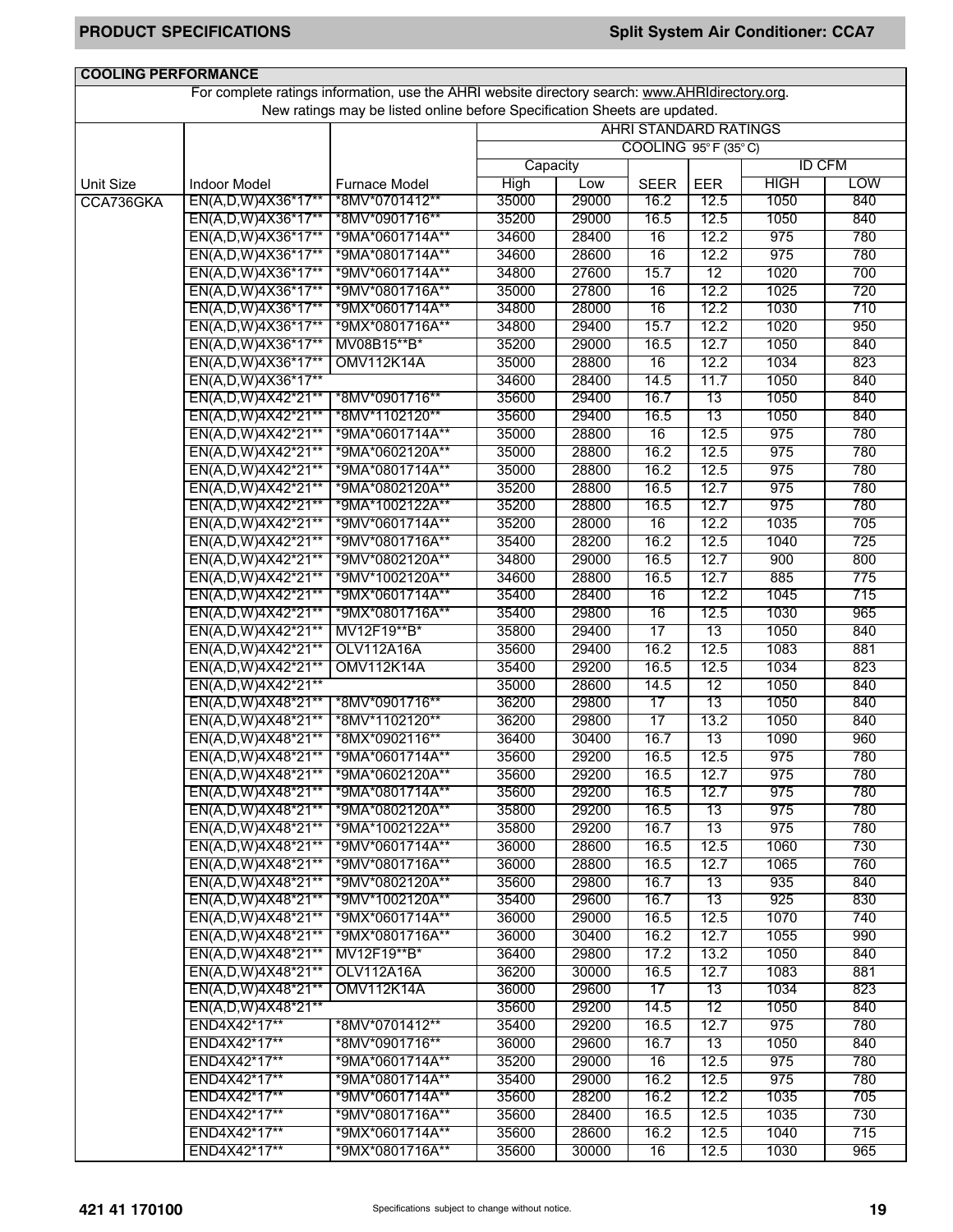| <b>COOLING PERFORMANCE</b> |                     |                                                                                                 |          |       |                              |            |               |            |  |
|----------------------------|---------------------|-------------------------------------------------------------------------------------------------|----------|-------|------------------------------|------------|---------------|------------|--|
|                            |                     | For complete ratings information, use the AHRI website directory search: www.AHRIdirectory.org. |          |       |                              |            |               |            |  |
|                            |                     | New ratings may be listed online before Specification Sheets are updated.                       |          |       |                              |            |               |            |  |
|                            |                     |                                                                                                 |          |       | <b>AHRI STANDARD RATINGS</b> |            |               |            |  |
|                            |                     |                                                                                                 |          |       | COOLING 95°F (35°C)          |            |               |            |  |
|                            |                     |                                                                                                 | Capacity |       |                              |            | <b>ID CFM</b> |            |  |
| <b>Unit Size</b>           | <b>Indoor Model</b> | <b>Furnace Model</b>                                                                            | High     | Low   | <b>SEER</b>                  | <b>EER</b> | <b>HIGH</b>   | <b>LOW</b> |  |
| CCA736GKA                  | EN(A,D,W)4X36*17**  | *8MV*0701412**                                                                                  | 35000    | 29000 | 16.2                         | 12.5       | 1050          | 840        |  |
|                            | EN(A,D,W)4X36*17**  | *8MV*0901716**                                                                                  | 35200    | 29000 | 16.5                         | 12.5       | 1050          | 840        |  |
|                            | EN(A,D,W)4X36*17**  | *9MA*0601714A**                                                                                 | 34600    | 28400 | 16                           | 12.2       | 975           | 780        |  |
|                            | EN(A,D,W)4X36*17**  | *9MA*0801714A**                                                                                 | 34600    | 28600 | 16                           | 12.2       | 975           | 780        |  |
|                            | EN(A,D,W)4X36*17**  | *9MV*0601714A**                                                                                 | 34800    | 27600 | 15.7                         | 12         | 1020          | 700        |  |
|                            | EN(A,D,W)4X36*17**  | *9MV*0801716A**                                                                                 | 35000    | 27800 | 16                           | 12.2       | 1025          | 720        |  |
|                            | EN(A,D,W)4X36*17**  | *9MX*0601714A**                                                                                 | 34800    | 28000 | 16                           | 12.2       | 1030          | 710        |  |
|                            | EN(A,D,W)4X36*17**  | *9MX*0801716A**                                                                                 | 34800    | 29400 | 15.7                         | 12.2       | 1020          | 950        |  |
|                            | EN(A,D,W)4X36*17**  | MV08B15**B*                                                                                     | 35200    | 29000 | 16.5                         | 12.7       | 1050          | 840        |  |
|                            | EN(A,D,W)4X36*17**  | <b>OMV112K14A</b>                                                                               | 35000    | 28800 | 16                           | 12.2       | 1034          | 823        |  |
|                            | EN(A,D,W)4X36*17**  |                                                                                                 | 34600    | 28400 | 14.5                         | 11.7       | 1050          | 840        |  |
|                            | EN(A,D,W)4X42*21**  | *8MV*0901716**                                                                                  | 35600    | 29400 | 16.7                         | 13         | 1050          | 840        |  |
|                            | EN(A,D,W)4X42*21**  | *8MV*1102120**                                                                                  | 35600    | 29400 | 16.5                         | 13         | 1050          | 840        |  |
|                            | EN(A,D,W)4X42*21**  | *9MA*0601714A**                                                                                 | 35000    | 28800 | 16                           | 12.5       | 975           | 780        |  |
|                            | EN(A,D,W)4X42*21**  | *9MA*0602120A**                                                                                 | 35000    | 28800 | 16.2                         | 12.5       | 975           | 780        |  |
|                            | EN(A,D,W)4X42*21**  | *9MA*0801714A**                                                                                 | 35000    | 28800 | 16.2                         | 12.5       | 975           | 780        |  |
|                            | EN(A,D,W)4X42*21**  | *9MA*0802120A**                                                                                 | 35200    | 28800 | 16.5                         | 12.7       | 975           | 780        |  |
|                            | EN(A,D,W)4X42*21**  | *9MA*1002122A**                                                                                 | 35200    | 28800 | 16.5                         | 12.7       | 975           | 780        |  |
|                            |                     |                                                                                                 | 35200    | 28000 | 16                           | 12.2       | 1035          | 705        |  |
|                            | EN(A,D,W)4X42*21**  | *9MV*0601714A**<br>*9MV*0801716A**                                                              | 35400    |       |                              |            | 1040          |            |  |
|                            | EN(A,D,W)4X42*21**  |                                                                                                 |          | 28200 | 16.2                         | 12.5       |               | 725        |  |
|                            | EN(A,D,W)4X42*21**  | *9MV*0802120A**                                                                                 | 34800    | 29000 | 16.5                         | 12.7       | 900           | 800        |  |
|                            | EN(A,D,W)4X42*21**  | *9MV*1002120A**                                                                                 | 34600    | 28800 | 16.5                         | 12.7       | 885           | 775        |  |
|                            | EN(A,D,W)4X42*21**  | *9MX*0601714A**                                                                                 | 35400    | 28400 | 16                           | 12.2       | 1045          | 715        |  |
|                            | EN(A,D,W)4X42*21**  | *9MX*0801716A**                                                                                 | 35400    | 29800 | 16                           | 12.5       | 1030          | 965        |  |
|                            | EN(A,D,W)4X42*21**  | MV12F19**B*                                                                                     | 35800    | 29400 | 17                           | 13         | 1050          | 840        |  |
|                            | EN(A,D,W)4X42*21**  | <b>OLV112A16A</b>                                                                               | 35600    | 29400 | 16.2                         | 12.5       | 1083          | 881        |  |
|                            | EN(A,D,W)4X42*21**  | <b>OMV112K14A</b>                                                                               | 35400    | 29200 | 16.5                         | 12.5       | 1034          | 823        |  |
|                            | EN(A,D,W)4X42*21**  |                                                                                                 | 35000    | 28600 | 14.5                         | 12         | 1050          | 840        |  |
|                            | EN(A,D,W)4X48*21**  | *8MV*0901716**                                                                                  | 36200    | 29800 | 17                           | 13         | 1050          | 840        |  |
|                            | EN(A,D,W)4X48*21**  | *8MV*1102120**                                                                                  | 36200    | 29800 | 17                           | 13.2       | 1050          | 840        |  |
|                            | EN(A,D,W)4X48*21**  | *8MX*0902116**                                                                                  | 36400    | 30400 | 16.7                         | 13         | 1090          | 960        |  |
|                            | EN(A,D,W)4X48*21**  | *9MA*0601714A**                                                                                 | 35600    | 29200 | 16.5                         | 12.5       | 975           | 780        |  |
|                            | EN(A,D,W)4X48*21**  | *9MA*0602120A**                                                                                 | 35600    | 29200 | 16.5                         | 12.7       | 975           | 780        |  |
|                            | EN(A,D,W)4X48*21**  | *9MA*0801714A**                                                                                 | 35600    | 29200 | 16.5                         | 12.7       | 975           | 780        |  |
|                            | EN(A,D,W)4X48*21**  | *9MA*0802120A**                                                                                 | 35800    | 29200 | 16.5                         | 13         | 975           | 780        |  |
|                            | EN(A,D,W)4X48*21**  | *9MA*1002122A**                                                                                 | 35800    | 29200 | 16.7                         | 13         | 975           | 780        |  |
|                            | EN(A,D,W)4X48*21**  | *9MV*0601714A**                                                                                 | 36000    | 28600 | 16.5                         | 12.5       | 1060          | 730        |  |
|                            | EN(A,D,W)4X48*21**  | *9MV*0801716A**                                                                                 | 36000    | 28800 | 16.5                         | 12.7       | 1065          | 760        |  |
|                            | EN(A,D,W)4X48*21**  | *9MV*0802120A**                                                                                 | 35600    | 29800 | 16.7                         | 13         | 935           | 840        |  |
|                            | EN(A,D,W)4X48*21**  | *9MV*1002120A**                                                                                 | 35400    | 29600 | 16.7                         | 13         | 925           | 830        |  |
|                            | EN(A,D,W)4X48*21**  | *9MX*0601714A**                                                                                 | 36000    | 29000 | 16.5                         | 12.5       | 1070          | 740        |  |
|                            | EN(A,D,W)4X48*21**  | *9MX*0801716A**                                                                                 | 36000    | 30400 | 16.2                         | 12.7       | 1055          | 990        |  |
|                            | EN(A,D,W)4X48*21**  | MV12F19**B*                                                                                     | 36400    | 29800 | 17.2                         | 13.2       | 1050          | 840        |  |
|                            | EN(A,D,W)4X48*21**  | OLV112A16A                                                                                      | 36200    | 30000 | 16.5                         | 12.7       | 1083          | 881        |  |
|                            | EN(A,D,W)4X48*21**  | <b>OMV112K14A</b>                                                                               | 36000    | 29600 | 17                           | 13         | 1034          | 823        |  |
|                            | EN(A,D,W)4X48*21**  |                                                                                                 | 35600    | 29200 | 14.5                         | 12         | 1050          | 840        |  |
|                            | END4X42*17**        | *8MV*0701412**                                                                                  | 35400    | 29200 | 16.5                         | 12.7       | 975           | 780        |  |
|                            | END4X42*17**        | *8MV*0901716**                                                                                  | 36000    | 29600 | 16.7                         | 13         | 1050          | 840        |  |
|                            | END4X42*17**        | *9MA*0601714A**                                                                                 | 35200    | 29000 | 16                           | 12.5       | 975           | 780        |  |
|                            | END4X42*17**        | *9MA*0801714A**                                                                                 | 35400    | 29000 | 16.2                         | 12.5       | 975           | 780        |  |
|                            | END4X42*17**        | *9MV*0601714A**                                                                                 | 35600    | 28200 | 16.2                         | 12.2       | 1035          | 705        |  |
|                            | END4X42*17**        | *9MV*0801716A**                                                                                 | 35600    | 28400 | 16.5                         | 12.5       | 1035          | 730        |  |
|                            | END4X42*17**        | *9MX*0601714A**                                                                                 | 35600    | 28600 | 16.2                         | 12.5       | 1040          | 715        |  |
|                            | END4X42*17**        | *9MX*0801716A**                                                                                 | 35600    | 30000 | 16                           | 12.5       | 1030          | 965        |  |
|                            |                     |                                                                                                 |          |       |                              |            |               |            |  |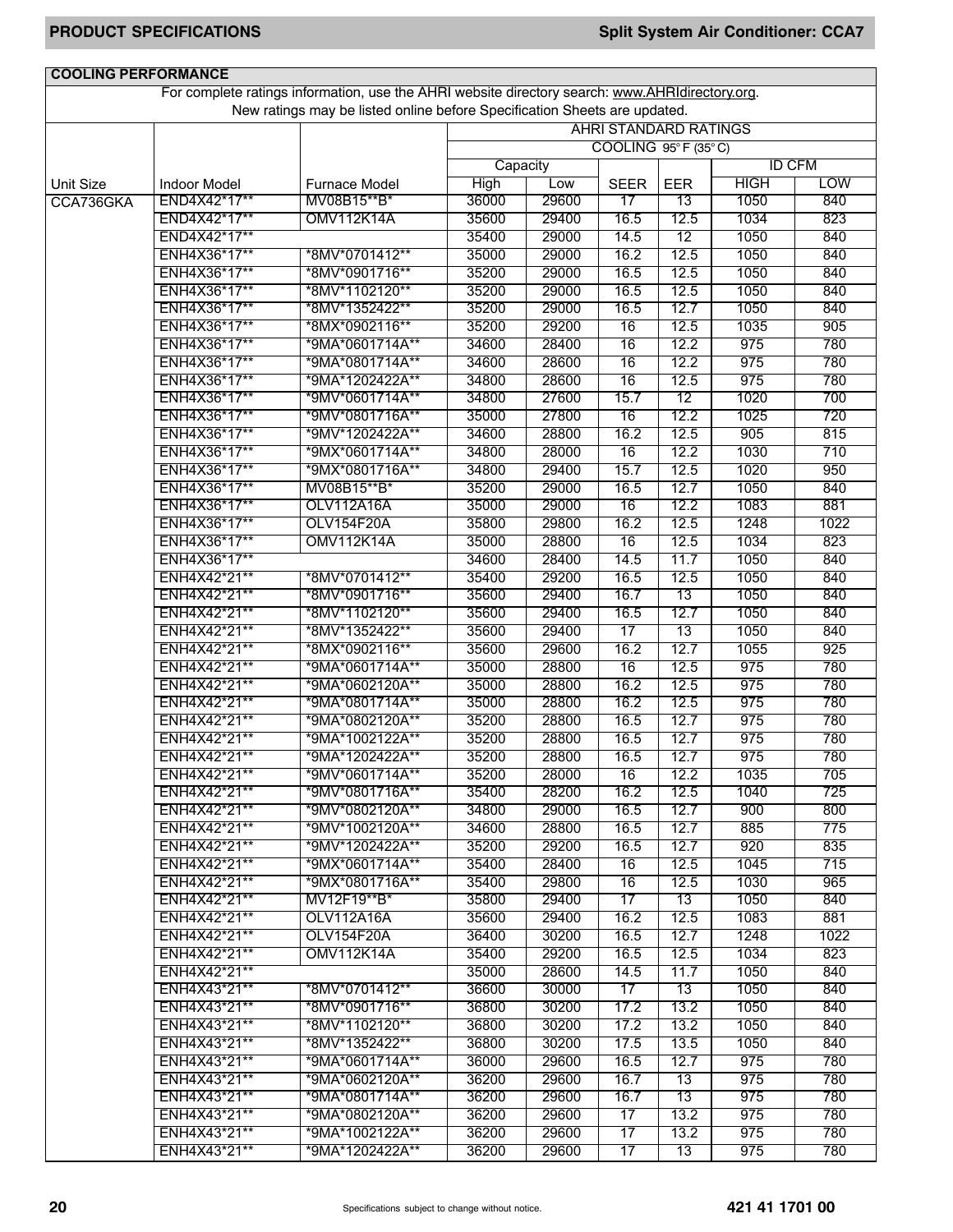| <b>COOLING PERFORMANCE</b> |                              |                                                                                                 |                |                |                              |              |               |            |
|----------------------------|------------------------------|-------------------------------------------------------------------------------------------------|----------------|----------------|------------------------------|--------------|---------------|------------|
|                            |                              | For complete ratings information, use the AHRI website directory search: www.AHRIdirectory.org. |                |                |                              |              |               |            |
|                            |                              | New ratings may be listed online before Specification Sheets are updated.                       |                |                |                              |              |               |            |
|                            |                              |                                                                                                 |                |                | <b>AHRI STANDARD RATINGS</b> |              |               |            |
|                            |                              |                                                                                                 |                |                | COOLING 95°F (35°C)          |              |               |            |
|                            |                              |                                                                                                 | Capacity       |                |                              |              | <b>ID CFM</b> |            |
| <b>Unit Size</b>           | <b>Indoor Model</b>          | <b>Furnace Model</b>                                                                            | <b>High</b>    | Low            | <b>SEER</b>                  | <b>EER</b>   | <b>HIGH</b>   | <b>LOW</b> |
| CCA736GKA                  | END4X42*17**                 | MV08B15**B*                                                                                     | 36000          | 29600          | 17                           | 13           | 1050          | 840        |
|                            | END4X42*17**                 | <b>OMV112K14A</b>                                                                               | 35600          | 29400          | 16.5                         | 12.5         | 1034          | 823        |
|                            | END4X42*17**                 |                                                                                                 | 35400          | 29000          | 14.5                         | 12           | 1050          | 840        |
|                            | ENH4X36*17**                 | *8MV*0701412**                                                                                  | 35000          | 29000          | 16.2                         | 12.5         | 1050          | 840        |
|                            | ENH4X36*17**                 | *8MV*0901716**                                                                                  | 35200          | 29000          | 16.5                         | 12.5         | 1050          | 840        |
|                            | ENH4X36*17**                 | *8MV*1102120**                                                                                  | 35200          | 29000          | 16.5                         | 12.5         | 1050          | 840        |
|                            | ENH4X36*17**                 | *8MV*1352422**                                                                                  | 35200          | 29000          | 16.5                         | 12.7         | 1050          | 840        |
|                            | ENH4X36*17**                 | *8MX*0902116**                                                                                  | 35200          | 29200          | 16                           | 12.5         | 1035          | 905        |
|                            | ENH4X36*17**                 | *9MA*0601714A**                                                                                 | 34600          | 28400          | 16                           | 12.2         | 975           | 780        |
|                            | ENH4X36*17**                 | *9MA*0801714A**                                                                                 | 34600          | 28600          | 16                           | 12.2         | 975           | 780        |
|                            | ENH4X36*17**                 | *9MA*1202422A**                                                                                 | 34800          | 28600          | 16                           | 12.5         | 975           | 780        |
|                            | ENH4X36*17**                 | *9MV*0601714A**                                                                                 | 34800          | 27600          | 15.7                         | 12           | 1020          | 700        |
|                            | ENH4X36*17**                 | *9MV*0801716A**                                                                                 | 35000          | 27800          | 16                           | 12.2         | 1025          | 720        |
|                            | ENH4X36*17**                 | *9MV*1202422A**                                                                                 | 34600          | 28800          | 16.2                         | 12.5         | 905           | 815        |
|                            | ENH4X36*17**                 | *9MX*0601714A**                                                                                 | 34800          | 28000          | 16                           | 12.2         | 1030          | 710        |
|                            | ENH4X36*17**                 | *9MX*0801716A**                                                                                 | 34800          | 29400          | 15.7                         | 12.5         | 1020          | 950        |
|                            | ENH4X36*17**                 | MV08B15**B*                                                                                     | 35200          | 29000          | 16.5                         | 12.7         | 1050          | 840        |
|                            | ENH4X36*17**                 | <b>OLV112A16A</b>                                                                               | 35000          | 29000          | 16                           | 12.2         | 1083          | 881        |
|                            | ENH4X36*17**                 | OLV154F20A                                                                                      | 35800          | 29800          | 16.2                         | 12.5         | 1248          | 1022       |
|                            | ENH4X36*17**                 | <b>OMV112K14A</b>                                                                               | 35000          | 28800          | 16                           | 12.5         | 1034          | 823        |
|                            | ENH4X36*17**                 |                                                                                                 | 34600          | 28400          | 14.5                         | 11.7         | 1050          | 840        |
|                            | ENH4X42*21**                 | *8MV*0701412**                                                                                  | 35400          | 29200          | 16.5                         | 12.5         | 1050          | 840        |
|                            | ENH4X42*21**                 | *8MV*0901716**                                                                                  | 35600          | 29400          | 16.7                         | 13           | 1050          | 840        |
|                            | ENH4X42*21**                 | *8MV*1102120**                                                                                  | 35600          | 29400          | 16.5                         | 12.7         | 1050          | 840        |
|                            | ENH4X42*21**                 | *8MV*1352422**                                                                                  | 35600          | 29400          | 17                           | 13           | 1050          | 840        |
|                            | ENH4X42*21**                 | *8MX*0902116**                                                                                  | 35600          | 29600          | 16.2                         | 12.7         | 1055          | 925        |
|                            | ENH4X42*21**                 | *9MA*0601714A**                                                                                 | 35000          | 28800          | 16                           | 12.5         | 975           | 780        |
|                            | ENH4X42*21**                 | *9MA*0602120A**                                                                                 | 35000          | 28800          | 16.2                         | 12.5         | 975           | 780        |
|                            | ENH4X42*21**                 | *9MA*0801714A**                                                                                 | 35000          | 28800          | 16.2                         | 12.5         | 975           | 780        |
|                            | ENH4X42*21**                 | *9MA*0802120A**                                                                                 | 35200          | 28800          | 16.5                         | 12.7         | 975           | 780        |
|                            | ENH4X42*21**                 | *9MA*1002122A**                                                                                 | 35200          | 28800          | 16.5                         | 12.7         | 975           | 780        |
|                            | ENH4X42*21**                 | *9MA*1202422A**                                                                                 | 35200          | 28800          | 16.5                         | 12.7         | 975           | 780        |
|                            | ENH4X42*21**                 | *9MV*0601714A**_                                                                                | 35200          | 28000          | 16                           | 12.2         | 1035          | 705        |
|                            | ENH4X42*21**                 | *9MV*0801716A**                                                                                 | 35400          | 28200          | 16.2                         | 12.5         | 1040          | 725        |
|                            | ENH4X42*21**<br>FNH4X42*21** | *9MV*0802120A**<br>*9MV*1002120A**                                                              | 34800<br>34600 | 29000<br>28800 | 16.5<br>16.5                 | 12.7<br>12.7 | 900<br>885    | 800        |
|                            | ENH4X42*21**                 | *9MV*1202422A**                                                                                 | 35200          | 29200          | 16.5                         | 12.7         | 920           | 775        |
|                            | ENH4X42*21**                 | *9MX*0601714A**                                                                                 | 35400          | 28400          | $\overline{16}$              | 12.5         | 1045          | 835        |
|                            | ENH4X42*21**                 |                                                                                                 |                |                |                              |              |               | 715        |
|                            | ENH4X42*21**                 | *9MX*0801716A**<br>MV12F19**B*                                                                  | 35400<br>35800 | 29800<br>29400 | 16<br>17                     | 12.5<br>13   | 1030<br>1050  | 965<br>840 |
|                            | ENH4X42*21**                 | OLV112A16A                                                                                      | 35600          | 29400          | 16.2                         | 12.5         | 1083          | 881        |
|                            | ENH4X42*21**                 | <b>OLV154F20A</b>                                                                               | 36400          | 30200          |                              | 12.7         | 1248          | 1022       |
|                            | ENH4X42*21**                 | <b>OMV112K14A</b>                                                                               | 35400          | 29200          | 16.5<br>16.5                 | 12.5         | 1034          | 823        |
|                            | ENH4X42*21**                 |                                                                                                 | 35000          | 28600          | 14.5                         | 11.7         | 1050          | 840        |
|                            | ENH4X43*21**                 | *8MV*0701412**                                                                                  | 36600          | 30000          | $\overline{17}$              | 13           | 1050          | 840        |
|                            | ENH4X43*21**                 | *8MV*0901716**                                                                                  | 36800          | 30200          | 17.2                         | 13.2         | 1050          | 840        |
|                            | ENH4X43*21**                 | *8MV*1102120**                                                                                  | 36800          | 30200          | 17.2                         | 13.2         | 1050          | 840        |
|                            | ENH4X43*21**                 | *8MV*1352422**                                                                                  | 36800          | 30200          | 17.5                         | 13.5         | 1050          | 840        |
|                            | ENH4X43*21**                 | *9MA*0601714A**                                                                                 | 36000          | 29600          | 16.5                         | 12.7         | 975           | 780        |
|                            | ENH4X43*21**                 | *9MA*0602120A**                                                                                 | 36200          | 29600          | 16.7                         | 13           | 975           | 780        |
|                            | ENH4X43*21**                 | *9MA*0801714A**                                                                                 | 36200          | 29600          | 16.7                         | 13           | 975           | 780        |
|                            | ENH4X43*21**                 | *9MA*0802120A**                                                                                 | 36200          | 29600          | 17                           | 13.2         | 975           | 780        |
|                            | ENH4X43*21**                 | *9MA*1002122A**                                                                                 | 36200          | 29600          | $\overline{17}$              | 13.2         | 975           | 780        |
|                            | ENH4X43*21**                 | *9MA*1202422A**                                                                                 | 36200          | 29600          | 17                           | 13           | 975           | 780        |
|                            |                              |                                                                                                 |                |                |                              |              |               |            |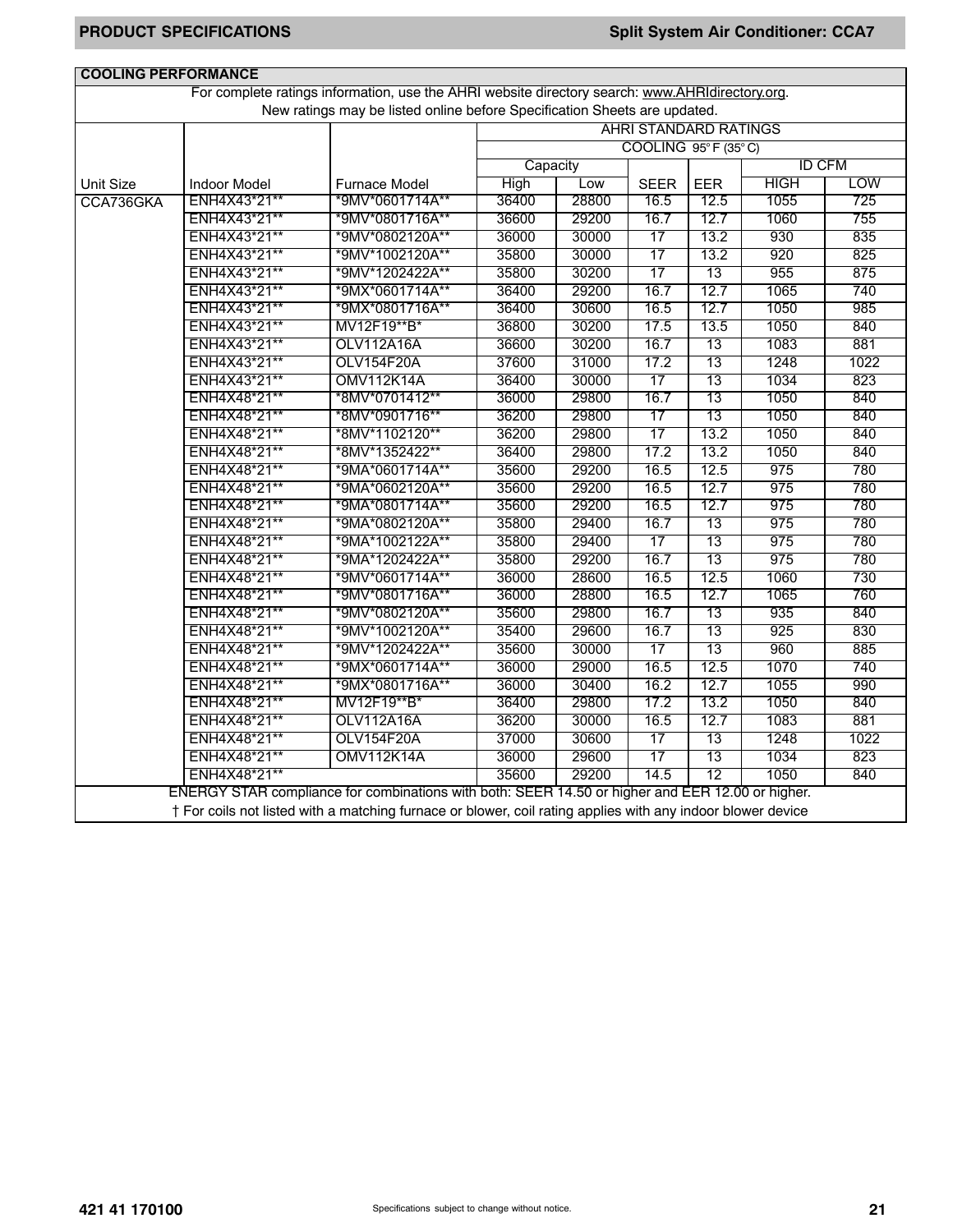| <b>COOLING PERFORMANCE</b> |                                                                                                                                                                                                                 |                                                                                                 |             |       |                              |            |               |            |  |  |
|----------------------------|-----------------------------------------------------------------------------------------------------------------------------------------------------------------------------------------------------------------|-------------------------------------------------------------------------------------------------|-------------|-------|------------------------------|------------|---------------|------------|--|--|
|                            |                                                                                                                                                                                                                 | For complete ratings information, use the AHRI website directory search: www.AHRIdirectory.org. |             |       |                              |            |               |            |  |  |
|                            |                                                                                                                                                                                                                 | New ratings may be listed online before Specification Sheets are updated.                       |             |       |                              |            |               |            |  |  |
|                            |                                                                                                                                                                                                                 |                                                                                                 |             |       | <b>AHRI STANDARD RATINGS</b> |            |               |            |  |  |
|                            |                                                                                                                                                                                                                 |                                                                                                 |             |       | COOLING 95°F (35°C)          |            |               |            |  |  |
|                            |                                                                                                                                                                                                                 |                                                                                                 | Capacity    |       |                              |            | <b>ID CFM</b> |            |  |  |
| Unit Size                  | <b>Indoor Model</b>                                                                                                                                                                                             | <b>Furnace Model</b>                                                                            | <b>High</b> | Low   | <b>SEER</b>                  | <b>EER</b> | <b>HIGH</b>   | <b>LOW</b> |  |  |
| CCA736GKA                  | ENH4X43*21**                                                                                                                                                                                                    | *9MV*0601714A**                                                                                 | 36400       | 28800 | 16.5                         | 12.5       | 1055          | 725        |  |  |
|                            | ENH4X43*21**                                                                                                                                                                                                    | *9MV*0801716A**                                                                                 | 36600       | 29200 | 16.7                         | 12.7       | 1060          | 755        |  |  |
|                            | ENH4X43*21**                                                                                                                                                                                                    | *9MV*0802120A**                                                                                 | 36000       | 30000 | 17                           | 13.2       | 930           | 835        |  |  |
|                            | ENH4X43*21**                                                                                                                                                                                                    | *9MV*1002120A**                                                                                 | 35800       | 30000 | 17                           | 13.2       | 920           | 825        |  |  |
|                            | ENH4X43*21**                                                                                                                                                                                                    | *9MV*1202422A**                                                                                 | 35800       | 30200 | 17                           | 13         | 955           | 875        |  |  |
|                            | ENH4X43*21**                                                                                                                                                                                                    | *9MX*0601714A**                                                                                 | 36400       | 29200 | 16.7                         | 12.7       | 1065          | 740        |  |  |
|                            | ENH4X43*21**                                                                                                                                                                                                    | *9MX*0801716A**                                                                                 | 36400       | 30600 | 16.5                         | 12.7       | 1050          | 985        |  |  |
|                            | ENH4X43*21**                                                                                                                                                                                                    | MV12F19**B*                                                                                     | 36800       | 30200 | 17.5                         | 13.5       | 1050          | 840        |  |  |
|                            | ENH4X43*21**                                                                                                                                                                                                    | <b>OLV112A16A</b>                                                                               | 36600       | 30200 | 16.7                         | 13         | 1083          | 881        |  |  |
|                            | ENH4X43*21**                                                                                                                                                                                                    | <b>OLV154F20A</b>                                                                               | 37600       | 31000 | 17.2                         | 13         | 1248          | 1022       |  |  |
|                            | ENH4X43*21**                                                                                                                                                                                                    | <b>OMV112K14A</b>                                                                               | 36400       | 30000 | 17                           | 13         | 1034          | 823        |  |  |
|                            | ENH4X48*21**                                                                                                                                                                                                    | *8MV*0701412**                                                                                  | 36000       | 29800 | 16.7                         | 13         | 1050          | 840        |  |  |
|                            | ENH4X48*21**                                                                                                                                                                                                    | *8MV*0901716**                                                                                  | 36200       | 29800 | 17                           | 13         | 1050          | 840        |  |  |
|                            | ENH4X48*21**                                                                                                                                                                                                    | *8MV*1102120**                                                                                  | 36200       | 29800 | 17                           | 13.2       | 1050          | 840        |  |  |
|                            | ENH4X48*21**                                                                                                                                                                                                    | *8MV*1352422**                                                                                  | 36400       | 29800 | 17.2                         | 13.2       | 1050          | 840        |  |  |
|                            | ENH4X48*21**                                                                                                                                                                                                    | *9MA*0601714A**                                                                                 | 35600       | 29200 | 16.5                         | 12.5       | 975           | 780        |  |  |
|                            | ENH4X48*21**                                                                                                                                                                                                    | *9MA*0602120A**                                                                                 | 35600       | 29200 | 16.5                         | 12.7       | 975           | 780        |  |  |
|                            | ENH4X48*21**                                                                                                                                                                                                    | *9MA*0801714A**                                                                                 | 35600       | 29200 | 16.5                         | 12.7       | 975           | 780        |  |  |
|                            | ENH4X48*21**                                                                                                                                                                                                    | *9MA*0802120A**                                                                                 | 35800       | 29400 | 16.7                         | 13         | 975           | 780        |  |  |
|                            | ENH4X48*21**                                                                                                                                                                                                    | *9MA*1002122A**                                                                                 | 35800       | 29400 | 17                           | 13         | 975           | 780        |  |  |
|                            | ENH4X48*21**                                                                                                                                                                                                    | *9MA*1202422A**                                                                                 | 35800       | 29200 | 16.7                         | 13         | 975           | 780        |  |  |
|                            | ENH4X48*21**                                                                                                                                                                                                    | *9MV*0601714A**                                                                                 | 36000       | 28600 | 16.5                         | 12.5       | 1060          | 730        |  |  |
|                            | ENH4X48*21**                                                                                                                                                                                                    | *9MV*0801716A**                                                                                 | 36000       | 28800 | 16.5                         | 12.7       | 1065          | 760        |  |  |
|                            | ENH4X48*21**                                                                                                                                                                                                    | *9MV*0802120A**                                                                                 | 35600       | 29800 | 16.7                         | 13         | 935           | 840        |  |  |
|                            | ENH4X48*21**                                                                                                                                                                                                    | *9MV*1002120A**                                                                                 | 35400       | 29600 | 16.7                         | 13         | 925           | 830        |  |  |
|                            | ENH4X48*21**                                                                                                                                                                                                    | *9MV*1202422A**                                                                                 | 35600       | 30000 | 17                           | 13         | 960           | 885        |  |  |
|                            | ENH4X48*21**                                                                                                                                                                                                    | *9MX*0601714A**                                                                                 | 36000       | 29000 | 16.5                         | 12.5       | 1070          | 740        |  |  |
|                            | ENH4X48*21**                                                                                                                                                                                                    | *9MX*0801716A**                                                                                 | 36000       | 30400 | 16.2                         | 12.7       | 1055          | 990        |  |  |
|                            | ENH4X48*21**                                                                                                                                                                                                    | MV12F19**B*                                                                                     | 36400       | 29800 | 17.2                         | 13.2       | 1050          | 840        |  |  |
|                            | ENH4X48*21**                                                                                                                                                                                                    | OLV112A16A                                                                                      | 36200       | 30000 | 16.5                         | 12.7       | 1083          | 881        |  |  |
|                            | ENH4X48*21**                                                                                                                                                                                                    | OLV154F20A                                                                                      | 37000       | 30600 | 17                           | 13         | 1248          | 1022       |  |  |
|                            | ENH4X48*21**                                                                                                                                                                                                    | <b>OMV112K14A</b>                                                                               | 36000       | 29600 | 17                           | 13         | 1034          | 823        |  |  |
|                            | ENH4X48*21**                                                                                                                                                                                                    |                                                                                                 | 35600       | 29200 | 14.5                         | 12         | 1050          | 840        |  |  |
|                            |                                                                                                                                                                                                                 |                                                                                                 |             |       |                              |            |               |            |  |  |
|                            | ENERGY STAR compliance for combinations with both: SEER 14.50 or higher and EER 12.00 or higher.<br>† For coils not listed with a matching furnace or blower, coil rating applies with any indoor blower device |                                                                                                 |             |       |                              |            |               |            |  |  |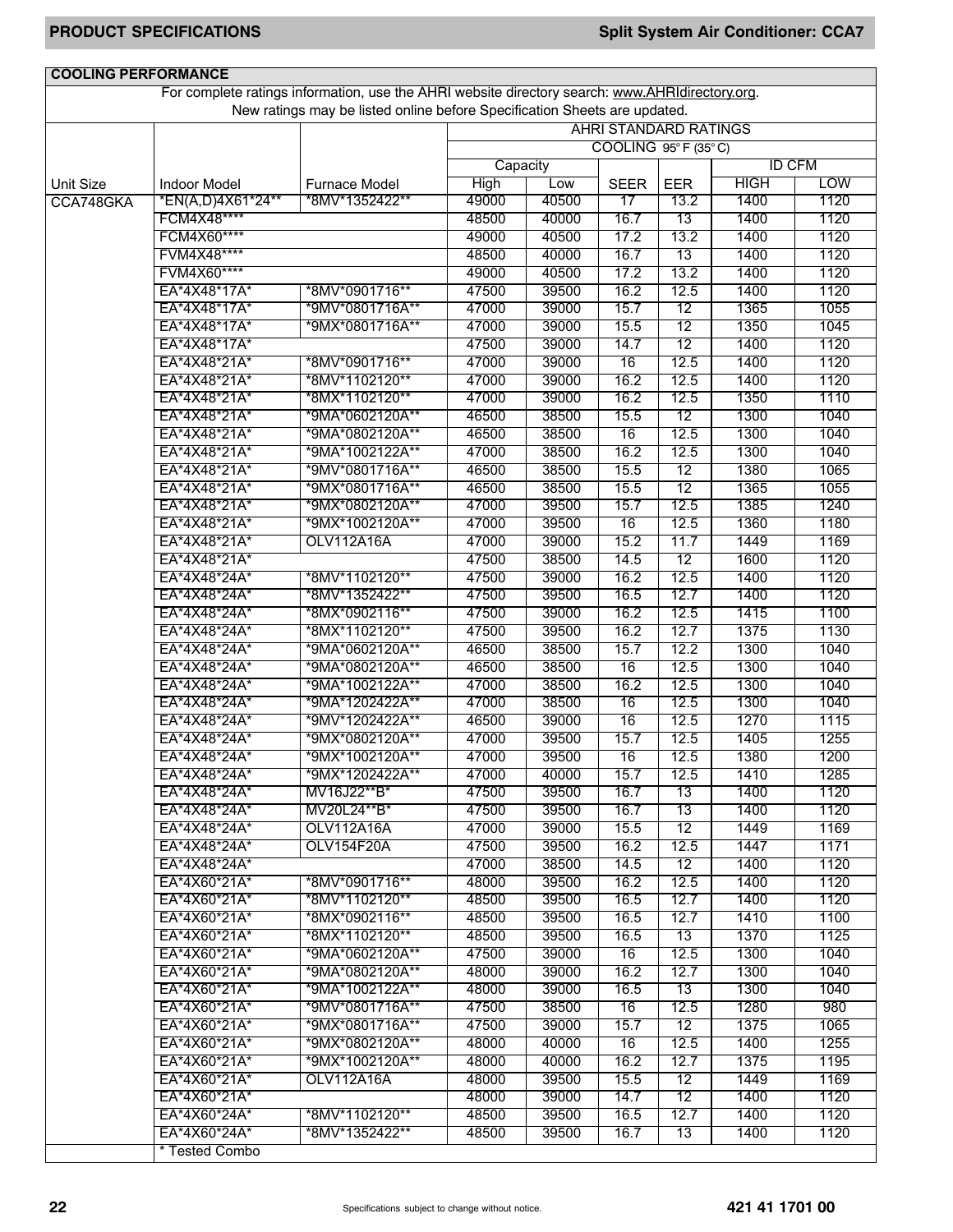| <b>COOLING PERFORMANCE</b> |                     |                                                                                                 |             |       |                              |                 |               |            |
|----------------------------|---------------------|-------------------------------------------------------------------------------------------------|-------------|-------|------------------------------|-----------------|---------------|------------|
|                            |                     | For complete ratings information, use the AHRI website directory search: www.AHRIdirectory.org. |             |       |                              |                 |               |            |
|                            |                     | New ratings may be listed online before Specification Sheets are updated.                       |             |       |                              |                 |               |            |
|                            |                     |                                                                                                 |             |       | <b>AHRI STANDARD RATINGS</b> |                 |               |            |
|                            |                     |                                                                                                 |             |       | COOLING 95°F (35°C)          |                 |               |            |
|                            |                     |                                                                                                 | Capacity    |       |                              |                 | <b>ID CFM</b> |            |
| Unit Size                  | <b>Indoor Model</b> | <b>Furnace Model</b>                                                                            | <b>High</b> | Low   | <b>SEER</b>                  | <b>EER</b>      | <b>HIGH</b>   | <b>LOW</b> |
| CCA748GKA                  | *EN(A,D)4X61*24**   | *8MV*1352422**                                                                                  | 49000       | 40500 | 17                           | 13.2            | 1400          | 1120       |
|                            | FCM4X48****         |                                                                                                 | 48500       | 40000 | 16.7                         | 13              | 1400          | 1120       |
|                            | FCM4X60****         |                                                                                                 | 49000       | 40500 | 17.2                         | 13.2            | 1400          | 1120       |
|                            | FVM4X48****         |                                                                                                 | 48500       | 40000 | 16.7                         | 13              | 1400          | 1120       |
|                            | FVM4X60****         |                                                                                                 | 49000       | 40500 | 17.2                         | 13.2            | 1400          | 1120       |
|                            | EA*4X48*17A*        | *8MV*0901716**                                                                                  | 47500       | 39500 | 16.2                         | 12.5            | 1400          | 1120       |
|                            | EA*4X48*17A*        | *9MV*0801716A**                                                                                 | 47000       | 39000 | 15.7                         | 12              | 1365          | 1055       |
|                            | EA*4X48*17A*        | *9MX*0801716A**                                                                                 | 47000       | 39000 | 15.5                         | 12              | 1350          | 1045       |
|                            | EA*4X48*17A*        |                                                                                                 | 47500       | 39000 | 14.7                         | 12              | 1400          | 1120       |
|                            | EA*4X48*21A*        | *8MV*0901716**                                                                                  | 47000       | 39000 | 16                           | 12.5            | 1400          | 1120       |
|                            | EA*4X48*21A*        | *8MV*1102120**                                                                                  | 47000       | 39000 | 16.2                         | 12.5            | 1400          | 1120       |
|                            | EA*4X48*21A*        | *8MX*1102120**                                                                                  | 47000       | 39000 | 16.2                         | 12.5            | 1350          | 1110       |
|                            | EA*4X48*21A*        | *9MA*0602120A**                                                                                 | 46500       | 38500 | 15.5                         | 12              | 1300          | 1040       |
|                            | EA*4X48*21A*        | *9MA*0802120A**                                                                                 | 46500       | 38500 | 16                           | 12.5            | 1300          | 1040       |
|                            | EA*4X48*21A*        | *9MA*1002122A**                                                                                 | 47000       | 38500 | 16.2                         | 12.5            | 1300          | 1040       |
|                            | EA*4X48*21A*        | *9MV*0801716A**                                                                                 | 46500       | 38500 | 15.5                         | 12              | 1380          | 1065       |
|                            | EA*4X48*21A*        | *9MX*0801716A**                                                                                 | 46500       | 38500 | 15.5                         | $\overline{12}$ | 1365          | 1055       |
|                            | EA*4X48*21A*        | *9MX*0802120A**                                                                                 | 47000       | 39500 | 15.7                         | 12.5            | 1385          | 1240       |
|                            | EA*4X48*21A*        | *9MX*1002120A**                                                                                 | 47000       | 39500 | 16                           | 12.5            | 1360          | 1180       |
|                            | EA*4X48*21A*        | <b>OLV112A16A</b>                                                                               | 47000       | 39000 | 15.2                         | 11.7            | 1449          | 1169       |
|                            | EA*4X48*21A*        |                                                                                                 | 47500       | 38500 | 14.5                         | 12              | 1600          | 1120       |
|                            | EA*4X48*24A*        | *8MV*1102120**                                                                                  | 47500       | 39000 | 16.2                         | 12.5            | 1400          | 1120       |
|                            | EA*4X48*24A*        | *8MV*1352422**                                                                                  | 47500       | 39500 | 16.5                         | 12.7            | 1400          | 1120       |
|                            | EA*4X48*24A*        | *8MX*0902116**                                                                                  | 47500       | 39000 | 16.2                         | 12.5            | 1415          | 1100       |
|                            | EA*4X48*24A*        | *8MX*1102120**                                                                                  | 47500       | 39500 | 16.2                         | 12.7            | 1375          | 1130       |
|                            | EA*4X48*24A*        | *9MA*0602120A**                                                                                 | 46500       | 38500 | 15.7                         | 12.2            | 1300          | 1040       |
|                            | EA*4X48*24A*        | *9MA*0802120A**                                                                                 | 46500       | 38500 | 16                           | 12.5            | 1300          | 1040       |
|                            | EA*4X48*24A*        | *9MA*1002122A**                                                                                 | 47000       | 38500 | 16.2                         | 12.5            | 1300          | 1040       |
|                            | EA*4X48*24A*        | *9MA*1202422A**                                                                                 | 47000       | 38500 | 16                           | 12.5            | 1300          | 1040       |
|                            | EA*4X48*24A*        | *9MV*1202422A**                                                                                 | 46500       | 39000 | 16                           | 12.5            | 1270          | 1115       |
|                            | EA*4X48*24A*        | *9MX*0802120A**                                                                                 | 47000       | 39500 | 15.7                         | 12.5            | 1405          | 1255       |
|                            | EA*4X48*24A*        | *9MX*1002120A**                                                                                 | 47000       | 39500 | 16                           | 12.5            | 1380          | 1200       |
|                            | EA*4X48*24A*        | *9MX*1202422A**                                                                                 | 47000       | 40000 | 15.7                         | 12.5            | 1410          | 1285       |
|                            | FA*4X48*24A*        | MV16J22**B*                                                                                     | 47500       | 39500 | 16.7                         | 13              | 1400          | 1120       |
|                            | EA*4X48*24A*        | MV20L24**B*                                                                                     | 47500       | 39500 | 16.7                         | $\overline{13}$ | 1400          | 1120       |
|                            | EA*4X48*24A*        | OLV112A16A                                                                                      | 47000       | 39000 | 15.5                         | 12              | 1449          | 1169       |
|                            | EA*4X48*24A*        | OLV154F20A                                                                                      | 47500       | 39500 | 16.2                         | 12.5            | 1447          | 1171       |
|                            | EA*4X48*24A*        |                                                                                                 | 47000       | 38500 | 14.5                         | 12              | 1400          | 1120       |
|                            | EA*4X60*21A*        | *8MV*0901716**                                                                                  | 48000       | 39500 | 16.2                         | 12.5            | 1400          | 1120       |
|                            | EA*4X60*21A*        | *8MV*1102120**                                                                                  | 48500       | 39500 | 16.5                         | 12.7            | 1400          | 1120       |
|                            | EA*4X60*21A*        | *8MX*0902116**                                                                                  | 48500       | 39500 | 16.5                         | 12.7            | 1410          | 1100       |
|                            | EA*4X60*21A*        | *8MX*1102120**                                                                                  | 48500       | 39500 | 16.5                         | 13              | 1370          | 1125       |
|                            | EA*4X60*21A*        | *9MA*0602120A**                                                                                 | 47500       | 39000 | 16                           | 12.5            | 1300          | 1040       |
|                            | EA*4X60*21A*        | *9MA*0802120A**                                                                                 | 48000       | 39000 | 16.2                         | 12.7            | 1300          | 1040       |
|                            | EA*4X60*21A*        | *9MA*1002122A**                                                                                 | 48000       | 39000 | 16.5                         | 13              | 1300          | 1040       |
|                            | EA*4X60*21A*        | *9MV*0801716A**                                                                                 | 47500       | 38500 | 16                           | 12.5            | 1280          | 980        |
|                            | EA*4X60*21A*        | *9MX*0801716A**                                                                                 | 47500       | 39000 | 15.7                         | 12              | 1375          | 1065       |
|                            | EA*4X60*21A*        | *9MX*0802120A**                                                                                 | 48000       | 40000 | 16                           | 12.5            | 1400          | 1255       |
|                            | EA*4X60*21A*        | *9MX*1002120A**                                                                                 | 48000       | 40000 | 16.2                         | 12.7            | 1375          | 1195       |
|                            | EA*4X60*21A*        | <b>OLV112A16A</b>                                                                               | 48000       | 39500 | 15.5                         | 12              | 1449          | 1169       |
|                            | EA*4X60*21A*        |                                                                                                 | 48000       | 39000 | 14.7                         | 12              | 1400          | 1120       |
|                            | EA*4X60*24A*        | *8MV*1102120**                                                                                  | 48500       | 39500 | 16.5                         | 12.7            | 1400          | 1120       |
|                            | EA*4X60*24A*        | *8MV*1352422**                                                                                  | 48500       | 39500 | 16.7                         | 13              | 1400          | 1120       |
|                            | * Tested Combo      |                                                                                                 |             |       |                              |                 |               |            |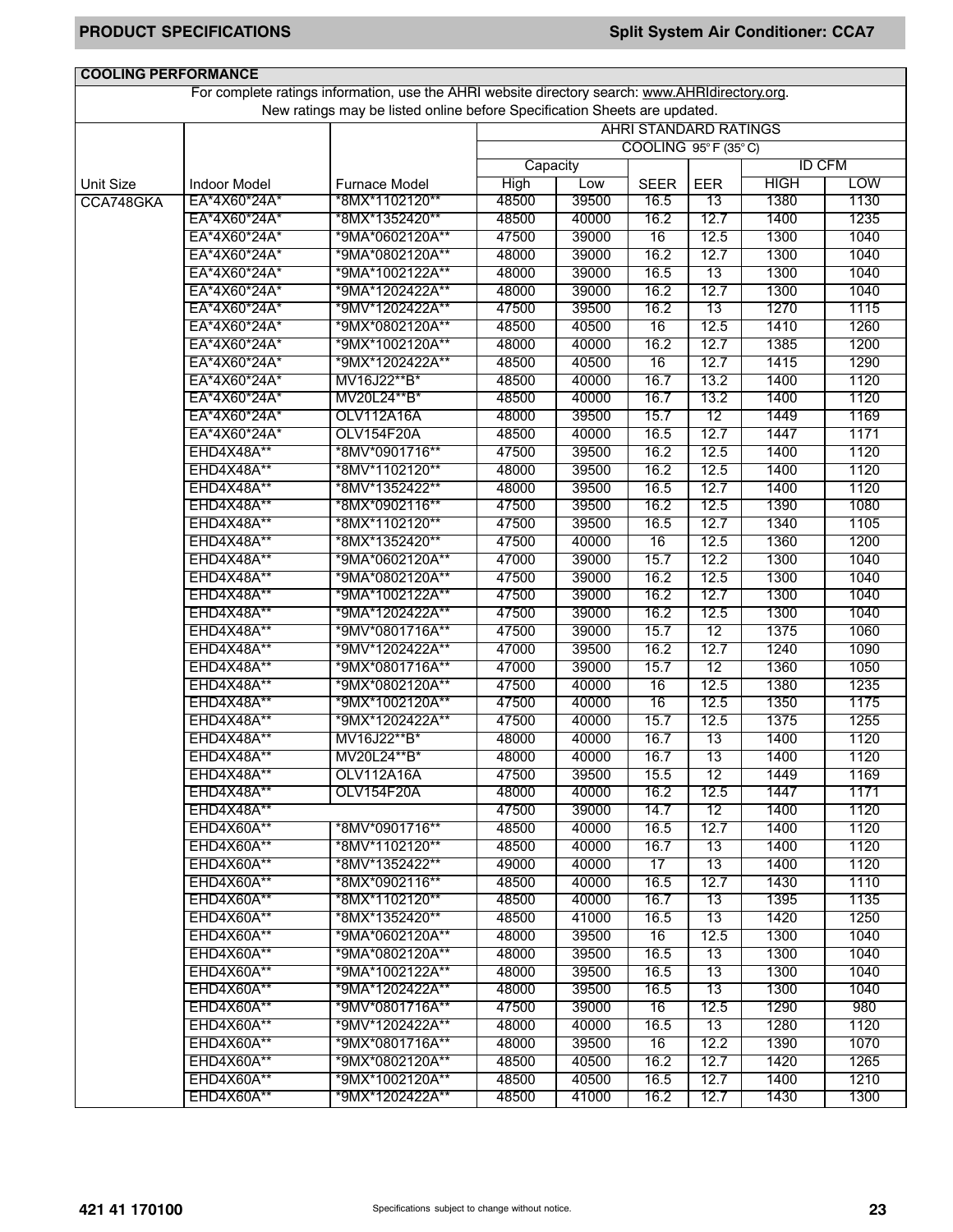| <b>COOLING PERFORMANCE</b> |                     |                                                                                                 |             |       |                              |            |               |            |
|----------------------------|---------------------|-------------------------------------------------------------------------------------------------|-------------|-------|------------------------------|------------|---------------|------------|
|                            |                     | For complete ratings information, use the AHRI website directory search: www.AHRIdirectory.org. |             |       |                              |            |               |            |
|                            |                     | New ratings may be listed online before Specification Sheets are updated.                       |             |       |                              |            |               |            |
|                            |                     |                                                                                                 |             |       | <b>AHRI STANDARD RATINGS</b> |            |               |            |
|                            |                     |                                                                                                 |             |       | COOLING 95°F (35°C)          |            |               |            |
|                            |                     |                                                                                                 | Capacity    |       |                              |            | <b>ID CFM</b> |            |
| <b>Unit Size</b>           | <b>Indoor Model</b> | Furnace Model                                                                                   | <b>High</b> | Low   | <b>SEER</b>                  | <b>EER</b> | <b>HIGH</b>   | <b>LOW</b> |
| CCA748GKA                  | EA*4X60*24A*        | *8MX*1102120**                                                                                  | 48500       | 39500 | 16.5                         | 13         | 1380          | 1130       |
|                            | EA*4X60*24A*        | *8MX*1352420**                                                                                  | 48500       | 40000 | 16.2                         | 12.7       | 1400          | 1235       |
|                            | EA*4X60*24A*        | *9MA*0602120A**                                                                                 | 47500       | 39000 | 16                           | 12.5       | 1300          | 1040       |
|                            | EA*4X60*24A*        | *9MA*0802120A**                                                                                 | 48000       | 39000 | 16.2                         | 12.7       | 1300          | 1040       |
|                            | EA*4X60*24A*        | *9MA*1002122A**                                                                                 | 48000       | 39000 | 16.5                         | 13         | 1300          | 1040       |
|                            | EA*4X60*24A*        | *9MA*1202422A**                                                                                 | 48000       | 39000 | 16.2                         | 12.7       | 1300          | 1040       |
|                            | EA*4X60*24A*        | *9MV*1202422A**                                                                                 | 47500       | 39500 | 16.2                         | 13         | 1270          | 1115       |
|                            | EA*4X60*24A*        | *9MX*0802120A**                                                                                 | 48500       | 40500 | 16                           | 12.5       | 1410          | 1260       |
|                            | EA*4X60*24A*        | *9MX*1002120A**                                                                                 | 48000       | 40000 | 16.2                         | 12.7       | 1385          | 1200       |
|                            | EA*4X60*24A*        | *9MX*1202422A**                                                                                 | 48500       | 40500 | 16                           | 12.7       | 1415          | 1290       |
|                            | EA*4X60*24A*        | MV16J22**B*                                                                                     | 48500       | 40000 | 16.7                         | 13.2       | 1400          | 1120       |
|                            | EA*4X60*24A*        | MV20L24**B*                                                                                     | 48500       | 40000 | 16.7                         | 13.2       | 1400          | 1120       |
|                            | EA*4X60*24A*        | OLV112A16A                                                                                      | 48000       | 39500 | 15.7                         | 12         | 1449          | 1169       |
|                            | EA*4X60*24A*        | <b>OLV154F20A</b>                                                                               | 48500       | 40000 | 16.5                         | 12.7       | 1447          | 1171       |
|                            | <b>EHD4X48A**</b>   | *8MV*0901716**                                                                                  | 47500       | 39500 | 16.2                         | 12.5       | 1400          | 1120       |
|                            | EHD4X48A**          | *8MV*1102120**                                                                                  | 48000       | 39500 | 16.2                         | 12.5       | 1400          | 1120       |
|                            | EHD4X48A**          | *8MV*1352422**                                                                                  | 48000       | 39500 | 16.5                         | 12.7       | 1400          | 1120       |
|                            | EHD4X48A**          | *8MX*0902116**                                                                                  | 47500       | 39500 | 16.2                         | 12.5       | 1390          | 1080       |
|                            | EHD4X48A**          | *8MX*1102120**                                                                                  | 47500       | 39500 | 16.5                         | 12.7       | 1340          | 1105       |
|                            | EHD4X48A**          | *8MX*1352420**                                                                                  | 47500       | 40000 |                              | 12.5       | 1360          |            |
|                            |                     |                                                                                                 |             |       | 16                           |            |               | 1200       |
|                            | EHD4X48A**          | *9MA*0602120A**                                                                                 | 47000       | 39000 | 15.7                         | 12.2       | 1300          | 1040       |
|                            | EHD4X48A**          | *9MA*0802120A**                                                                                 | 47500       | 39000 | 16.2                         | 12.5       | 1300          | 1040       |
|                            | EHD4X48A**          | *9MA*1002122A**                                                                                 | 47500       | 39000 | 16.2                         | 12.7       | 1300          | 1040       |
|                            | EHD4X48A**          | *9MA*1202422A**                                                                                 | 47500       | 39000 | 16.2                         | 12.5       | 1300          | 1040       |
|                            | EHD4X48A**          | *9MV*0801716A**                                                                                 | 47500       | 39000 | 15.7                         | 12         | 1375          | 1060       |
|                            | EHD4X48A**          | *9MV*1202422A**                                                                                 | 47000       | 39500 | 16.2                         | 12.7       | 1240          | 1090       |
|                            | EHD4X48A**          | *9MX*0801716A**                                                                                 | 47000       | 39000 | 15.7                         | 12         | 1360          | 1050       |
|                            | EHD4X48A**          | *9MX*0802120A**                                                                                 | 47500       | 40000 | 16                           | 12.5       | 1380          | 1235       |
|                            | EHD4X48A**          | *9MX*1002120A**                                                                                 | 47500       | 40000 | 16                           | 12.5       | 1350          | 1175       |
|                            | EHD4X48A**          | *9MX*1202422A**                                                                                 | 47500       | 40000 | 15.7                         | 12.5       | 1375          | 1255       |
|                            | EHD4X48A**          | MV16J22**B*                                                                                     | 48000       | 40000 | 16.7                         | 13         | 1400          | 1120       |
|                            | EHD4X48A**          | MV20L24**B*                                                                                     | 48000       | 40000 | 16.7                         | 13         | 1400          | 1120       |
|                            | EHD4X48A**          | OLV112A16A                                                                                      | 47500       | 39500 | 15.5                         | 12         | 1449          | 1169       |
|                            | EHD4X48A**          | OLV154F20A                                                                                      | 48000       | 40000 | 16.2                         | 12.5       | 1447          | 1171       |
|                            | EHD4X48A**          |                                                                                                 | 47500       | 39000 | 14.7                         | 12         | 1400          | 1120       |
|                            | <b>EHD4X60A**</b>   | *8MV*0901716**                                                                                  | 48500       | 40000 | 16.5                         | 12.7       | 1400          | 1120       |
|                            | <b>EHD4X60A**</b>   | *8MV*1102120**                                                                                  | 48500       | 40000 | 16.7                         | 13         | 1400          | 1120       |
|                            | EHD4X60A**          | *8MV*1352422**                                                                                  | 49000       | 40000 | 17                           | 13         | 1400          | 1120       |
|                            | EHD4X60A**          | *8MX*0902116**                                                                                  | 48500       | 40000 | 16.5                         | 12.7       | 1430          | 1110       |
|                            | EHD4X60A**          | *8MX*1102120**                                                                                  | 48500       | 40000 | 16.7                         | 13         | 1395          | 1135       |
|                            | EHD4X60A**          | *8MX*1352420**                                                                                  | 48500       | 41000 | 16.5                         | 13         | 1420          | 1250       |
|                            | <b>EHD4X60A**</b>   | *9MA*0602120A**                                                                                 | 48000       | 39500 | 16                           | 12.5       | 1300          | 1040       |
|                            | EHD4X60A**          | *9MA*0802120A**                                                                                 | 48000       | 39500 | 16.5                         | 13         | 1300          | 1040       |
|                            | EHD4X60A**          | *9MA*1002122A**                                                                                 | 48000       | 39500 | 16.5                         | 13         | 1300          | 1040       |
|                            | EHD4X60A**          | *9MA*1202422A**                                                                                 | 48000       | 39500 | 16.5                         | 13         | 1300          | 1040       |
|                            | EHD4X60A**          | *9MV*0801716A**                                                                                 | 47500       | 39000 | 16                           | 12.5       | 1290          | 980        |
|                            | EHD4X60A**          | *9MV*1202422A**                                                                                 | 48000       | 40000 | 16.5                         | 13         | 1280          | 1120       |
|                            | <b>EHD4X60A**</b>   | *9MX*0801716A**                                                                                 | 48000       | 39500 | 16                           | 12.2       | 1390          | 1070       |
|                            | EHD4X60A**          | *9MX*0802120A**                                                                                 | 48500       | 40500 | 16.2                         | 12.7       | 1420          | 1265       |
|                            | EHD4X60A**          | *9MX*1002120A**                                                                                 | 48500       | 40500 | 16.5                         | 12.7       | 1400          | 1210       |
|                            | EHD4X60A**          | *9MX*1202422A**                                                                                 | 48500       | 41000 | 16.2                         | 12.7       | 1430          | 1300       |
|                            |                     |                                                                                                 |             |       |                              |            |               |            |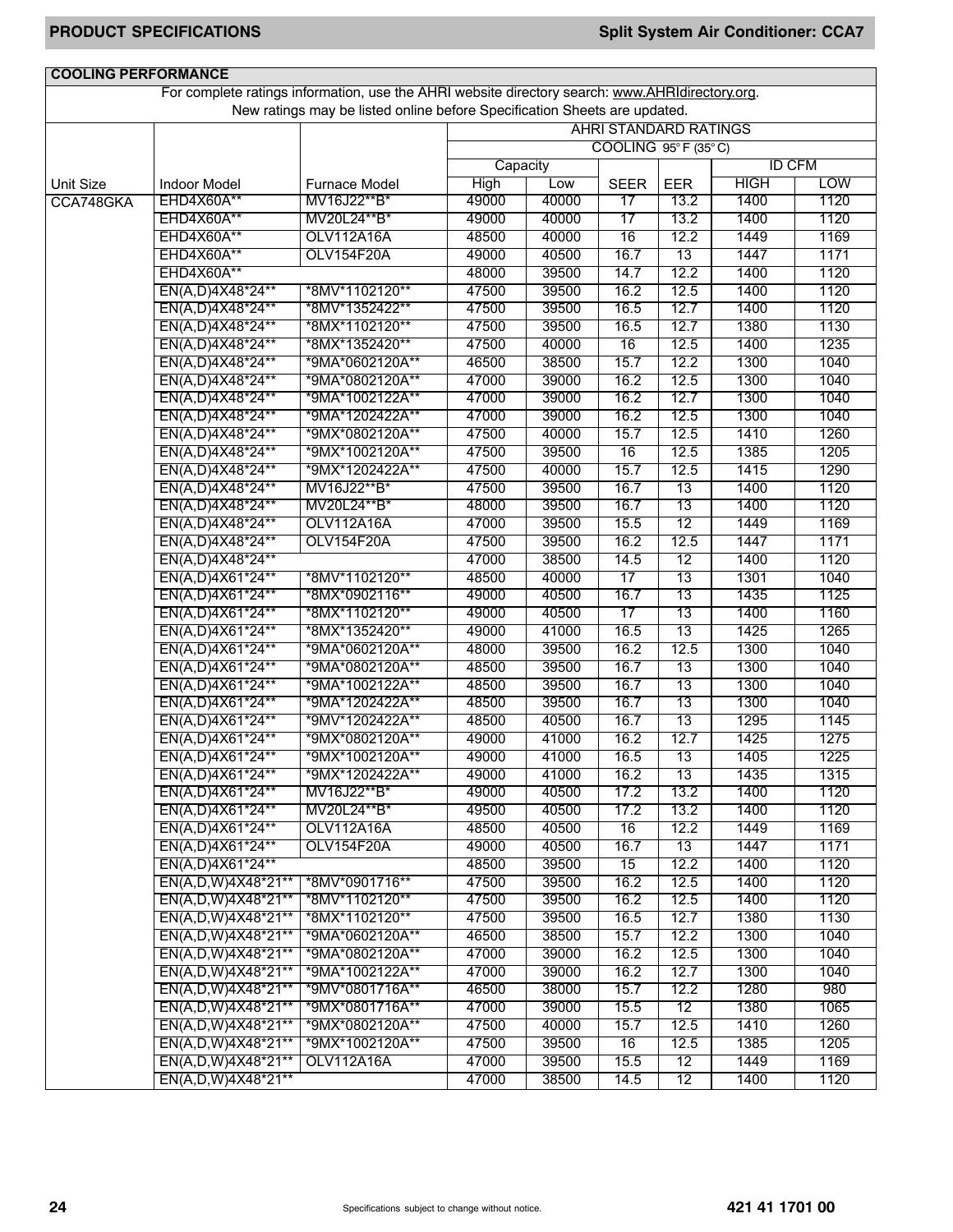| <b>COOLING PERFORMANCE</b> |                                   | For complete ratings information, use the AHRI website directory search: www.AHRIdirectory.org. |                                                                                                                                  |              |                 |            |               |            |
|----------------------------|-----------------------------------|-------------------------------------------------------------------------------------------------|----------------------------------------------------------------------------------------------------------------------------------|--------------|-----------------|------------|---------------|------------|
|                            |                                   |                                                                                                 |                                                                                                                                  |              |                 |            |               |            |
|                            |                                   |                                                                                                 | New ratings may be listed online before Specification Sheets are updated.<br><b>AHRI STANDARD RATINGS</b><br>COOLING 95°F (35°C) |              |                 |            |               |            |
|                            |                                   |                                                                                                 |                                                                                                                                  |              |                 |            |               |            |
|                            |                                   |                                                                                                 | Capacity                                                                                                                         |              |                 |            | <b>ID CFM</b> |            |
|                            |                                   |                                                                                                 |                                                                                                                                  |              |                 |            | HIGH          | <b>LOW</b> |
| <b>Unit Size</b>           | <b>Indoor Model</b><br>EHD4X60A** | Furnace Model<br>MV16J22**B*                                                                    | <b>High</b><br>49000                                                                                                             | Low<br>40000 | <b>SEER</b>     | <b>EER</b> | 1400          | 1120       |
| CCA748GKA                  |                                   |                                                                                                 |                                                                                                                                  |              | 17              | 13.2       |               |            |
|                            | EHD4X60A**                        | MV20L24**B*                                                                                     | 49000                                                                                                                            | 40000        | $\overline{17}$ | 13.2       | 1400          | 1120       |
|                            | EHD4X60A**                        | <b>OLV112A16A</b>                                                                               | 48500                                                                                                                            | 40000        | 16              | 12.2       | 1449          | 1169       |
|                            | EHD4X60A**                        | OLV154F20A                                                                                      | 49000                                                                                                                            | 40500        | 16.7            | 13         | 1447          | 1171       |
|                            | EHD4X60A**                        |                                                                                                 | 48000                                                                                                                            | 39500        | 14.7            | 12.2       | 1400          | 1120       |
|                            | EN(A,D)4X48*24**                  | *8MV*1102120**                                                                                  | 47500                                                                                                                            | 39500        | 16.2            | 12.5       | 1400          | 1120       |
|                            | EN(A,D)4X48*24**                  | *8MV*1352422**                                                                                  | 47500                                                                                                                            | 39500        | 16.5            | 12.7       | 1400          | 1120       |
|                            | EN(A,D)4X48*24**                  | *8MX*1102120**                                                                                  | 47500                                                                                                                            | 39500        | 16.5            | 12.7       | 1380          | 1130       |
|                            | EN(A,D)4X48*24**                  | *8MX*1352420**                                                                                  | 47500                                                                                                                            | 40000        | 16              | 12.5       | 1400          | 1235       |
|                            | EN(A,D)4X48*24**                  | *9MA*0602120A**                                                                                 | 46500                                                                                                                            | 38500        | 15.7            | 12.2       | 1300          | 1040       |
|                            | EN(A,D)4X48*24**                  | *9MA*0802120A**                                                                                 | 47000                                                                                                                            | 39000        | 16.2            | 12.5       | 1300          | 1040       |
|                            | EN(A,D)4X48*24**                  | *9MA*1002122A**                                                                                 | 47000                                                                                                                            | 39000        | 16.2            | 12.7       | 1300          | 1040       |
|                            | EN(A,D)4X48*24**                  | *9MA*1202422A**                                                                                 | 47000                                                                                                                            | 39000        | 16.2            | 12.5       | 1300          | 1040       |
|                            | EN(A,D)4X48*24**                  | *9MX*0802120A**                                                                                 | 47500                                                                                                                            | 40000        | 15.7            | 12.5       | 1410          | 1260       |
|                            | EN(A,D)4X48*24**                  | *9MX*1002120A**                                                                                 | 47500                                                                                                                            | 39500        | 16              | 12.5       | 1385          | 1205       |
|                            | EN(A,D)4X48*24**                  | *9MX*1202422A**                                                                                 | 47500                                                                                                                            | 40000        | 15.7            | 12.5       | 1415          | 1290       |
|                            | EN(A,D)4X48*24**                  | MV16J22**B*                                                                                     | 47500                                                                                                                            | 39500        | 16.7            | 13         | 1400          | 1120       |
|                            | EN(A,D)4X48*24**                  | MV20L24**B*                                                                                     | 48000                                                                                                                            | 39500        | 16.7            | 13         | 1400          | 1120       |
|                            | EN(A,D)4X48*24**                  | OLV112A16A                                                                                      | 47000                                                                                                                            | 39500        | 15.5            | 12         | 1449          | 1169       |
|                            | EN(A,D)4X48*24**                  | <b>OLV154F20A</b>                                                                               | 47500                                                                                                                            | 39500        | 16.2            | 12.5       | 1447          | 1171       |
|                            | EN(A,D)4X48*24**                  |                                                                                                 | 47000                                                                                                                            | 38500        | 14.5            | 12         | 1400          | 1120       |
|                            | EN(A,D)4X61*24**                  | *8MV*1102120**                                                                                  | 48500                                                                                                                            | 40000        | 17              | 13         | 1301          | 1040       |
|                            | EN(A,D)4X61*24**                  | *8MX*0902116**                                                                                  | 49000                                                                                                                            | 40500        | 16.7            | 13         | 1435          | 1125       |
|                            | EN(A,D)4X61*24**                  | *8MX*1102120**                                                                                  | 49000                                                                                                                            | 40500        | 17              | 13         | 1400          | 1160       |
|                            | EN(A,D)4X61*24**                  | *8MX*1352420**                                                                                  | 49000                                                                                                                            | 41000        | 16.5            | 13         | 1425          | 1265       |
|                            | EN(A,D)4X61*24**                  | *9MA*0602120A**                                                                                 | 48000                                                                                                                            | 39500        | 16.2            | 12.5       | 1300          | 1040       |
|                            | EN(A,D)4X61*24**                  | *9MA*0802120A**                                                                                 | 48500                                                                                                                            | 39500        | 16.7            | 13         | 1300          | 1040       |
|                            | EN(A,D)4X61*24**                  | *9MA*1002122A**                                                                                 | 48500                                                                                                                            | 39500        | 16.7            | 13         | 1300          | 1040       |
|                            | EN(A,D)4X61*24**                  | *9MA*1202422A**                                                                                 | 48500                                                                                                                            | 39500        | 16.7            | 13         | 1300          | 1040       |
|                            | EN(A,D)4X61*24**                  | *9MV*1202422A**                                                                                 | 48500                                                                                                                            | 40500        | 16.7            | 13         | 1295          | 1145       |
|                            | EN(A,D)4X61*24**                  | *9MX*0802120A**                                                                                 | 49000                                                                                                                            | 41000        | 16.2            | 12.7       | 1425          | 1275       |
|                            | EN(A,D)4X61*24**                  | *9MX*1002120A**                                                                                 | 49000                                                                                                                            | 41000        | 16.5            | 13         | 1405          | 1225       |
|                            | EN(A,D)4X61*24**                  | *9MX*1202422A**                                                                                 | 49000                                                                                                                            | 41000        | 16.2            | 13         | 1435          | 1315       |
|                            | EN(A,D)4X61*24**                  | MV16J22**B*                                                                                     | 49000                                                                                                                            | 40500        | 17.2            | 13.2       | 1400          | 1120       |
|                            | EN(A,D)4X61*24**                  | MV20L24**B*                                                                                     | 49500                                                                                                                            | 40500        | 17.2            | 13.2       | 1400          | 1120       |
|                            | EN(A,D)4X61*24**                  | <b>OLV112A16A</b>                                                                               | 48500                                                                                                                            | 40500        | 16              | 12.2       | 1449          | 1169       |
|                            | EN(A,D)4X61*24**                  | OLV154F20A                                                                                      | 49000                                                                                                                            | 40500        | 16.7            | 13         | 1447          | 1171       |
|                            | EN(A,D)4X61*24**                  |                                                                                                 | 48500                                                                                                                            | 39500        | 15              | 12.2       | 1400          | 1120       |
|                            | EN(A,D,W)4X48*21**                | *8MV*0901716**                                                                                  | 47500                                                                                                                            | 39500        | 16.2            | 12.5       | 1400          | 1120       |
|                            | EN(A,D,W)4X48*21**                | *8MV*1102120**                                                                                  | 47500                                                                                                                            | 39500        | 16.2            | 12.5       | 1400          | 1120       |
|                            | EN(A,D,W)4X48*21**                | *8MX*1102120**                                                                                  | 47500                                                                                                                            | 39500        | 16.5            | 12.7       | 1380          | 1130       |
|                            | EN(A,D,W)4X48*21**                | *9MA*0602120A**                                                                                 | 46500                                                                                                                            | 38500        | 15.7            | 12.2       | 1300          | 1040       |
|                            | EN(A,D,W)4X48*21**                | *9MA*0802120A**                                                                                 | 47000                                                                                                                            | 39000        | 16.2            | 12.5       | 1300          | 1040       |
|                            |                                   | *9MA*1002122A**                                                                                 | 47000                                                                                                                            | 39000        | 16.2            | 12.7       | 1300          | 1040       |
|                            | EN(A,D,W)4X48*21**                |                                                                                                 |                                                                                                                                  |              |                 |            |               |            |
|                            | EN(A,D,W)4X48*21**                | *9MV*0801716A**                                                                                 | 46500                                                                                                                            | 38000        | 15.7            | 12.2       | 1280          | 980        |
|                            | EN(A,D,W)4X48*21**                | *9MX*0801716A**                                                                                 | 47000                                                                                                                            | 39000        | 15.5            | 12         | 1380          | 1065       |
|                            | EN(A,D,W)4X48*21**                | *9MX*0802120A**                                                                                 | 47500                                                                                                                            | 40000        | 15.7            | 12.5       | 1410          | 1260       |
|                            | EN(A,D,W)4X48*21**                | *9MX*1002120A**                                                                                 | 47500                                                                                                                            | 39500        | 16              | 12.5       | 1385          | 1205       |
|                            | EN(A,D,W)4X48*21**                | <b>OLV112A16A</b>                                                                               | 47000                                                                                                                            | 39500        | 15.5            | 12         | 1449          | 1169       |
|                            | EN(A,D,W)4X48*21**                |                                                                                                 | 47000                                                                                                                            | 38500        | 14.5            | 12         | 1400          | 1120       |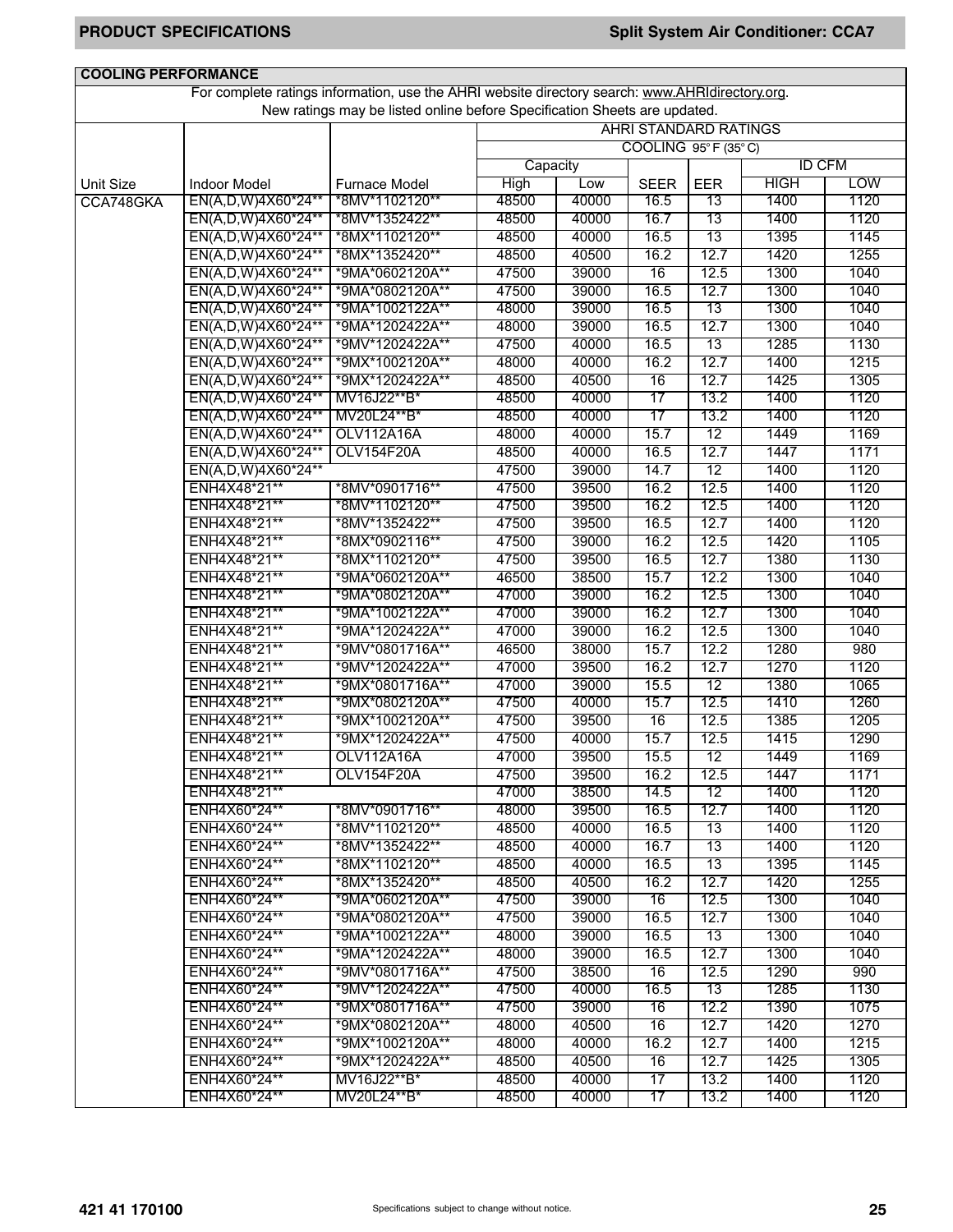| For complete ratings information, use the AHRI website directory search: www.AHRIdirectory.org.<br>New ratings may be listed online before Specification Sheets are updated.<br><b>AHRI STANDARD RATINGS</b><br>COOLING 95°F (35°C)<br><b>ID CFM</b><br>Capacity<br><b>LOW</b><br>High<br><b>HIGH</b><br>Low<br><b>SEER</b><br><b>EER</b><br><b>Unit Size</b><br><b>Indoor Model</b><br><b>Furnace Model</b><br>40000<br>1400<br>1120<br>EN(A,D,W)4X60*24**<br>*8MV*1102120**<br>48500<br>16.5<br>13<br>CCA748GKA<br>48500<br>40000<br>16.7<br>13<br>1400<br>1120<br>EN(A,D,W)4X60*24**<br>*8MV*1352422**<br>13<br>1395<br>EN(A,D,W)4X60*24**<br>*8MX*1102120**<br>48500<br>40000<br>16.5<br>1145<br>1420<br>EN(A,D,W)4X60*24**<br>48500<br>40500<br>16.2<br>12.7<br>1255<br>*8MX*1352420**<br>16<br>12.5<br>1300<br>EN(A,D,W)4X60*24**<br>47500<br>39000<br>1040<br>*9MA*0602120A**<br>47500<br>16.5<br>12.7<br>1300<br>1040<br>EN(A,D,W)4X60*24**<br>*9MA*0802120A**<br>39000<br>13<br>1300<br>EN(A,D,W)4X60*24**<br>*9MA*1002122A**<br>48000<br>39000<br>16.5<br>1040<br>12.7<br>EN(A,D,W)4X60*24**<br>48000<br>39000<br>16.5<br>1300<br>1040<br>*9MA*1202422A**<br>13<br>1285<br>EN(A,D,W)4X60*24**<br>47500<br>40000<br>16.5<br>1130<br>*9MV*1202422A**<br>48000<br>12.7<br>1400<br>EN(A,D,W)4X60*24**<br>*9MX*1002120A**<br>40000<br>16.2<br>1215<br>48500<br>40500<br>12.7<br>1425<br>1305<br>EN(A,D,W)4X60*24**<br>*9MX*1202422A**<br>16<br>MV16J22**B*<br>48500<br>17<br>13.2<br>1400<br>1120<br>EN(A,D,W)4X60*24**<br>40000<br>48500<br>17<br>1400<br>1120<br>EN(A,D,W)4X60*24**<br>MV20L24**B*<br>40000<br>13.2<br>15.7<br>12<br>EN(A,D,W)4X60*24**<br><b>OLV112A16A</b><br>48000<br>40000<br>1449<br>1169<br>48500<br>12.7<br>OLV154F20A<br>40000<br>16.5<br>1447<br>1171<br>EN(A,D,W)4X60*24**<br>12<br>EN(A,D,W)4X60*24**<br>47500<br>39000<br>14.7<br>1400<br>1120<br>ENH4X48*21**<br>47500<br>39500<br>16.2<br>12.5<br>1400<br>1120<br>*8MV*0901716**<br>47500<br>39500<br>16.2<br>12.5<br>1400<br>1120<br>ENH4X48*21**<br>*8MV*1102120**<br>12.7<br>ENH4X48*21**<br>*8MV*1352422**<br>47500<br>39500<br>16.5<br>1400<br>1120<br>12.5<br>ENH4X48*21**<br>*8MX*0902116**<br>47500<br>39000<br>16.2<br>1420<br>1105<br>47500<br>39500<br>12.7<br>1380<br>1130<br>ENH4X48*21**<br>*8MX*1102120**<br>16.5<br>12.2<br>ENH4X48*21**<br>*9MA*0602120A**<br>46500<br>38500<br>15.7<br>1300<br>1040<br>47000<br>12.5<br>1040<br>ENH4X48*21**<br>*9MA*0802120A**<br>39000<br>16.2<br>1300<br>47000<br>39000<br>16.2<br>12.7<br>1300<br>1040<br>ENH4X48*21**<br>*9MA*1002122A**<br>47000<br>16.2<br>12.5<br>1300<br>1040<br>ENH4X48*21**<br>*9MA*1202422A**<br>39000<br>1280<br>46500<br>38000<br>15.7<br>12.2<br>980<br>ENH4X48*21**<br>*9MV*0801716A**<br>1270<br>47000<br>12.7<br>1120<br>ENH4X48*21**<br>*9MV*1202422A**<br>39500<br>16.2<br>47000<br>15.5<br>12<br>1380<br>ENH4X48*21**<br>*9MX*0801716A**<br>39000<br>1065<br>12.5<br>ENH4X48*21**<br>47500<br>40000<br>15.7<br>1410<br>1260<br>*9MX*0802120A**<br>12.5<br>ENH4X48*21**<br>*9MX*1002120A**<br>47500<br>39500<br>16<br>1385<br>1205<br>12.5<br>1415<br>1290<br>ENH4X48*21**<br>*9MX*1202422A**<br>47500<br>40000<br>15.7<br>ENH4X48*21**<br>OLV112A16A<br>47000<br>39500<br>15.5<br>12<br>1449<br>1169<br>ENH4X48*21**<br>OLV154F20A<br>47500<br>16.2<br>12.5<br>1447<br>1171<br>39500<br>47000<br>12<br>ENH4X48*21**<br>38500<br>1400<br>1120<br>14.5<br>ENH4X60*24**<br>*8MV*0901716**<br>48000<br>39500<br>16.5<br>12.7<br>1400<br>1120<br>ENH4X60*24**<br>*8MV*1102120**<br>48500<br>40000<br>16.5<br>1400<br>1120<br>13<br>ENH4X60*24**<br>*8MV*1352422**<br>48500<br>40000<br>16.7<br>13<br>1400<br>1120<br>ENH4X60*24**<br>*8MX*1102120**<br>48500<br>40000<br>16.5<br>13<br>1395<br>1145<br>ENH4X60*24**<br>*8MX*1352420**<br>48500<br>40500<br>12.7<br>1420<br>1255<br>16.2<br>ENH4X60*24**<br>47500<br>39000<br>12.5<br>1300<br>1040<br>*9MA*0602120A**<br>16<br>12.7<br>1300<br>1040<br>ENH4X60*24**<br>*9MA*0802120A**<br>47500<br>39000<br>16.5<br>ENH4X60*24**<br>*9MA*1002122A**<br>48000<br>39000<br>16.5<br>13<br>1300<br>1040<br>1300<br>ENH4X60*24**<br>*9MA*1202422A**<br>48000<br>39000<br>16.5<br>12.7<br>1040<br>ENH4X60*24**<br>*9MV*0801716A**<br>47500<br>38500<br>16<br>12.5<br>1290<br>990<br>ENH4X60*24**<br>*9MV*1202422A**<br>40000<br>13<br>1285<br>47500<br>16.5<br>1130<br>ENH4X60*24**<br>*9MX*0801716A**<br>47500<br>39000<br>12.2<br>1390<br>1075<br>$\overline{16}$<br>1420<br>ENH4X60*24**<br>*9MX*0802120A**<br>48000<br>40500<br>16<br>12.7<br>1270<br>ENH4X60*24**<br>*9MX*1002120A**<br>1400<br>1215<br>48000<br>40000<br>16.2<br>12.7<br>ENH4X60*24**<br>*9MX*1202422A**<br>48500<br>40500<br>12.7<br>1425<br>1305<br>16<br>ENH4X60*24**<br>MV16J22**B*<br>48500<br>40000<br>17<br>13.2<br>1400<br>1120<br>ENH4X60*24**<br>MV20L24**B*<br>40000<br>13.2<br>1400<br>48500<br>17<br>1120 | <b>COOLING PERFORMANCE</b> |  |  |  |  |
|--------------------------------------------------------------------------------------------------------------------------------------------------------------------------------------------------------------------------------------------------------------------------------------------------------------------------------------------------------------------------------------------------------------------------------------------------------------------------------------------------------------------------------------------------------------------------------------------------------------------------------------------------------------------------------------------------------------------------------------------------------------------------------------------------------------------------------------------------------------------------------------------------------------------------------------------------------------------------------------------------------------------------------------------------------------------------------------------------------------------------------------------------------------------------------------------------------------------------------------------------------------------------------------------------------------------------------------------------------------------------------------------------------------------------------------------------------------------------------------------------------------------------------------------------------------------------------------------------------------------------------------------------------------------------------------------------------------------------------------------------------------------------------------------------------------------------------------------------------------------------------------------------------------------------------------------------------------------------------------------------------------------------------------------------------------------------------------------------------------------------------------------------------------------------------------------------------------------------------------------------------------------------------------------------------------------------------------------------------------------------------------------------------------------------------------------------------------------------------------------------------------------------------------------------------------------------------------------------------------------------------------------------------------------------------------------------------------------------------------------------------------------------------------------------------------------------------------------------------------------------------------------------------------------------------------------------------------------------------------------------------------------------------------------------------------------------------------------------------------------------------------------------------------------------------------------------------------------------------------------------------------------------------------------------------------------------------------------------------------------------------------------------------------------------------------------------------------------------------------------------------------------------------------------------------------------------------------------------------------------------------------------------------------------------------------------------------------------------------------------------------------------------------------------------------------------------------------------------------------------------------------------------------------------------------------------------------------------------------------------------------------------------------------------------------------------------------------------------------------------------------------------------------------------------------------------------------------------------------------------------------------------------------------------------------------------------------------------------------------------------------------------------------------------------------------------------------------------------------------------------------------------------------------------------------------------------------------------------------------------------------------------------------------------------------------------------------------------------------------------------------------------------------------------------------------------------------------------------------------------------------------------------------------|----------------------------|--|--|--|--|
|                                                                                                                                                                                                                                                                                                                                                                                                                                                                                                                                                                                                                                                                                                                                                                                                                                                                                                                                                                                                                                                                                                                                                                                                                                                                                                                                                                                                                                                                                                                                                                                                                                                                                                                                                                                                                                                                                                                                                                                                                                                                                                                                                                                                                                                                                                                                                                                                                                                                                                                                                                                                                                                                                                                                                                                                                                                                                                                                                                                                                                                                                                                                                                                                                                                                                                                                                                                                                                                                                                                                                                                                                                                                                                                                                                                                                                                                                                                                                                                                                                                                                                                                                                                                                                                                                                                                                                                                                                                                                                                                                                                                                                                                                                                                                                                                                                                                                                              |                            |  |  |  |  |
|                                                                                                                                                                                                                                                                                                                                                                                                                                                                                                                                                                                                                                                                                                                                                                                                                                                                                                                                                                                                                                                                                                                                                                                                                                                                                                                                                                                                                                                                                                                                                                                                                                                                                                                                                                                                                                                                                                                                                                                                                                                                                                                                                                                                                                                                                                                                                                                                                                                                                                                                                                                                                                                                                                                                                                                                                                                                                                                                                                                                                                                                                                                                                                                                                                                                                                                                                                                                                                                                                                                                                                                                                                                                                                                                                                                                                                                                                                                                                                                                                                                                                                                                                                                                                                                                                                                                                                                                                                                                                                                                                                                                                                                                                                                                                                                                                                                                                                              |                            |  |  |  |  |
|                                                                                                                                                                                                                                                                                                                                                                                                                                                                                                                                                                                                                                                                                                                                                                                                                                                                                                                                                                                                                                                                                                                                                                                                                                                                                                                                                                                                                                                                                                                                                                                                                                                                                                                                                                                                                                                                                                                                                                                                                                                                                                                                                                                                                                                                                                                                                                                                                                                                                                                                                                                                                                                                                                                                                                                                                                                                                                                                                                                                                                                                                                                                                                                                                                                                                                                                                                                                                                                                                                                                                                                                                                                                                                                                                                                                                                                                                                                                                                                                                                                                                                                                                                                                                                                                                                                                                                                                                                                                                                                                                                                                                                                                                                                                                                                                                                                                                                              |                            |  |  |  |  |
|                                                                                                                                                                                                                                                                                                                                                                                                                                                                                                                                                                                                                                                                                                                                                                                                                                                                                                                                                                                                                                                                                                                                                                                                                                                                                                                                                                                                                                                                                                                                                                                                                                                                                                                                                                                                                                                                                                                                                                                                                                                                                                                                                                                                                                                                                                                                                                                                                                                                                                                                                                                                                                                                                                                                                                                                                                                                                                                                                                                                                                                                                                                                                                                                                                                                                                                                                                                                                                                                                                                                                                                                                                                                                                                                                                                                                                                                                                                                                                                                                                                                                                                                                                                                                                                                                                                                                                                                                                                                                                                                                                                                                                                                                                                                                                                                                                                                                                              |                            |  |  |  |  |
|                                                                                                                                                                                                                                                                                                                                                                                                                                                                                                                                                                                                                                                                                                                                                                                                                                                                                                                                                                                                                                                                                                                                                                                                                                                                                                                                                                                                                                                                                                                                                                                                                                                                                                                                                                                                                                                                                                                                                                                                                                                                                                                                                                                                                                                                                                                                                                                                                                                                                                                                                                                                                                                                                                                                                                                                                                                                                                                                                                                                                                                                                                                                                                                                                                                                                                                                                                                                                                                                                                                                                                                                                                                                                                                                                                                                                                                                                                                                                                                                                                                                                                                                                                                                                                                                                                                                                                                                                                                                                                                                                                                                                                                                                                                                                                                                                                                                                                              |                            |  |  |  |  |
|                                                                                                                                                                                                                                                                                                                                                                                                                                                                                                                                                                                                                                                                                                                                                                                                                                                                                                                                                                                                                                                                                                                                                                                                                                                                                                                                                                                                                                                                                                                                                                                                                                                                                                                                                                                                                                                                                                                                                                                                                                                                                                                                                                                                                                                                                                                                                                                                                                                                                                                                                                                                                                                                                                                                                                                                                                                                                                                                                                                                                                                                                                                                                                                                                                                                                                                                                                                                                                                                                                                                                                                                                                                                                                                                                                                                                                                                                                                                                                                                                                                                                                                                                                                                                                                                                                                                                                                                                                                                                                                                                                                                                                                                                                                                                                                                                                                                                                              |                            |  |  |  |  |
|                                                                                                                                                                                                                                                                                                                                                                                                                                                                                                                                                                                                                                                                                                                                                                                                                                                                                                                                                                                                                                                                                                                                                                                                                                                                                                                                                                                                                                                                                                                                                                                                                                                                                                                                                                                                                                                                                                                                                                                                                                                                                                                                                                                                                                                                                                                                                                                                                                                                                                                                                                                                                                                                                                                                                                                                                                                                                                                                                                                                                                                                                                                                                                                                                                                                                                                                                                                                                                                                                                                                                                                                                                                                                                                                                                                                                                                                                                                                                                                                                                                                                                                                                                                                                                                                                                                                                                                                                                                                                                                                                                                                                                                                                                                                                                                                                                                                                                              |                            |  |  |  |  |
|                                                                                                                                                                                                                                                                                                                                                                                                                                                                                                                                                                                                                                                                                                                                                                                                                                                                                                                                                                                                                                                                                                                                                                                                                                                                                                                                                                                                                                                                                                                                                                                                                                                                                                                                                                                                                                                                                                                                                                                                                                                                                                                                                                                                                                                                                                                                                                                                                                                                                                                                                                                                                                                                                                                                                                                                                                                                                                                                                                                                                                                                                                                                                                                                                                                                                                                                                                                                                                                                                                                                                                                                                                                                                                                                                                                                                                                                                                                                                                                                                                                                                                                                                                                                                                                                                                                                                                                                                                                                                                                                                                                                                                                                                                                                                                                                                                                                                                              |                            |  |  |  |  |
|                                                                                                                                                                                                                                                                                                                                                                                                                                                                                                                                                                                                                                                                                                                                                                                                                                                                                                                                                                                                                                                                                                                                                                                                                                                                                                                                                                                                                                                                                                                                                                                                                                                                                                                                                                                                                                                                                                                                                                                                                                                                                                                                                                                                                                                                                                                                                                                                                                                                                                                                                                                                                                                                                                                                                                                                                                                                                                                                                                                                                                                                                                                                                                                                                                                                                                                                                                                                                                                                                                                                                                                                                                                                                                                                                                                                                                                                                                                                                                                                                                                                                                                                                                                                                                                                                                                                                                                                                                                                                                                                                                                                                                                                                                                                                                                                                                                                                                              |                            |  |  |  |  |
|                                                                                                                                                                                                                                                                                                                                                                                                                                                                                                                                                                                                                                                                                                                                                                                                                                                                                                                                                                                                                                                                                                                                                                                                                                                                                                                                                                                                                                                                                                                                                                                                                                                                                                                                                                                                                                                                                                                                                                                                                                                                                                                                                                                                                                                                                                                                                                                                                                                                                                                                                                                                                                                                                                                                                                                                                                                                                                                                                                                                                                                                                                                                                                                                                                                                                                                                                                                                                                                                                                                                                                                                                                                                                                                                                                                                                                                                                                                                                                                                                                                                                                                                                                                                                                                                                                                                                                                                                                                                                                                                                                                                                                                                                                                                                                                                                                                                                                              |                            |  |  |  |  |
|                                                                                                                                                                                                                                                                                                                                                                                                                                                                                                                                                                                                                                                                                                                                                                                                                                                                                                                                                                                                                                                                                                                                                                                                                                                                                                                                                                                                                                                                                                                                                                                                                                                                                                                                                                                                                                                                                                                                                                                                                                                                                                                                                                                                                                                                                                                                                                                                                                                                                                                                                                                                                                                                                                                                                                                                                                                                                                                                                                                                                                                                                                                                                                                                                                                                                                                                                                                                                                                                                                                                                                                                                                                                                                                                                                                                                                                                                                                                                                                                                                                                                                                                                                                                                                                                                                                                                                                                                                                                                                                                                                                                                                                                                                                                                                                                                                                                                                              |                            |  |  |  |  |
|                                                                                                                                                                                                                                                                                                                                                                                                                                                                                                                                                                                                                                                                                                                                                                                                                                                                                                                                                                                                                                                                                                                                                                                                                                                                                                                                                                                                                                                                                                                                                                                                                                                                                                                                                                                                                                                                                                                                                                                                                                                                                                                                                                                                                                                                                                                                                                                                                                                                                                                                                                                                                                                                                                                                                                                                                                                                                                                                                                                                                                                                                                                                                                                                                                                                                                                                                                                                                                                                                                                                                                                                                                                                                                                                                                                                                                                                                                                                                                                                                                                                                                                                                                                                                                                                                                                                                                                                                                                                                                                                                                                                                                                                                                                                                                                                                                                                                                              |                            |  |  |  |  |
|                                                                                                                                                                                                                                                                                                                                                                                                                                                                                                                                                                                                                                                                                                                                                                                                                                                                                                                                                                                                                                                                                                                                                                                                                                                                                                                                                                                                                                                                                                                                                                                                                                                                                                                                                                                                                                                                                                                                                                                                                                                                                                                                                                                                                                                                                                                                                                                                                                                                                                                                                                                                                                                                                                                                                                                                                                                                                                                                                                                                                                                                                                                                                                                                                                                                                                                                                                                                                                                                                                                                                                                                                                                                                                                                                                                                                                                                                                                                                                                                                                                                                                                                                                                                                                                                                                                                                                                                                                                                                                                                                                                                                                                                                                                                                                                                                                                                                                              |                            |  |  |  |  |
|                                                                                                                                                                                                                                                                                                                                                                                                                                                                                                                                                                                                                                                                                                                                                                                                                                                                                                                                                                                                                                                                                                                                                                                                                                                                                                                                                                                                                                                                                                                                                                                                                                                                                                                                                                                                                                                                                                                                                                                                                                                                                                                                                                                                                                                                                                                                                                                                                                                                                                                                                                                                                                                                                                                                                                                                                                                                                                                                                                                                                                                                                                                                                                                                                                                                                                                                                                                                                                                                                                                                                                                                                                                                                                                                                                                                                                                                                                                                                                                                                                                                                                                                                                                                                                                                                                                                                                                                                                                                                                                                                                                                                                                                                                                                                                                                                                                                                                              |                            |  |  |  |  |
|                                                                                                                                                                                                                                                                                                                                                                                                                                                                                                                                                                                                                                                                                                                                                                                                                                                                                                                                                                                                                                                                                                                                                                                                                                                                                                                                                                                                                                                                                                                                                                                                                                                                                                                                                                                                                                                                                                                                                                                                                                                                                                                                                                                                                                                                                                                                                                                                                                                                                                                                                                                                                                                                                                                                                                                                                                                                                                                                                                                                                                                                                                                                                                                                                                                                                                                                                                                                                                                                                                                                                                                                                                                                                                                                                                                                                                                                                                                                                                                                                                                                                                                                                                                                                                                                                                                                                                                                                                                                                                                                                                                                                                                                                                                                                                                                                                                                                                              |                            |  |  |  |  |
|                                                                                                                                                                                                                                                                                                                                                                                                                                                                                                                                                                                                                                                                                                                                                                                                                                                                                                                                                                                                                                                                                                                                                                                                                                                                                                                                                                                                                                                                                                                                                                                                                                                                                                                                                                                                                                                                                                                                                                                                                                                                                                                                                                                                                                                                                                                                                                                                                                                                                                                                                                                                                                                                                                                                                                                                                                                                                                                                                                                                                                                                                                                                                                                                                                                                                                                                                                                                                                                                                                                                                                                                                                                                                                                                                                                                                                                                                                                                                                                                                                                                                                                                                                                                                                                                                                                                                                                                                                                                                                                                                                                                                                                                                                                                                                                                                                                                                                              |                            |  |  |  |  |
|                                                                                                                                                                                                                                                                                                                                                                                                                                                                                                                                                                                                                                                                                                                                                                                                                                                                                                                                                                                                                                                                                                                                                                                                                                                                                                                                                                                                                                                                                                                                                                                                                                                                                                                                                                                                                                                                                                                                                                                                                                                                                                                                                                                                                                                                                                                                                                                                                                                                                                                                                                                                                                                                                                                                                                                                                                                                                                                                                                                                                                                                                                                                                                                                                                                                                                                                                                                                                                                                                                                                                                                                                                                                                                                                                                                                                                                                                                                                                                                                                                                                                                                                                                                                                                                                                                                                                                                                                                                                                                                                                                                                                                                                                                                                                                                                                                                                                                              |                            |  |  |  |  |
|                                                                                                                                                                                                                                                                                                                                                                                                                                                                                                                                                                                                                                                                                                                                                                                                                                                                                                                                                                                                                                                                                                                                                                                                                                                                                                                                                                                                                                                                                                                                                                                                                                                                                                                                                                                                                                                                                                                                                                                                                                                                                                                                                                                                                                                                                                                                                                                                                                                                                                                                                                                                                                                                                                                                                                                                                                                                                                                                                                                                                                                                                                                                                                                                                                                                                                                                                                                                                                                                                                                                                                                                                                                                                                                                                                                                                                                                                                                                                                                                                                                                                                                                                                                                                                                                                                                                                                                                                                                                                                                                                                                                                                                                                                                                                                                                                                                                                                              |                            |  |  |  |  |
|                                                                                                                                                                                                                                                                                                                                                                                                                                                                                                                                                                                                                                                                                                                                                                                                                                                                                                                                                                                                                                                                                                                                                                                                                                                                                                                                                                                                                                                                                                                                                                                                                                                                                                                                                                                                                                                                                                                                                                                                                                                                                                                                                                                                                                                                                                                                                                                                                                                                                                                                                                                                                                                                                                                                                                                                                                                                                                                                                                                                                                                                                                                                                                                                                                                                                                                                                                                                                                                                                                                                                                                                                                                                                                                                                                                                                                                                                                                                                                                                                                                                                                                                                                                                                                                                                                                                                                                                                                                                                                                                                                                                                                                                                                                                                                                                                                                                                                              |                            |  |  |  |  |
|                                                                                                                                                                                                                                                                                                                                                                                                                                                                                                                                                                                                                                                                                                                                                                                                                                                                                                                                                                                                                                                                                                                                                                                                                                                                                                                                                                                                                                                                                                                                                                                                                                                                                                                                                                                                                                                                                                                                                                                                                                                                                                                                                                                                                                                                                                                                                                                                                                                                                                                                                                                                                                                                                                                                                                                                                                                                                                                                                                                                                                                                                                                                                                                                                                                                                                                                                                                                                                                                                                                                                                                                                                                                                                                                                                                                                                                                                                                                                                                                                                                                                                                                                                                                                                                                                                                                                                                                                                                                                                                                                                                                                                                                                                                                                                                                                                                                                                              |                            |  |  |  |  |
|                                                                                                                                                                                                                                                                                                                                                                                                                                                                                                                                                                                                                                                                                                                                                                                                                                                                                                                                                                                                                                                                                                                                                                                                                                                                                                                                                                                                                                                                                                                                                                                                                                                                                                                                                                                                                                                                                                                                                                                                                                                                                                                                                                                                                                                                                                                                                                                                                                                                                                                                                                                                                                                                                                                                                                                                                                                                                                                                                                                                                                                                                                                                                                                                                                                                                                                                                                                                                                                                                                                                                                                                                                                                                                                                                                                                                                                                                                                                                                                                                                                                                                                                                                                                                                                                                                                                                                                                                                                                                                                                                                                                                                                                                                                                                                                                                                                                                                              |                            |  |  |  |  |
|                                                                                                                                                                                                                                                                                                                                                                                                                                                                                                                                                                                                                                                                                                                                                                                                                                                                                                                                                                                                                                                                                                                                                                                                                                                                                                                                                                                                                                                                                                                                                                                                                                                                                                                                                                                                                                                                                                                                                                                                                                                                                                                                                                                                                                                                                                                                                                                                                                                                                                                                                                                                                                                                                                                                                                                                                                                                                                                                                                                                                                                                                                                                                                                                                                                                                                                                                                                                                                                                                                                                                                                                                                                                                                                                                                                                                                                                                                                                                                                                                                                                                                                                                                                                                                                                                                                                                                                                                                                                                                                                                                                                                                                                                                                                                                                                                                                                                                              |                            |  |  |  |  |
|                                                                                                                                                                                                                                                                                                                                                                                                                                                                                                                                                                                                                                                                                                                                                                                                                                                                                                                                                                                                                                                                                                                                                                                                                                                                                                                                                                                                                                                                                                                                                                                                                                                                                                                                                                                                                                                                                                                                                                                                                                                                                                                                                                                                                                                                                                                                                                                                                                                                                                                                                                                                                                                                                                                                                                                                                                                                                                                                                                                                                                                                                                                                                                                                                                                                                                                                                                                                                                                                                                                                                                                                                                                                                                                                                                                                                                                                                                                                                                                                                                                                                                                                                                                                                                                                                                                                                                                                                                                                                                                                                                                                                                                                                                                                                                                                                                                                                                              |                            |  |  |  |  |
|                                                                                                                                                                                                                                                                                                                                                                                                                                                                                                                                                                                                                                                                                                                                                                                                                                                                                                                                                                                                                                                                                                                                                                                                                                                                                                                                                                                                                                                                                                                                                                                                                                                                                                                                                                                                                                                                                                                                                                                                                                                                                                                                                                                                                                                                                                                                                                                                                                                                                                                                                                                                                                                                                                                                                                                                                                                                                                                                                                                                                                                                                                                                                                                                                                                                                                                                                                                                                                                                                                                                                                                                                                                                                                                                                                                                                                                                                                                                                                                                                                                                                                                                                                                                                                                                                                                                                                                                                                                                                                                                                                                                                                                                                                                                                                                                                                                                                                              |                            |  |  |  |  |
|                                                                                                                                                                                                                                                                                                                                                                                                                                                                                                                                                                                                                                                                                                                                                                                                                                                                                                                                                                                                                                                                                                                                                                                                                                                                                                                                                                                                                                                                                                                                                                                                                                                                                                                                                                                                                                                                                                                                                                                                                                                                                                                                                                                                                                                                                                                                                                                                                                                                                                                                                                                                                                                                                                                                                                                                                                                                                                                                                                                                                                                                                                                                                                                                                                                                                                                                                                                                                                                                                                                                                                                                                                                                                                                                                                                                                                                                                                                                                                                                                                                                                                                                                                                                                                                                                                                                                                                                                                                                                                                                                                                                                                                                                                                                                                                                                                                                                                              |                            |  |  |  |  |
|                                                                                                                                                                                                                                                                                                                                                                                                                                                                                                                                                                                                                                                                                                                                                                                                                                                                                                                                                                                                                                                                                                                                                                                                                                                                                                                                                                                                                                                                                                                                                                                                                                                                                                                                                                                                                                                                                                                                                                                                                                                                                                                                                                                                                                                                                                                                                                                                                                                                                                                                                                                                                                                                                                                                                                                                                                                                                                                                                                                                                                                                                                                                                                                                                                                                                                                                                                                                                                                                                                                                                                                                                                                                                                                                                                                                                                                                                                                                                                                                                                                                                                                                                                                                                                                                                                                                                                                                                                                                                                                                                                                                                                                                                                                                                                                                                                                                                                              |                            |  |  |  |  |
|                                                                                                                                                                                                                                                                                                                                                                                                                                                                                                                                                                                                                                                                                                                                                                                                                                                                                                                                                                                                                                                                                                                                                                                                                                                                                                                                                                                                                                                                                                                                                                                                                                                                                                                                                                                                                                                                                                                                                                                                                                                                                                                                                                                                                                                                                                                                                                                                                                                                                                                                                                                                                                                                                                                                                                                                                                                                                                                                                                                                                                                                                                                                                                                                                                                                                                                                                                                                                                                                                                                                                                                                                                                                                                                                                                                                                                                                                                                                                                                                                                                                                                                                                                                                                                                                                                                                                                                                                                                                                                                                                                                                                                                                                                                                                                                                                                                                                                              |                            |  |  |  |  |
|                                                                                                                                                                                                                                                                                                                                                                                                                                                                                                                                                                                                                                                                                                                                                                                                                                                                                                                                                                                                                                                                                                                                                                                                                                                                                                                                                                                                                                                                                                                                                                                                                                                                                                                                                                                                                                                                                                                                                                                                                                                                                                                                                                                                                                                                                                                                                                                                                                                                                                                                                                                                                                                                                                                                                                                                                                                                                                                                                                                                                                                                                                                                                                                                                                                                                                                                                                                                                                                                                                                                                                                                                                                                                                                                                                                                                                                                                                                                                                                                                                                                                                                                                                                                                                                                                                                                                                                                                                                                                                                                                                                                                                                                                                                                                                                                                                                                                                              |                            |  |  |  |  |
|                                                                                                                                                                                                                                                                                                                                                                                                                                                                                                                                                                                                                                                                                                                                                                                                                                                                                                                                                                                                                                                                                                                                                                                                                                                                                                                                                                                                                                                                                                                                                                                                                                                                                                                                                                                                                                                                                                                                                                                                                                                                                                                                                                                                                                                                                                                                                                                                                                                                                                                                                                                                                                                                                                                                                                                                                                                                                                                                                                                                                                                                                                                                                                                                                                                                                                                                                                                                                                                                                                                                                                                                                                                                                                                                                                                                                                                                                                                                                                                                                                                                                                                                                                                                                                                                                                                                                                                                                                                                                                                                                                                                                                                                                                                                                                                                                                                                                                              |                            |  |  |  |  |
|                                                                                                                                                                                                                                                                                                                                                                                                                                                                                                                                                                                                                                                                                                                                                                                                                                                                                                                                                                                                                                                                                                                                                                                                                                                                                                                                                                                                                                                                                                                                                                                                                                                                                                                                                                                                                                                                                                                                                                                                                                                                                                                                                                                                                                                                                                                                                                                                                                                                                                                                                                                                                                                                                                                                                                                                                                                                                                                                                                                                                                                                                                                                                                                                                                                                                                                                                                                                                                                                                                                                                                                                                                                                                                                                                                                                                                                                                                                                                                                                                                                                                                                                                                                                                                                                                                                                                                                                                                                                                                                                                                                                                                                                                                                                                                                                                                                                                                              |                            |  |  |  |  |
|                                                                                                                                                                                                                                                                                                                                                                                                                                                                                                                                                                                                                                                                                                                                                                                                                                                                                                                                                                                                                                                                                                                                                                                                                                                                                                                                                                                                                                                                                                                                                                                                                                                                                                                                                                                                                                                                                                                                                                                                                                                                                                                                                                                                                                                                                                                                                                                                                                                                                                                                                                                                                                                                                                                                                                                                                                                                                                                                                                                                                                                                                                                                                                                                                                                                                                                                                                                                                                                                                                                                                                                                                                                                                                                                                                                                                                                                                                                                                                                                                                                                                                                                                                                                                                                                                                                                                                                                                                                                                                                                                                                                                                                                                                                                                                                                                                                                                                              |                            |  |  |  |  |
|                                                                                                                                                                                                                                                                                                                                                                                                                                                                                                                                                                                                                                                                                                                                                                                                                                                                                                                                                                                                                                                                                                                                                                                                                                                                                                                                                                                                                                                                                                                                                                                                                                                                                                                                                                                                                                                                                                                                                                                                                                                                                                                                                                                                                                                                                                                                                                                                                                                                                                                                                                                                                                                                                                                                                                                                                                                                                                                                                                                                                                                                                                                                                                                                                                                                                                                                                                                                                                                                                                                                                                                                                                                                                                                                                                                                                                                                                                                                                                                                                                                                                                                                                                                                                                                                                                                                                                                                                                                                                                                                                                                                                                                                                                                                                                                                                                                                                                              |                            |  |  |  |  |
|                                                                                                                                                                                                                                                                                                                                                                                                                                                                                                                                                                                                                                                                                                                                                                                                                                                                                                                                                                                                                                                                                                                                                                                                                                                                                                                                                                                                                                                                                                                                                                                                                                                                                                                                                                                                                                                                                                                                                                                                                                                                                                                                                                                                                                                                                                                                                                                                                                                                                                                                                                                                                                                                                                                                                                                                                                                                                                                                                                                                                                                                                                                                                                                                                                                                                                                                                                                                                                                                                                                                                                                                                                                                                                                                                                                                                                                                                                                                                                                                                                                                                                                                                                                                                                                                                                                                                                                                                                                                                                                                                                                                                                                                                                                                                                                                                                                                                                              |                            |  |  |  |  |
|                                                                                                                                                                                                                                                                                                                                                                                                                                                                                                                                                                                                                                                                                                                                                                                                                                                                                                                                                                                                                                                                                                                                                                                                                                                                                                                                                                                                                                                                                                                                                                                                                                                                                                                                                                                                                                                                                                                                                                                                                                                                                                                                                                                                                                                                                                                                                                                                                                                                                                                                                                                                                                                                                                                                                                                                                                                                                                                                                                                                                                                                                                                                                                                                                                                                                                                                                                                                                                                                                                                                                                                                                                                                                                                                                                                                                                                                                                                                                                                                                                                                                                                                                                                                                                                                                                                                                                                                                                                                                                                                                                                                                                                                                                                                                                                                                                                                                                              |                            |  |  |  |  |
|                                                                                                                                                                                                                                                                                                                                                                                                                                                                                                                                                                                                                                                                                                                                                                                                                                                                                                                                                                                                                                                                                                                                                                                                                                                                                                                                                                                                                                                                                                                                                                                                                                                                                                                                                                                                                                                                                                                                                                                                                                                                                                                                                                                                                                                                                                                                                                                                                                                                                                                                                                                                                                                                                                                                                                                                                                                                                                                                                                                                                                                                                                                                                                                                                                                                                                                                                                                                                                                                                                                                                                                                                                                                                                                                                                                                                                                                                                                                                                                                                                                                                                                                                                                                                                                                                                                                                                                                                                                                                                                                                                                                                                                                                                                                                                                                                                                                                                              |                            |  |  |  |  |
|                                                                                                                                                                                                                                                                                                                                                                                                                                                                                                                                                                                                                                                                                                                                                                                                                                                                                                                                                                                                                                                                                                                                                                                                                                                                                                                                                                                                                                                                                                                                                                                                                                                                                                                                                                                                                                                                                                                                                                                                                                                                                                                                                                                                                                                                                                                                                                                                                                                                                                                                                                                                                                                                                                                                                                                                                                                                                                                                                                                                                                                                                                                                                                                                                                                                                                                                                                                                                                                                                                                                                                                                                                                                                                                                                                                                                                                                                                                                                                                                                                                                                                                                                                                                                                                                                                                                                                                                                                                                                                                                                                                                                                                                                                                                                                                                                                                                                                              |                            |  |  |  |  |
|                                                                                                                                                                                                                                                                                                                                                                                                                                                                                                                                                                                                                                                                                                                                                                                                                                                                                                                                                                                                                                                                                                                                                                                                                                                                                                                                                                                                                                                                                                                                                                                                                                                                                                                                                                                                                                                                                                                                                                                                                                                                                                                                                                                                                                                                                                                                                                                                                                                                                                                                                                                                                                                                                                                                                                                                                                                                                                                                                                                                                                                                                                                                                                                                                                                                                                                                                                                                                                                                                                                                                                                                                                                                                                                                                                                                                                                                                                                                                                                                                                                                                                                                                                                                                                                                                                                                                                                                                                                                                                                                                                                                                                                                                                                                                                                                                                                                                                              |                            |  |  |  |  |
|                                                                                                                                                                                                                                                                                                                                                                                                                                                                                                                                                                                                                                                                                                                                                                                                                                                                                                                                                                                                                                                                                                                                                                                                                                                                                                                                                                                                                                                                                                                                                                                                                                                                                                                                                                                                                                                                                                                                                                                                                                                                                                                                                                                                                                                                                                                                                                                                                                                                                                                                                                                                                                                                                                                                                                                                                                                                                                                                                                                                                                                                                                                                                                                                                                                                                                                                                                                                                                                                                                                                                                                                                                                                                                                                                                                                                                                                                                                                                                                                                                                                                                                                                                                                                                                                                                                                                                                                                                                                                                                                                                                                                                                                                                                                                                                                                                                                                                              |                            |  |  |  |  |
|                                                                                                                                                                                                                                                                                                                                                                                                                                                                                                                                                                                                                                                                                                                                                                                                                                                                                                                                                                                                                                                                                                                                                                                                                                                                                                                                                                                                                                                                                                                                                                                                                                                                                                                                                                                                                                                                                                                                                                                                                                                                                                                                                                                                                                                                                                                                                                                                                                                                                                                                                                                                                                                                                                                                                                                                                                                                                                                                                                                                                                                                                                                                                                                                                                                                                                                                                                                                                                                                                                                                                                                                                                                                                                                                                                                                                                                                                                                                                                                                                                                                                                                                                                                                                                                                                                                                                                                                                                                                                                                                                                                                                                                                                                                                                                                                                                                                                                              |                            |  |  |  |  |
|                                                                                                                                                                                                                                                                                                                                                                                                                                                                                                                                                                                                                                                                                                                                                                                                                                                                                                                                                                                                                                                                                                                                                                                                                                                                                                                                                                                                                                                                                                                                                                                                                                                                                                                                                                                                                                                                                                                                                                                                                                                                                                                                                                                                                                                                                                                                                                                                                                                                                                                                                                                                                                                                                                                                                                                                                                                                                                                                                                                                                                                                                                                                                                                                                                                                                                                                                                                                                                                                                                                                                                                                                                                                                                                                                                                                                                                                                                                                                                                                                                                                                                                                                                                                                                                                                                                                                                                                                                                                                                                                                                                                                                                                                                                                                                                                                                                                                                              |                            |  |  |  |  |
|                                                                                                                                                                                                                                                                                                                                                                                                                                                                                                                                                                                                                                                                                                                                                                                                                                                                                                                                                                                                                                                                                                                                                                                                                                                                                                                                                                                                                                                                                                                                                                                                                                                                                                                                                                                                                                                                                                                                                                                                                                                                                                                                                                                                                                                                                                                                                                                                                                                                                                                                                                                                                                                                                                                                                                                                                                                                                                                                                                                                                                                                                                                                                                                                                                                                                                                                                                                                                                                                                                                                                                                                                                                                                                                                                                                                                                                                                                                                                                                                                                                                                                                                                                                                                                                                                                                                                                                                                                                                                                                                                                                                                                                                                                                                                                                                                                                                                                              |                            |  |  |  |  |
|                                                                                                                                                                                                                                                                                                                                                                                                                                                                                                                                                                                                                                                                                                                                                                                                                                                                                                                                                                                                                                                                                                                                                                                                                                                                                                                                                                                                                                                                                                                                                                                                                                                                                                                                                                                                                                                                                                                                                                                                                                                                                                                                                                                                                                                                                                                                                                                                                                                                                                                                                                                                                                                                                                                                                                                                                                                                                                                                                                                                                                                                                                                                                                                                                                                                                                                                                                                                                                                                                                                                                                                                                                                                                                                                                                                                                                                                                                                                                                                                                                                                                                                                                                                                                                                                                                                                                                                                                                                                                                                                                                                                                                                                                                                                                                                                                                                                                                              |                            |  |  |  |  |
|                                                                                                                                                                                                                                                                                                                                                                                                                                                                                                                                                                                                                                                                                                                                                                                                                                                                                                                                                                                                                                                                                                                                                                                                                                                                                                                                                                                                                                                                                                                                                                                                                                                                                                                                                                                                                                                                                                                                                                                                                                                                                                                                                                                                                                                                                                                                                                                                                                                                                                                                                                                                                                                                                                                                                                                                                                                                                                                                                                                                                                                                                                                                                                                                                                                                                                                                                                                                                                                                                                                                                                                                                                                                                                                                                                                                                                                                                                                                                                                                                                                                                                                                                                                                                                                                                                                                                                                                                                                                                                                                                                                                                                                                                                                                                                                                                                                                                                              |                            |  |  |  |  |
|                                                                                                                                                                                                                                                                                                                                                                                                                                                                                                                                                                                                                                                                                                                                                                                                                                                                                                                                                                                                                                                                                                                                                                                                                                                                                                                                                                                                                                                                                                                                                                                                                                                                                                                                                                                                                                                                                                                                                                                                                                                                                                                                                                                                                                                                                                                                                                                                                                                                                                                                                                                                                                                                                                                                                                                                                                                                                                                                                                                                                                                                                                                                                                                                                                                                                                                                                                                                                                                                                                                                                                                                                                                                                                                                                                                                                                                                                                                                                                                                                                                                                                                                                                                                                                                                                                                                                                                                                                                                                                                                                                                                                                                                                                                                                                                                                                                                                                              |                            |  |  |  |  |
|                                                                                                                                                                                                                                                                                                                                                                                                                                                                                                                                                                                                                                                                                                                                                                                                                                                                                                                                                                                                                                                                                                                                                                                                                                                                                                                                                                                                                                                                                                                                                                                                                                                                                                                                                                                                                                                                                                                                                                                                                                                                                                                                                                                                                                                                                                                                                                                                                                                                                                                                                                                                                                                                                                                                                                                                                                                                                                                                                                                                                                                                                                                                                                                                                                                                                                                                                                                                                                                                                                                                                                                                                                                                                                                                                                                                                                                                                                                                                                                                                                                                                                                                                                                                                                                                                                                                                                                                                                                                                                                                                                                                                                                                                                                                                                                                                                                                                                              |                            |  |  |  |  |
|                                                                                                                                                                                                                                                                                                                                                                                                                                                                                                                                                                                                                                                                                                                                                                                                                                                                                                                                                                                                                                                                                                                                                                                                                                                                                                                                                                                                                                                                                                                                                                                                                                                                                                                                                                                                                                                                                                                                                                                                                                                                                                                                                                                                                                                                                                                                                                                                                                                                                                                                                                                                                                                                                                                                                                                                                                                                                                                                                                                                                                                                                                                                                                                                                                                                                                                                                                                                                                                                                                                                                                                                                                                                                                                                                                                                                                                                                                                                                                                                                                                                                                                                                                                                                                                                                                                                                                                                                                                                                                                                                                                                                                                                                                                                                                                                                                                                                                              |                            |  |  |  |  |
|                                                                                                                                                                                                                                                                                                                                                                                                                                                                                                                                                                                                                                                                                                                                                                                                                                                                                                                                                                                                                                                                                                                                                                                                                                                                                                                                                                                                                                                                                                                                                                                                                                                                                                                                                                                                                                                                                                                                                                                                                                                                                                                                                                                                                                                                                                                                                                                                                                                                                                                                                                                                                                                                                                                                                                                                                                                                                                                                                                                                                                                                                                                                                                                                                                                                                                                                                                                                                                                                                                                                                                                                                                                                                                                                                                                                                                                                                                                                                                                                                                                                                                                                                                                                                                                                                                                                                                                                                                                                                                                                                                                                                                                                                                                                                                                                                                                                                                              |                            |  |  |  |  |
|                                                                                                                                                                                                                                                                                                                                                                                                                                                                                                                                                                                                                                                                                                                                                                                                                                                                                                                                                                                                                                                                                                                                                                                                                                                                                                                                                                                                                                                                                                                                                                                                                                                                                                                                                                                                                                                                                                                                                                                                                                                                                                                                                                                                                                                                                                                                                                                                                                                                                                                                                                                                                                                                                                                                                                                                                                                                                                                                                                                                                                                                                                                                                                                                                                                                                                                                                                                                                                                                                                                                                                                                                                                                                                                                                                                                                                                                                                                                                                                                                                                                                                                                                                                                                                                                                                                                                                                                                                                                                                                                                                                                                                                                                                                                                                                                                                                                                                              |                            |  |  |  |  |
|                                                                                                                                                                                                                                                                                                                                                                                                                                                                                                                                                                                                                                                                                                                                                                                                                                                                                                                                                                                                                                                                                                                                                                                                                                                                                                                                                                                                                                                                                                                                                                                                                                                                                                                                                                                                                                                                                                                                                                                                                                                                                                                                                                                                                                                                                                                                                                                                                                                                                                                                                                                                                                                                                                                                                                                                                                                                                                                                                                                                                                                                                                                                                                                                                                                                                                                                                                                                                                                                                                                                                                                                                                                                                                                                                                                                                                                                                                                                                                                                                                                                                                                                                                                                                                                                                                                                                                                                                                                                                                                                                                                                                                                                                                                                                                                                                                                                                                              |                            |  |  |  |  |
|                                                                                                                                                                                                                                                                                                                                                                                                                                                                                                                                                                                                                                                                                                                                                                                                                                                                                                                                                                                                                                                                                                                                                                                                                                                                                                                                                                                                                                                                                                                                                                                                                                                                                                                                                                                                                                                                                                                                                                                                                                                                                                                                                                                                                                                                                                                                                                                                                                                                                                                                                                                                                                                                                                                                                                                                                                                                                                                                                                                                                                                                                                                                                                                                                                                                                                                                                                                                                                                                                                                                                                                                                                                                                                                                                                                                                                                                                                                                                                                                                                                                                                                                                                                                                                                                                                                                                                                                                                                                                                                                                                                                                                                                                                                                                                                                                                                                                                              |                            |  |  |  |  |
|                                                                                                                                                                                                                                                                                                                                                                                                                                                                                                                                                                                                                                                                                                                                                                                                                                                                                                                                                                                                                                                                                                                                                                                                                                                                                                                                                                                                                                                                                                                                                                                                                                                                                                                                                                                                                                                                                                                                                                                                                                                                                                                                                                                                                                                                                                                                                                                                                                                                                                                                                                                                                                                                                                                                                                                                                                                                                                                                                                                                                                                                                                                                                                                                                                                                                                                                                                                                                                                                                                                                                                                                                                                                                                                                                                                                                                                                                                                                                                                                                                                                                                                                                                                                                                                                                                                                                                                                                                                                                                                                                                                                                                                                                                                                                                                                                                                                                                              |                            |  |  |  |  |
|                                                                                                                                                                                                                                                                                                                                                                                                                                                                                                                                                                                                                                                                                                                                                                                                                                                                                                                                                                                                                                                                                                                                                                                                                                                                                                                                                                                                                                                                                                                                                                                                                                                                                                                                                                                                                                                                                                                                                                                                                                                                                                                                                                                                                                                                                                                                                                                                                                                                                                                                                                                                                                                                                                                                                                                                                                                                                                                                                                                                                                                                                                                                                                                                                                                                                                                                                                                                                                                                                                                                                                                                                                                                                                                                                                                                                                                                                                                                                                                                                                                                                                                                                                                                                                                                                                                                                                                                                                                                                                                                                                                                                                                                                                                                                                                                                                                                                                              |                            |  |  |  |  |
|                                                                                                                                                                                                                                                                                                                                                                                                                                                                                                                                                                                                                                                                                                                                                                                                                                                                                                                                                                                                                                                                                                                                                                                                                                                                                                                                                                                                                                                                                                                                                                                                                                                                                                                                                                                                                                                                                                                                                                                                                                                                                                                                                                                                                                                                                                                                                                                                                                                                                                                                                                                                                                                                                                                                                                                                                                                                                                                                                                                                                                                                                                                                                                                                                                                                                                                                                                                                                                                                                                                                                                                                                                                                                                                                                                                                                                                                                                                                                                                                                                                                                                                                                                                                                                                                                                                                                                                                                                                                                                                                                                                                                                                                                                                                                                                                                                                                                                              |                            |  |  |  |  |
|                                                                                                                                                                                                                                                                                                                                                                                                                                                                                                                                                                                                                                                                                                                                                                                                                                                                                                                                                                                                                                                                                                                                                                                                                                                                                                                                                                                                                                                                                                                                                                                                                                                                                                                                                                                                                                                                                                                                                                                                                                                                                                                                                                                                                                                                                                                                                                                                                                                                                                                                                                                                                                                                                                                                                                                                                                                                                                                                                                                                                                                                                                                                                                                                                                                                                                                                                                                                                                                                                                                                                                                                                                                                                                                                                                                                                                                                                                                                                                                                                                                                                                                                                                                                                                                                                                                                                                                                                                                                                                                                                                                                                                                                                                                                                                                                                                                                                                              |                            |  |  |  |  |
|                                                                                                                                                                                                                                                                                                                                                                                                                                                                                                                                                                                                                                                                                                                                                                                                                                                                                                                                                                                                                                                                                                                                                                                                                                                                                                                                                                                                                                                                                                                                                                                                                                                                                                                                                                                                                                                                                                                                                                                                                                                                                                                                                                                                                                                                                                                                                                                                                                                                                                                                                                                                                                                                                                                                                                                                                                                                                                                                                                                                                                                                                                                                                                                                                                                                                                                                                                                                                                                                                                                                                                                                                                                                                                                                                                                                                                                                                                                                                                                                                                                                                                                                                                                                                                                                                                                                                                                                                                                                                                                                                                                                                                                                                                                                                                                                                                                                                                              |                            |  |  |  |  |
|                                                                                                                                                                                                                                                                                                                                                                                                                                                                                                                                                                                                                                                                                                                                                                                                                                                                                                                                                                                                                                                                                                                                                                                                                                                                                                                                                                                                                                                                                                                                                                                                                                                                                                                                                                                                                                                                                                                                                                                                                                                                                                                                                                                                                                                                                                                                                                                                                                                                                                                                                                                                                                                                                                                                                                                                                                                                                                                                                                                                                                                                                                                                                                                                                                                                                                                                                                                                                                                                                                                                                                                                                                                                                                                                                                                                                                                                                                                                                                                                                                                                                                                                                                                                                                                                                                                                                                                                                                                                                                                                                                                                                                                                                                                                                                                                                                                                                                              |                            |  |  |  |  |
|                                                                                                                                                                                                                                                                                                                                                                                                                                                                                                                                                                                                                                                                                                                                                                                                                                                                                                                                                                                                                                                                                                                                                                                                                                                                                                                                                                                                                                                                                                                                                                                                                                                                                                                                                                                                                                                                                                                                                                                                                                                                                                                                                                                                                                                                                                                                                                                                                                                                                                                                                                                                                                                                                                                                                                                                                                                                                                                                                                                                                                                                                                                                                                                                                                                                                                                                                                                                                                                                                                                                                                                                                                                                                                                                                                                                                                                                                                                                                                                                                                                                                                                                                                                                                                                                                                                                                                                                                                                                                                                                                                                                                                                                                                                                                                                                                                                                                                              |                            |  |  |  |  |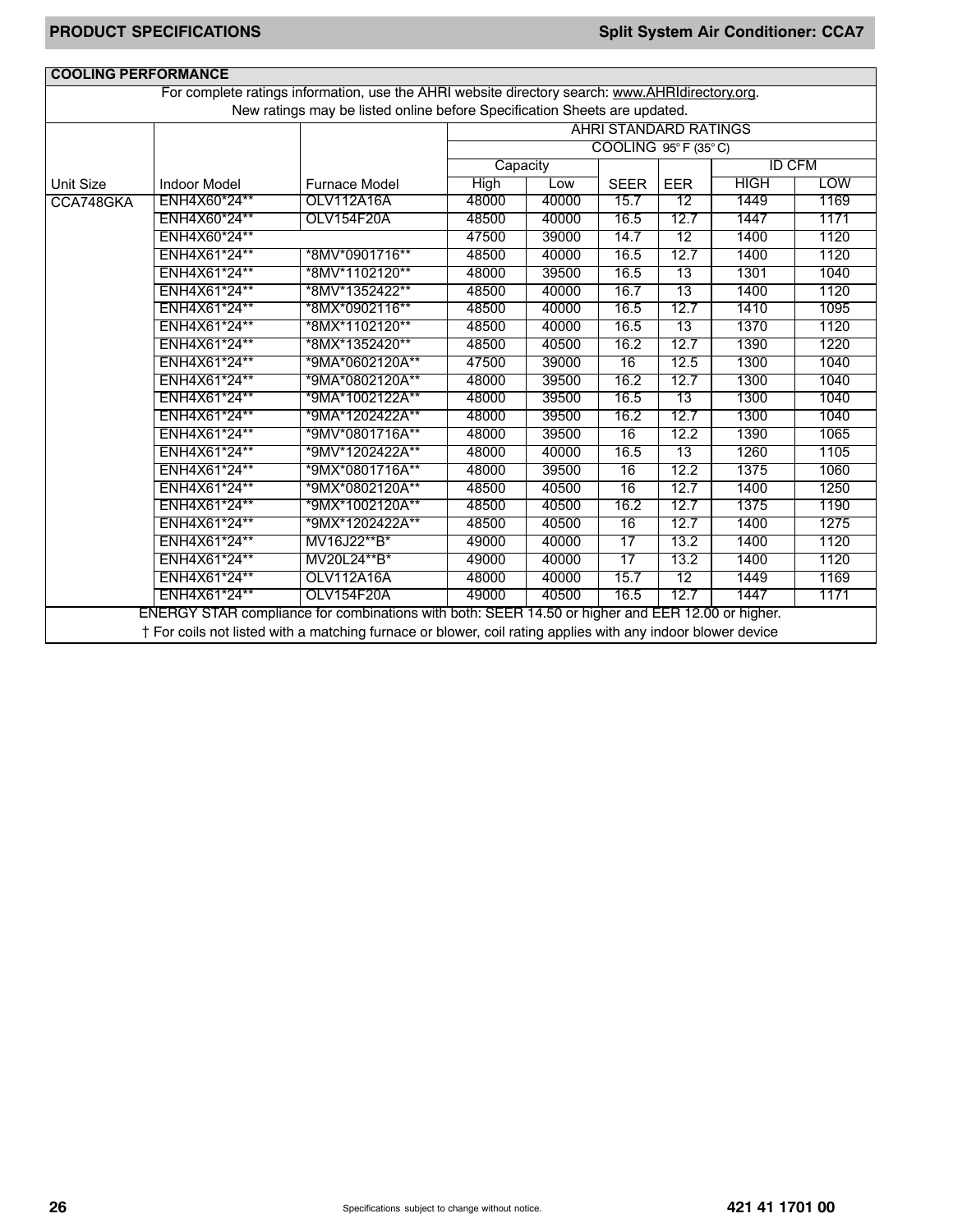| For complete ratings information, use the AHRI website directory search: www.AHRIdirectory.org.<br>New ratings may be listed online before Specification Sheets are updated. |                     |                                                                                                  |             |       |                                   |            |             |               |
|------------------------------------------------------------------------------------------------------------------------------------------------------------------------------|---------------------|--------------------------------------------------------------------------------------------------|-------------|-------|-----------------------------------|------------|-------------|---------------|
|                                                                                                                                                                              |                     |                                                                                                  |             |       | <b>AHRI STANDARD RATINGS</b>      |            |             |               |
|                                                                                                                                                                              |                     |                                                                                                  |             |       | $COOLING 95^\circ F (35^\circ C)$ |            |             |               |
|                                                                                                                                                                              |                     |                                                                                                  | Capacity    |       |                                   |            |             | <b>ID CFM</b> |
| Unit Size                                                                                                                                                                    | <b>Indoor Model</b> | Furnace Model                                                                                    | <b>High</b> | Low   | <b>SEER</b>                       | <b>EER</b> | <b>HIGH</b> | <b>LOW</b>    |
| CCA748GKA                                                                                                                                                                    | ENH4X60*24**        | OLV112A16A                                                                                       | 48000       | 40000 | 15.7                              | 12         | 1449        | 1169          |
|                                                                                                                                                                              | ENH4X60*24**        | OLV154F20A                                                                                       | 48500       | 40000 | 16.5                              | 12.7       | 1447        | 1171          |
|                                                                                                                                                                              | ENH4X60*24**        |                                                                                                  | 47500       | 39000 | 14.7                              | 12         | 1400        | 1120          |
|                                                                                                                                                                              | ENH4X61*24**        | *8MV*0901716**                                                                                   | 48500       | 40000 | 16.5                              | 12.7       | 1400        | 1120          |
|                                                                                                                                                                              | ENH4X61*24**        | *8MV*1102120**                                                                                   | 48000       | 39500 | 16.5                              | 13         | 1301        | 1040          |
|                                                                                                                                                                              | ENH4X61*24**        | *8MV*1352422**                                                                                   | 48500       | 40000 | 16.7                              | 13         | 1400        | 1120          |
|                                                                                                                                                                              | ENH4X61*24**        | *8MX*0902116**                                                                                   | 48500       | 40000 | 16.5                              | 12.7       | 1410        | 1095          |
|                                                                                                                                                                              | ENH4X61*24**        | *8MX*1102120**                                                                                   | 48500       | 40000 | 16.5                              | 13         | 1370        | 1120          |
|                                                                                                                                                                              | ENH4X61*24**        | *8MX*1352420**                                                                                   | 48500       | 40500 | 16.2                              | 12.7       | 1390        | 1220          |
|                                                                                                                                                                              | ENH4X61*24**        | *9MA*0602120A**                                                                                  | 47500       | 39000 | $\overline{16}$                   | 12.5       | 1300        | 1040          |
|                                                                                                                                                                              | ENH4X61*24**        | *9MA*0802120A**                                                                                  | 48000       | 39500 | 16.2                              | 12.7       | 1300        | 1040          |
|                                                                                                                                                                              | ENH4X61*24**        | *9MA*1002122A**                                                                                  | 48000       | 39500 | 16.5                              | 13         | 1300        | 1040          |
|                                                                                                                                                                              | ENH4X61*24**        | *9MA*1202422A**                                                                                  | 48000       | 39500 | 16.2                              | 12.7       | 1300        | 1040          |
|                                                                                                                                                                              | ENH4X61*24**        | *9MV*0801716A**                                                                                  | 48000       | 39500 | 16                                | 12.2       | 1390        | 1065          |
|                                                                                                                                                                              | ENH4X61*24**        | *9MV*1202422A**                                                                                  | 48000       | 40000 | 16.5                              | 13         | 1260        | 1105          |
|                                                                                                                                                                              | ENH4X61*24**        | *9MX*0801716A**                                                                                  | 48000       | 39500 | 16                                | 12.2       | 1375        | 1060          |
|                                                                                                                                                                              | ENH4X61*24**        | *9MX*0802120A**                                                                                  | 48500       | 40500 | 16                                | 12.7       | 1400        | 1250          |
|                                                                                                                                                                              | ENH4X61*24**        | *9MX*1002120A**                                                                                  | 48500       | 40500 | 16.2                              | 12.7       | 1375        | 1190          |
|                                                                                                                                                                              | ENH4X61*24**        | *9MX*1202422A**                                                                                  | 48500       | 40500 | 16                                | 12.7       | 1400        | 1275          |
|                                                                                                                                                                              | ENH4X61*24**        | MV16J22**B*                                                                                      | 49000       | 40000 | 17                                | 13.2       | 1400        | 1120          |
|                                                                                                                                                                              | ENH4X61*24**        | MV20L24**B*                                                                                      | 49000       | 40000 | 17                                | 13.2       | 1400        | 1120          |
|                                                                                                                                                                              | ENH4X61*24**        | OLV112A16A                                                                                       | 48000       | 40000 | 15.7                              | 12         | 1449        | 1169          |
|                                                                                                                                                                              | ENH4X61*24**        | OLV154F20A                                                                                       | 49000       | 40500 | 16.5                              | 12.7       | 1447        | 1171          |
| † For coils not listed with a matching furnace or blower, coil rating applies with any indoor blower device                                                                  |                     | ENERGY STAR compliance for combinations with both: SEER 14.50 or higher and EER 12.00 or higher. |             |       |                                   |            |             |               |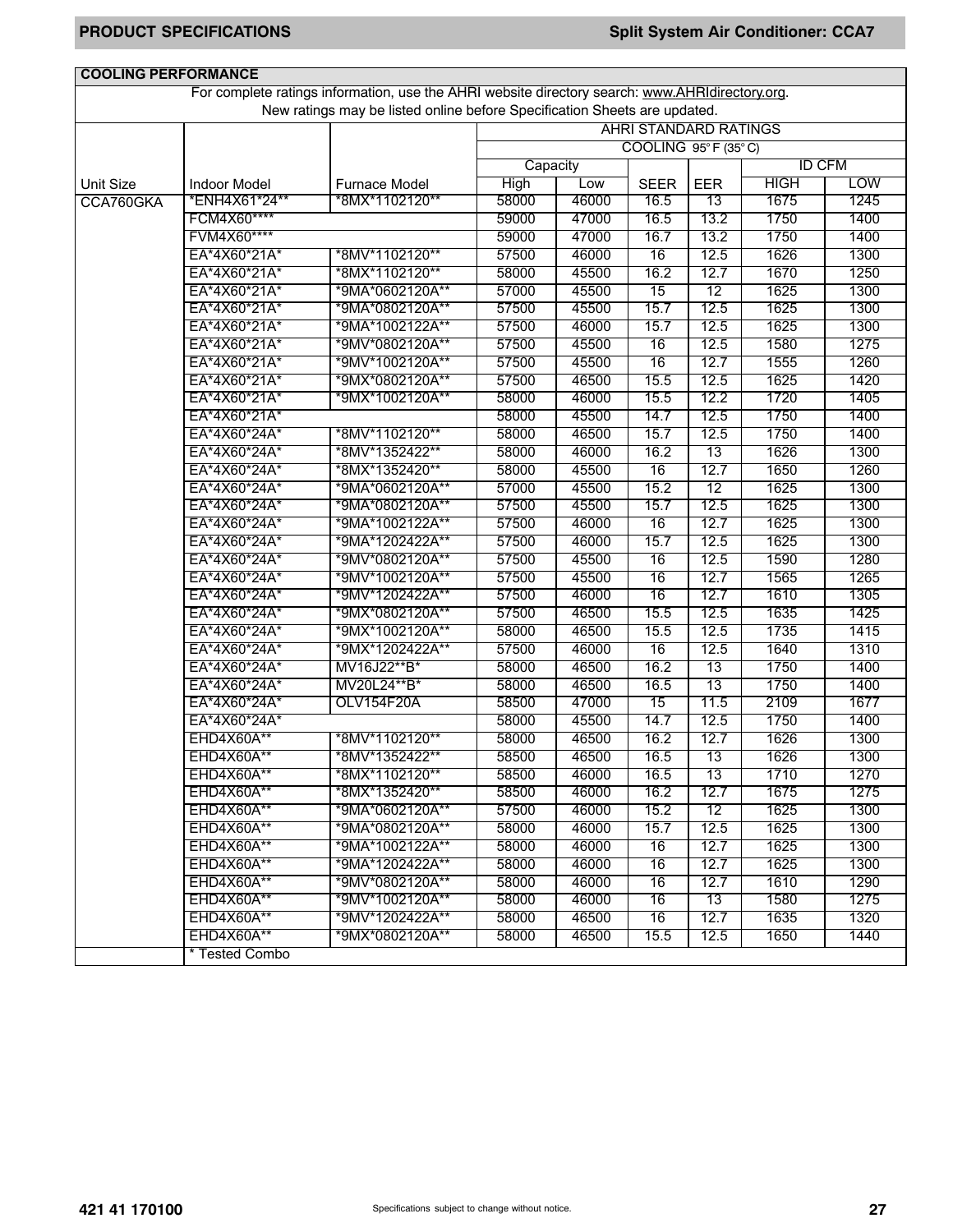| <b>COOLING PERFORMANCE</b> |                     |                                                                                                 |          |       |                              |            |             |               |
|----------------------------|---------------------|-------------------------------------------------------------------------------------------------|----------|-------|------------------------------|------------|-------------|---------------|
|                            |                     | For complete ratings information, use the AHRI website directory search: www.AHRIdirectory.org. |          |       |                              |            |             |               |
|                            |                     | New ratings may be listed online before Specification Sheets are updated.                       |          |       |                              |            |             |               |
|                            |                     |                                                                                                 |          |       | <b>AHRI STANDARD RATINGS</b> |            |             |               |
|                            |                     |                                                                                                 |          |       | COOLING 95°F (35°C)          |            |             |               |
|                            |                     |                                                                                                 | Capacity |       |                              |            |             | <b>ID CFM</b> |
| <b>Unit Size</b>           | <b>Indoor Model</b> | <b>Furnace Model</b>                                                                            | High     | Low   | <b>SEER</b>                  | <b>EER</b> | <b>HIGH</b> | <b>LOW</b>    |
| CCA760GKA                  | *ENH4X61*24**       | *8MX*1102120**                                                                                  | 58000    | 46000 | 16.5                         | 13         | 1675        | 1245          |
|                            | FCM4X60****         |                                                                                                 | 59000    | 47000 | 16.5                         | 13.2       | 1750        | 1400          |
|                            | FVM4X60****         |                                                                                                 | 59000    | 47000 | 16.7                         | 13.2       | 1750        | 1400          |
|                            | EA*4X60*21A*        | *8MV*1102120**                                                                                  | 57500    | 46000 | 16                           | 12.5       | 1626        | 1300          |
|                            | EA*4X60*21A*        | *8MX*1102120**                                                                                  | 58000    | 45500 | 16.2                         | 12.7       | 1670        | 1250          |
|                            | EA*4X60*21A*        | *9MA*0602120A**                                                                                 | 57000    | 45500 | 15                           | 12         | 1625        | 1300          |
|                            | EA*4X60*21A*        | *9MA*0802120A**                                                                                 | 57500    | 45500 | 15.7                         | 12.5       | 1625        | 1300          |
|                            | EA*4X60*21A*        | *9MA*1002122A**                                                                                 | 57500    | 46000 | 15.7                         | 12.5       | 1625        | 1300          |
|                            | EA*4X60*21A*        | *9MV*0802120A**                                                                                 | 57500    | 45500 | 16                           | 12.5       | 1580        | 1275          |
|                            | EA*4X60*21A*        | *9MV*1002120A**                                                                                 | 57500    | 45500 | 16                           | 12.7       | 1555        | 1260          |
|                            | EA*4X60*21A*        | *9MX*0802120A**                                                                                 | 57500    | 46500 | 15.5                         | 12.5       | 1625        | 1420          |
|                            | EA*4X60*21A*        | *9MX*1002120A**                                                                                 | 58000    | 46000 | 15.5                         | 12.2       | 1720        | 1405          |
|                            | EA*4X60*21A*        |                                                                                                 | 58000    | 45500 | 14.7                         | 12.5       | 1750        | 1400          |
|                            | EA*4X60*24A*        | *8MV*1102120**                                                                                  | 58000    | 46500 | 15.7                         | 12.5       | 1750        | 1400          |
|                            | EA*4X60*24A*        | *8MV*1352422**                                                                                  | 58000    | 46000 | 16.2                         | 13         | 1626        | 1300          |
|                            | EA*4X60*24A*        | *8MX*1352420**                                                                                  | 58000    | 45500 | 16                           | 12.7       | 1650        | 1260          |
|                            | EA*4X60*24A*        | *9MA*0602120A**                                                                                 | 57000    | 45500 | 15.2                         | 12         | 1625        | 1300          |
|                            | EA*4X60*24A*        | *9MA*0802120A**                                                                                 | 57500    | 45500 | 15.7                         | 12.5       | 1625        | 1300          |
|                            | EA*4X60*24A*        | *9MA*1002122A**                                                                                 | 57500    | 46000 | 16                           | 12.7       | 1625        | 1300          |
|                            | EA*4X60*24A*        | *9MA*1202422A**                                                                                 | 57500    | 46000 | 15.7                         | 12.5       | 1625        | 1300          |
|                            | EA*4X60*24A*        | *9MV*0802120A**                                                                                 | 57500    | 45500 | 16                           | 12.5       | 1590        | 1280          |
|                            | EA*4X60*24A*        | *9MV*1002120A**                                                                                 | 57500    | 45500 | 16                           | 12.7       | 1565        | 1265          |
|                            | EA*4X60*24A*        | *9MV*1202422A**                                                                                 | 57500    | 46000 | 16                           | 12.7       | 1610        | 1305          |
|                            | EA*4X60*24A*        | *9MX*0802120A**                                                                                 | 57500    | 46500 | 15.5                         | 12.5       | 1635        | 1425          |
|                            | EA*4X60*24A*        | *9MX*1002120A**                                                                                 | 58000    | 46500 | 15.5                         | 12.5       | 1735        | 1415          |
|                            | EA*4X60*24A*        | *9MX*1202422A**                                                                                 | 57500    | 46000 | 16                           | 12.5       | 1640        | 1310          |
|                            | EA*4X60*24A*        | MV16J22**B*                                                                                     | 58000    | 46500 | 16.2                         | 13         | 1750        | 1400          |
|                            | EA*4X60*24A*        | MV20L24**B*                                                                                     | 58000    | 46500 | 16.5                         | 13         | 1750        | 1400          |
|                            | EA*4X60*24A*        | OLV154F20A                                                                                      | 58500    | 47000 | 15                           | 11.5       | 2109        | 1677          |
|                            | EA*4X60*24A*        |                                                                                                 | 58000    | 45500 | 14.7                         | 12.5       | 1750        | 1400          |
|                            | EHD4X60A**          | *8MV*1102120**                                                                                  | 58000    | 46500 | 16.2                         | 12.7       | 1626        | 1300          |
|                            | <b>EHD4X60A**</b>   | *8MV*1352422**                                                                                  | 58500    | 46500 | 16.5                         | 13         | 1626        | 1300          |
|                            | EHD4X60A**          | *8MX*1102120**                                                                                  | 58500    | 46000 | 16.5                         | 13         | 1710        | 1270          |
|                            | <b>EHD4X60A**</b>   | *8MX*1352420**                                                                                  | 58500    | 46000 | 16.2                         | 12.7       | 1675        | 1275          |
|                            | EHD4X60A**          | *9MA*0602120A**                                                                                 | 57500    | 46000 | 15.2                         | 12         | 1625        | 1300          |
|                            | <b>EHD4X60A**</b>   | *9MA*0802120A**                                                                                 | 58000    | 46000 | 15.7                         | 12.5       | 1625        | 1300          |
|                            | EHD4X60A**          | *9MA*1002122A**                                                                                 | 58000    | 46000 | 16                           | 12.7       | 1625        | 1300          |
|                            | EHD4X60A**          | *9MA*1202422A**                                                                                 | 58000    | 46000 | 16                           | 12.7       | 1625        | 1300          |
|                            | <b>EHD4X60A**</b>   | *9MV*0802120A**                                                                                 | 58000    | 46000 | 16                           | 12.7       | 1610        | 1290          |
|                            | EHD4X60A**          | *9MV*1002120A**                                                                                 | 58000    | 46000 | 16                           | 13         | 1580        | 1275          |
|                            | EHD4X60A**          | *9MV*1202422A**                                                                                 | 58000    | 46500 | 16                           | 12.7       | 1635        | 1320          |
|                            | <b>EHD4X60A**</b>   | *9MX*0802120A**                                                                                 | 58000    | 46500 | 15.5                         | 12.5       | 1650        | 1440          |
|                            | * Tested Combo      |                                                                                                 |          |       |                              |            |             |               |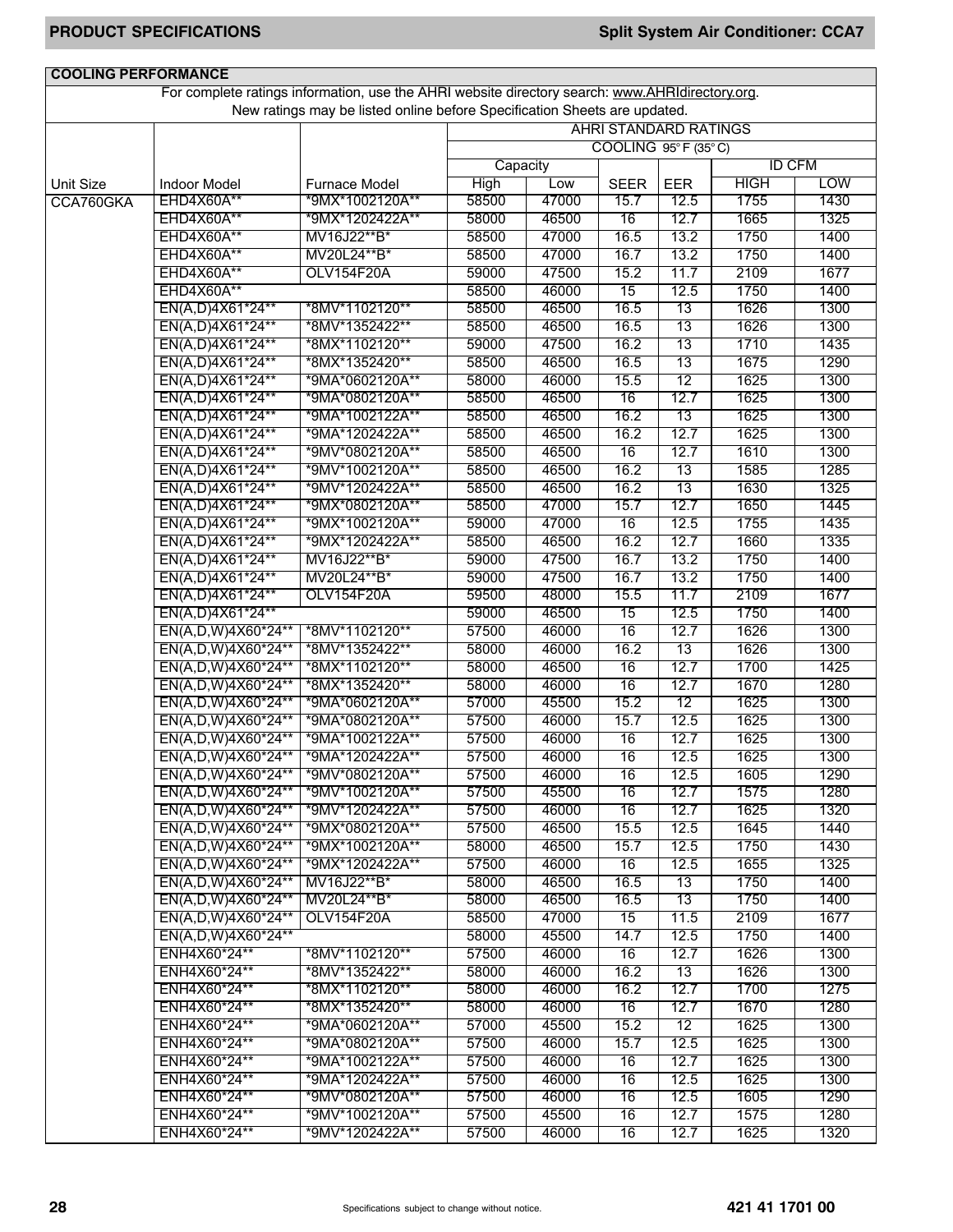| For complete ratings information, use the AHRI website directory search: www.AHRIdirectory.org.<br>New ratings may be listed online before Specification Sheets are updated.<br><b>AHRI STANDARD RATINGS</b><br>COOLING 95°F (35°C)<br><b>ID CFM</b><br>Capacity<br><b>HIGH</b><br><b>LOW</b><br>High<br>Low<br><b>Unit Size</b><br><b>Indoor Model</b><br><b>Furnace Model</b><br><b>SEER</b><br><b>EER</b><br>EHD4X60A**<br>*9MX*1002120A**<br>58500<br>47000<br>15.7<br>12.5<br>1755<br>1430<br>CCA760GKA<br>12.7<br>58000<br>46500<br>16<br>1665<br>1325<br>EHD4X60A**<br>*9MX*1202422A**<br>1750<br>58500<br>47000<br>13.2<br>EHD4X60A**<br>MV16J22**B*<br>16.5<br>1400<br>58500<br>47000<br>16.7<br>13.2<br>1750<br>1400<br>EHD4X60A**<br>MV20L24**B*<br>2109<br>EHD4X60A**<br>OLV154F20A<br>59000<br>47500<br>15.2<br>11.7<br>1677<br>EHD4X60A**<br>58500<br>46000<br>12.5<br>1750<br>1400<br>15<br>46500<br>16.5<br>13<br>1626<br>EN(A,D)4X61*24**<br>*8MV*1102120**<br>58500<br>1300<br>EN(A,D)4X61*24**<br>*8MV*1352422**<br>58500<br>46500<br>16.5<br>13<br>1626<br>1300<br>16.2<br>13<br>1710<br>EN(A,D)4X61*24**<br>59000<br>47500<br>1435<br>*8MX*1102120**<br>16.5<br>13<br>1675<br>EN(A,D)4X61*24**<br>58500<br>46500<br>1290<br>*8MX*1352420**<br>12<br>1625<br>58000<br>46000<br>15.5<br>1300<br>EN(A,D)4X61*24**<br>*9MA*0602120A**<br>16<br>12.7<br>58500<br>46500<br>1625<br>1300<br>EN(A,D)4X61*24**<br>*9MA*0802120A**<br>16.2<br>13<br>1625<br>EN(A,D)4X61*24**<br>*9MA*1002122A**<br>58500<br>46500<br>1300<br>12.7<br>1625<br>EN(A,D)4X61*24**<br>*9MA*1202422A**<br>58500<br>46500<br>16.2<br>1300<br>1610<br>58500<br>46500<br>16<br>12.7<br>1300<br>EN(A,D)4X61*24**<br>*9MV*0802120A**<br>16.2<br>13<br>1585<br>58500<br>46500<br>1285<br>EN(A,D)4X61*24**<br>*9MV*1002120A**<br>13<br>1630<br>EN(A,D)4X61*24**<br>*9MV*1202422A**<br>58500<br>46500<br>16.2<br>1325<br>58500<br>47000<br>12.7<br>1650<br>1445<br>EN(A,D)4X61*24**<br>*9MX*0802120A**<br>15.7<br>47000<br>12.5<br>1755<br>1435<br>EN(A,D)4X61*24**<br>*9MX*1002120A**<br>59000<br>16<br>46500<br>12.7<br>1660<br>EN(A,D)4X61*24**<br>*9MX*1202422A**<br>58500<br>16.2<br>1335<br>47500<br>16.7<br>13.2<br>1750<br>EN(A,D)4X61*24**<br>MV16J22**B*<br>59000<br>1400<br>16.7<br>1750<br>59000<br>47500<br>13.2<br>1400<br>EN(A,D)4X61*24**<br>MV20L24**B*<br>OLV154F20A<br>59500<br>48000<br>15.5<br>2109<br>1677<br>EN(A,D)4X61*24**<br>11.7<br>46500<br>12.5<br>1750<br>EN(A,D)4X61*24**<br>59000<br>15<br>1400<br>46000<br>16<br>12.7<br>1626<br>EN(A,D,W)4X60*24**<br>57500<br>1300<br>*8MV*1102120**<br>58000<br>46000<br>16.2<br>13<br>1626<br>1300<br>EN(A,D,W)4X60*24**<br>*8MV*1352422**<br>12.7<br>*8MX*1102120**<br>58000<br>46500<br>16<br>1700<br>1425<br>EN(A,D,W)4X60*24**<br>12.7<br>1670<br>58000<br>46000<br>16<br>1280<br>EN(A,D,W)4X60*24**<br>*8MX*1352420**<br>57000<br>45500<br>12<br>1625<br>EN(A,D,W)4X60*24**<br>*9MA*0602120A**<br>15.2<br>1300<br>12.5<br>57500<br>46000<br>1625<br>1300<br>EN(A,D,W)4X60*24**<br>*9MA*0802120A**<br>15.7<br>12.7<br>1625<br>EN(A,D,W)4X60*24**<br>*9MA*1002122A**<br>57500<br>46000<br>16<br>1300<br>57500<br>46000<br>16<br>12.5<br>1625<br>1300<br>EN(A,D,W)4X60*24** *9MA*1202422A**<br>*9MV*0802120A**<br>EN(A,D,W)4X60*24**<br>57500<br>46000<br>12.5<br>1605<br>1290<br>16<br>EN(A,D,W)4X60*24**<br>*9MV*1002120A**<br>57500<br>45500<br>1575<br>1280<br>16<br>12.7<br>EN(A,D,W)4X60*24**<br>*9MV*1202422A**<br>57500<br>46000<br>16<br>12.7<br>1625<br>1320<br>EN(A,D,W)4X60*24**<br>57500<br>46500<br>12.5<br>1645<br>*9MX*0802120A**<br>15.5<br>1440<br>EN(A,D,W)4X60*24**<br>*9MX*1002120A**<br>46500<br>12.5<br>1750<br>1430<br>58000<br>15.7<br>12.5<br>1655<br>EN(A,D,W)4X60*24**<br>*9MX*1202422A**<br>57500<br>46000<br>16<br>1325<br>EN(A,D,W)4X60*24**<br>MV16J22**B*<br>58000<br>46500<br>16.5<br>13<br>1750<br>1400<br>58000<br>46500<br>13<br>1750<br>EN(A,D,W)4X60*24**<br>MV20L24**B*<br>16.5<br>1400<br>58500<br>47000<br>11.5<br>2109<br>EN(A,D,W)4X60*24**<br><b>OLV154F20A</b><br>15<br>1677<br>EN(A,D,W)4X60*24**<br>58000<br>45500<br>14.7<br>1750<br>1400<br>12.5<br>57500<br>ENH4X60*24**<br>*8MV*1102120**<br>46000<br>12.7<br>1626<br>1300<br>16<br>ENH4X60*24**<br>*8MV*1352422**<br>58000<br>46000<br>16.2<br>13<br>1626<br>1300<br>ENH4X60*24**<br>*8MX*1102120**<br>58000<br>46000<br>16.2<br>12.7<br>1700<br>1275<br>ENH4X60*24**<br>*8MX*1352420**<br>58000<br>46000<br>16<br>12.7<br>1670<br>1280<br>57000<br>45500<br>1625<br>ENH4X60*24**<br>*9MA*0602120A**<br>15.2<br>12<br>1300<br>1625<br>ENH4X60*24**<br>*9MA*0802120A**<br>57500<br>46000<br>15.7<br>12.5<br>1300<br>ENH4X60*24**<br>*9MA*1002122A**<br>57500<br>46000<br>12.7<br>1625<br>1300<br>16<br>1625<br>ENH4X60*24**<br>*9MA*1202422A**<br>57500<br>46000<br>16<br>12.5<br>1300<br>ENH4X60*24**<br>46000<br>12.5<br>1605<br>1290<br>*9MV*0802120A**<br>57500<br>16<br>ENH4X60*24**<br>*9MV*1002120A**<br>57500<br>45500<br>12.7<br>1575<br>16<br>1280<br>ENH4X60*24**<br>*9MV*1202422A**<br>57500<br>46000<br>12.7<br>1625<br>16<br>1320 | <b>COOLING PERFORMANCE</b> |  |  |  |  |  |  |  |
|----------------------------------------------------------------------------------------------------------------------------------------------------------------------------------------------------------------------------------------------------------------------------------------------------------------------------------------------------------------------------------------------------------------------------------------------------------------------------------------------------------------------------------------------------------------------------------------------------------------------------------------------------------------------------------------------------------------------------------------------------------------------------------------------------------------------------------------------------------------------------------------------------------------------------------------------------------------------------------------------------------------------------------------------------------------------------------------------------------------------------------------------------------------------------------------------------------------------------------------------------------------------------------------------------------------------------------------------------------------------------------------------------------------------------------------------------------------------------------------------------------------------------------------------------------------------------------------------------------------------------------------------------------------------------------------------------------------------------------------------------------------------------------------------------------------------------------------------------------------------------------------------------------------------------------------------------------------------------------------------------------------------------------------------------------------------------------------------------------------------------------------------------------------------------------------------------------------------------------------------------------------------------------------------------------------------------------------------------------------------------------------------------------------------------------------------------------------------------------------------------------------------------------------------------------------------------------------------------------------------------------------------------------------------------------------------------------------------------------------------------------------------------------------------------------------------------------------------------------------------------------------------------------------------------------------------------------------------------------------------------------------------------------------------------------------------------------------------------------------------------------------------------------------------------------------------------------------------------------------------------------------------------------------------------------------------------------------------------------------------------------------------------------------------------------------------------------------------------------------------------------------------------------------------------------------------------------------------------------------------------------------------------------------------------------------------------------------------------------------------------------------------------------------------------------------------------------------------------------------------------------------------------------------------------------------------------------------------------------------------------------------------------------------------------------------------------------------------------------------------------------------------------------------------------------------------------------------------------------------------------------------------------------------------------------------------------------------------------------------------------------------------------------------------------------------------------------------------------------------------------------------------------------------------------------------------------------------------------------------------------------------------------------------------------------------------------------------------------------------------------------------------------------------------------------------------------------------------------------------------------------------------------------------------------------------------------------------------------------------------------------------------------------------------------------------------------------------------------------|----------------------------|--|--|--|--|--|--|--|
|                                                                                                                                                                                                                                                                                                                                                                                                                                                                                                                                                                                                                                                                                                                                                                                                                                                                                                                                                                                                                                                                                                                                                                                                                                                                                                                                                                                                                                                                                                                                                                                                                                                                                                                                                                                                                                                                                                                                                                                                                                                                                                                                                                                                                                                                                                                                                                                                                                                                                                                                                                                                                                                                                                                                                                                                                                                                                                                                                                                                                                                                                                                                                                                                                                                                                                                                                                                                                                                                                                                                                                                                                                                                                                                                                                                                                                                                                                                                                                                                                                                                                                                                                                                                                                                                                                                                                                                                                                                                                                                                                                                                                                                                                                                                                                                                                                                                                                                                                                                                                                                                                                          |                            |  |  |  |  |  |  |  |
|                                                                                                                                                                                                                                                                                                                                                                                                                                                                                                                                                                                                                                                                                                                                                                                                                                                                                                                                                                                                                                                                                                                                                                                                                                                                                                                                                                                                                                                                                                                                                                                                                                                                                                                                                                                                                                                                                                                                                                                                                                                                                                                                                                                                                                                                                                                                                                                                                                                                                                                                                                                                                                                                                                                                                                                                                                                                                                                                                                                                                                                                                                                                                                                                                                                                                                                                                                                                                                                                                                                                                                                                                                                                                                                                                                                                                                                                                                                                                                                                                                                                                                                                                                                                                                                                                                                                                                                                                                                                                                                                                                                                                                                                                                                                                                                                                                                                                                                                                                                                                                                                                                          |                            |  |  |  |  |  |  |  |
|                                                                                                                                                                                                                                                                                                                                                                                                                                                                                                                                                                                                                                                                                                                                                                                                                                                                                                                                                                                                                                                                                                                                                                                                                                                                                                                                                                                                                                                                                                                                                                                                                                                                                                                                                                                                                                                                                                                                                                                                                                                                                                                                                                                                                                                                                                                                                                                                                                                                                                                                                                                                                                                                                                                                                                                                                                                                                                                                                                                                                                                                                                                                                                                                                                                                                                                                                                                                                                                                                                                                                                                                                                                                                                                                                                                                                                                                                                                                                                                                                                                                                                                                                                                                                                                                                                                                                                                                                                                                                                                                                                                                                                                                                                                                                                                                                                                                                                                                                                                                                                                                                                          |                            |  |  |  |  |  |  |  |
|                                                                                                                                                                                                                                                                                                                                                                                                                                                                                                                                                                                                                                                                                                                                                                                                                                                                                                                                                                                                                                                                                                                                                                                                                                                                                                                                                                                                                                                                                                                                                                                                                                                                                                                                                                                                                                                                                                                                                                                                                                                                                                                                                                                                                                                                                                                                                                                                                                                                                                                                                                                                                                                                                                                                                                                                                                                                                                                                                                                                                                                                                                                                                                                                                                                                                                                                                                                                                                                                                                                                                                                                                                                                                                                                                                                                                                                                                                                                                                                                                                                                                                                                                                                                                                                                                                                                                                                                                                                                                                                                                                                                                                                                                                                                                                                                                                                                                                                                                                                                                                                                                                          |                            |  |  |  |  |  |  |  |
|                                                                                                                                                                                                                                                                                                                                                                                                                                                                                                                                                                                                                                                                                                                                                                                                                                                                                                                                                                                                                                                                                                                                                                                                                                                                                                                                                                                                                                                                                                                                                                                                                                                                                                                                                                                                                                                                                                                                                                                                                                                                                                                                                                                                                                                                                                                                                                                                                                                                                                                                                                                                                                                                                                                                                                                                                                                                                                                                                                                                                                                                                                                                                                                                                                                                                                                                                                                                                                                                                                                                                                                                                                                                                                                                                                                                                                                                                                                                                                                                                                                                                                                                                                                                                                                                                                                                                                                                                                                                                                                                                                                                                                                                                                                                                                                                                                                                                                                                                                                                                                                                                                          |                            |  |  |  |  |  |  |  |
|                                                                                                                                                                                                                                                                                                                                                                                                                                                                                                                                                                                                                                                                                                                                                                                                                                                                                                                                                                                                                                                                                                                                                                                                                                                                                                                                                                                                                                                                                                                                                                                                                                                                                                                                                                                                                                                                                                                                                                                                                                                                                                                                                                                                                                                                                                                                                                                                                                                                                                                                                                                                                                                                                                                                                                                                                                                                                                                                                                                                                                                                                                                                                                                                                                                                                                                                                                                                                                                                                                                                                                                                                                                                                                                                                                                                                                                                                                                                                                                                                                                                                                                                                                                                                                                                                                                                                                                                                                                                                                                                                                                                                                                                                                                                                                                                                                                                                                                                                                                                                                                                                                          |                            |  |  |  |  |  |  |  |
|                                                                                                                                                                                                                                                                                                                                                                                                                                                                                                                                                                                                                                                                                                                                                                                                                                                                                                                                                                                                                                                                                                                                                                                                                                                                                                                                                                                                                                                                                                                                                                                                                                                                                                                                                                                                                                                                                                                                                                                                                                                                                                                                                                                                                                                                                                                                                                                                                                                                                                                                                                                                                                                                                                                                                                                                                                                                                                                                                                                                                                                                                                                                                                                                                                                                                                                                                                                                                                                                                                                                                                                                                                                                                                                                                                                                                                                                                                                                                                                                                                                                                                                                                                                                                                                                                                                                                                                                                                                                                                                                                                                                                                                                                                                                                                                                                                                                                                                                                                                                                                                                                                          |                            |  |  |  |  |  |  |  |
|                                                                                                                                                                                                                                                                                                                                                                                                                                                                                                                                                                                                                                                                                                                                                                                                                                                                                                                                                                                                                                                                                                                                                                                                                                                                                                                                                                                                                                                                                                                                                                                                                                                                                                                                                                                                                                                                                                                                                                                                                                                                                                                                                                                                                                                                                                                                                                                                                                                                                                                                                                                                                                                                                                                                                                                                                                                                                                                                                                                                                                                                                                                                                                                                                                                                                                                                                                                                                                                                                                                                                                                                                                                                                                                                                                                                                                                                                                                                                                                                                                                                                                                                                                                                                                                                                                                                                                                                                                                                                                                                                                                                                                                                                                                                                                                                                                                                                                                                                                                                                                                                                                          |                            |  |  |  |  |  |  |  |
|                                                                                                                                                                                                                                                                                                                                                                                                                                                                                                                                                                                                                                                                                                                                                                                                                                                                                                                                                                                                                                                                                                                                                                                                                                                                                                                                                                                                                                                                                                                                                                                                                                                                                                                                                                                                                                                                                                                                                                                                                                                                                                                                                                                                                                                                                                                                                                                                                                                                                                                                                                                                                                                                                                                                                                                                                                                                                                                                                                                                                                                                                                                                                                                                                                                                                                                                                                                                                                                                                                                                                                                                                                                                                                                                                                                                                                                                                                                                                                                                                                                                                                                                                                                                                                                                                                                                                                                                                                                                                                                                                                                                                                                                                                                                                                                                                                                                                                                                                                                                                                                                                                          |                            |  |  |  |  |  |  |  |
|                                                                                                                                                                                                                                                                                                                                                                                                                                                                                                                                                                                                                                                                                                                                                                                                                                                                                                                                                                                                                                                                                                                                                                                                                                                                                                                                                                                                                                                                                                                                                                                                                                                                                                                                                                                                                                                                                                                                                                                                                                                                                                                                                                                                                                                                                                                                                                                                                                                                                                                                                                                                                                                                                                                                                                                                                                                                                                                                                                                                                                                                                                                                                                                                                                                                                                                                                                                                                                                                                                                                                                                                                                                                                                                                                                                                                                                                                                                                                                                                                                                                                                                                                                                                                                                                                                                                                                                                                                                                                                                                                                                                                                                                                                                                                                                                                                                                                                                                                                                                                                                                                                          |                            |  |  |  |  |  |  |  |
|                                                                                                                                                                                                                                                                                                                                                                                                                                                                                                                                                                                                                                                                                                                                                                                                                                                                                                                                                                                                                                                                                                                                                                                                                                                                                                                                                                                                                                                                                                                                                                                                                                                                                                                                                                                                                                                                                                                                                                                                                                                                                                                                                                                                                                                                                                                                                                                                                                                                                                                                                                                                                                                                                                                                                                                                                                                                                                                                                                                                                                                                                                                                                                                                                                                                                                                                                                                                                                                                                                                                                                                                                                                                                                                                                                                                                                                                                                                                                                                                                                                                                                                                                                                                                                                                                                                                                                                                                                                                                                                                                                                                                                                                                                                                                                                                                                                                                                                                                                                                                                                                                                          |                            |  |  |  |  |  |  |  |
|                                                                                                                                                                                                                                                                                                                                                                                                                                                                                                                                                                                                                                                                                                                                                                                                                                                                                                                                                                                                                                                                                                                                                                                                                                                                                                                                                                                                                                                                                                                                                                                                                                                                                                                                                                                                                                                                                                                                                                                                                                                                                                                                                                                                                                                                                                                                                                                                                                                                                                                                                                                                                                                                                                                                                                                                                                                                                                                                                                                                                                                                                                                                                                                                                                                                                                                                                                                                                                                                                                                                                                                                                                                                                                                                                                                                                                                                                                                                                                                                                                                                                                                                                                                                                                                                                                                                                                                                                                                                                                                                                                                                                                                                                                                                                                                                                                                                                                                                                                                                                                                                                                          |                            |  |  |  |  |  |  |  |
|                                                                                                                                                                                                                                                                                                                                                                                                                                                                                                                                                                                                                                                                                                                                                                                                                                                                                                                                                                                                                                                                                                                                                                                                                                                                                                                                                                                                                                                                                                                                                                                                                                                                                                                                                                                                                                                                                                                                                                                                                                                                                                                                                                                                                                                                                                                                                                                                                                                                                                                                                                                                                                                                                                                                                                                                                                                                                                                                                                                                                                                                                                                                                                                                                                                                                                                                                                                                                                                                                                                                                                                                                                                                                                                                                                                                                                                                                                                                                                                                                                                                                                                                                                                                                                                                                                                                                                                                                                                                                                                                                                                                                                                                                                                                                                                                                                                                                                                                                                                                                                                                                                          |                            |  |  |  |  |  |  |  |
|                                                                                                                                                                                                                                                                                                                                                                                                                                                                                                                                                                                                                                                                                                                                                                                                                                                                                                                                                                                                                                                                                                                                                                                                                                                                                                                                                                                                                                                                                                                                                                                                                                                                                                                                                                                                                                                                                                                                                                                                                                                                                                                                                                                                                                                                                                                                                                                                                                                                                                                                                                                                                                                                                                                                                                                                                                                                                                                                                                                                                                                                                                                                                                                                                                                                                                                                                                                                                                                                                                                                                                                                                                                                                                                                                                                                                                                                                                                                                                                                                                                                                                                                                                                                                                                                                                                                                                                                                                                                                                                                                                                                                                                                                                                                                                                                                                                                                                                                                                                                                                                                                                          |                            |  |  |  |  |  |  |  |
|                                                                                                                                                                                                                                                                                                                                                                                                                                                                                                                                                                                                                                                                                                                                                                                                                                                                                                                                                                                                                                                                                                                                                                                                                                                                                                                                                                                                                                                                                                                                                                                                                                                                                                                                                                                                                                                                                                                                                                                                                                                                                                                                                                                                                                                                                                                                                                                                                                                                                                                                                                                                                                                                                                                                                                                                                                                                                                                                                                                                                                                                                                                                                                                                                                                                                                                                                                                                                                                                                                                                                                                                                                                                                                                                                                                                                                                                                                                                                                                                                                                                                                                                                                                                                                                                                                                                                                                                                                                                                                                                                                                                                                                                                                                                                                                                                                                                                                                                                                                                                                                                                                          |                            |  |  |  |  |  |  |  |
|                                                                                                                                                                                                                                                                                                                                                                                                                                                                                                                                                                                                                                                                                                                                                                                                                                                                                                                                                                                                                                                                                                                                                                                                                                                                                                                                                                                                                                                                                                                                                                                                                                                                                                                                                                                                                                                                                                                                                                                                                                                                                                                                                                                                                                                                                                                                                                                                                                                                                                                                                                                                                                                                                                                                                                                                                                                                                                                                                                                                                                                                                                                                                                                                                                                                                                                                                                                                                                                                                                                                                                                                                                                                                                                                                                                                                                                                                                                                                                                                                                                                                                                                                                                                                                                                                                                                                                                                                                                                                                                                                                                                                                                                                                                                                                                                                                                                                                                                                                                                                                                                                                          |                            |  |  |  |  |  |  |  |
|                                                                                                                                                                                                                                                                                                                                                                                                                                                                                                                                                                                                                                                                                                                                                                                                                                                                                                                                                                                                                                                                                                                                                                                                                                                                                                                                                                                                                                                                                                                                                                                                                                                                                                                                                                                                                                                                                                                                                                                                                                                                                                                                                                                                                                                                                                                                                                                                                                                                                                                                                                                                                                                                                                                                                                                                                                                                                                                                                                                                                                                                                                                                                                                                                                                                                                                                                                                                                                                                                                                                                                                                                                                                                                                                                                                                                                                                                                                                                                                                                                                                                                                                                                                                                                                                                                                                                                                                                                                                                                                                                                                                                                                                                                                                                                                                                                                                                                                                                                                                                                                                                                          |                            |  |  |  |  |  |  |  |
|                                                                                                                                                                                                                                                                                                                                                                                                                                                                                                                                                                                                                                                                                                                                                                                                                                                                                                                                                                                                                                                                                                                                                                                                                                                                                                                                                                                                                                                                                                                                                                                                                                                                                                                                                                                                                                                                                                                                                                                                                                                                                                                                                                                                                                                                                                                                                                                                                                                                                                                                                                                                                                                                                                                                                                                                                                                                                                                                                                                                                                                                                                                                                                                                                                                                                                                                                                                                                                                                                                                                                                                                                                                                                                                                                                                                                                                                                                                                                                                                                                                                                                                                                                                                                                                                                                                                                                                                                                                                                                                                                                                                                                                                                                                                                                                                                                                                                                                                                                                                                                                                                                          |                            |  |  |  |  |  |  |  |
|                                                                                                                                                                                                                                                                                                                                                                                                                                                                                                                                                                                                                                                                                                                                                                                                                                                                                                                                                                                                                                                                                                                                                                                                                                                                                                                                                                                                                                                                                                                                                                                                                                                                                                                                                                                                                                                                                                                                                                                                                                                                                                                                                                                                                                                                                                                                                                                                                                                                                                                                                                                                                                                                                                                                                                                                                                                                                                                                                                                                                                                                                                                                                                                                                                                                                                                                                                                                                                                                                                                                                                                                                                                                                                                                                                                                                                                                                                                                                                                                                                                                                                                                                                                                                                                                                                                                                                                                                                                                                                                                                                                                                                                                                                                                                                                                                                                                                                                                                                                                                                                                                                          |                            |  |  |  |  |  |  |  |
|                                                                                                                                                                                                                                                                                                                                                                                                                                                                                                                                                                                                                                                                                                                                                                                                                                                                                                                                                                                                                                                                                                                                                                                                                                                                                                                                                                                                                                                                                                                                                                                                                                                                                                                                                                                                                                                                                                                                                                                                                                                                                                                                                                                                                                                                                                                                                                                                                                                                                                                                                                                                                                                                                                                                                                                                                                                                                                                                                                                                                                                                                                                                                                                                                                                                                                                                                                                                                                                                                                                                                                                                                                                                                                                                                                                                                                                                                                                                                                                                                                                                                                                                                                                                                                                                                                                                                                                                                                                                                                                                                                                                                                                                                                                                                                                                                                                                                                                                                                                                                                                                                                          |                            |  |  |  |  |  |  |  |
|                                                                                                                                                                                                                                                                                                                                                                                                                                                                                                                                                                                                                                                                                                                                                                                                                                                                                                                                                                                                                                                                                                                                                                                                                                                                                                                                                                                                                                                                                                                                                                                                                                                                                                                                                                                                                                                                                                                                                                                                                                                                                                                                                                                                                                                                                                                                                                                                                                                                                                                                                                                                                                                                                                                                                                                                                                                                                                                                                                                                                                                                                                                                                                                                                                                                                                                                                                                                                                                                                                                                                                                                                                                                                                                                                                                                                                                                                                                                                                                                                                                                                                                                                                                                                                                                                                                                                                                                                                                                                                                                                                                                                                                                                                                                                                                                                                                                                                                                                                                                                                                                                                          |                            |  |  |  |  |  |  |  |
|                                                                                                                                                                                                                                                                                                                                                                                                                                                                                                                                                                                                                                                                                                                                                                                                                                                                                                                                                                                                                                                                                                                                                                                                                                                                                                                                                                                                                                                                                                                                                                                                                                                                                                                                                                                                                                                                                                                                                                                                                                                                                                                                                                                                                                                                                                                                                                                                                                                                                                                                                                                                                                                                                                                                                                                                                                                                                                                                                                                                                                                                                                                                                                                                                                                                                                                                                                                                                                                                                                                                                                                                                                                                                                                                                                                                                                                                                                                                                                                                                                                                                                                                                                                                                                                                                                                                                                                                                                                                                                                                                                                                                                                                                                                                                                                                                                                                                                                                                                                                                                                                                                          |                            |  |  |  |  |  |  |  |
|                                                                                                                                                                                                                                                                                                                                                                                                                                                                                                                                                                                                                                                                                                                                                                                                                                                                                                                                                                                                                                                                                                                                                                                                                                                                                                                                                                                                                                                                                                                                                                                                                                                                                                                                                                                                                                                                                                                                                                                                                                                                                                                                                                                                                                                                                                                                                                                                                                                                                                                                                                                                                                                                                                                                                                                                                                                                                                                                                                                                                                                                                                                                                                                                                                                                                                                                                                                                                                                                                                                                                                                                                                                                                                                                                                                                                                                                                                                                                                                                                                                                                                                                                                                                                                                                                                                                                                                                                                                                                                                                                                                                                                                                                                                                                                                                                                                                                                                                                                                                                                                                                                          |                            |  |  |  |  |  |  |  |
|                                                                                                                                                                                                                                                                                                                                                                                                                                                                                                                                                                                                                                                                                                                                                                                                                                                                                                                                                                                                                                                                                                                                                                                                                                                                                                                                                                                                                                                                                                                                                                                                                                                                                                                                                                                                                                                                                                                                                                                                                                                                                                                                                                                                                                                                                                                                                                                                                                                                                                                                                                                                                                                                                                                                                                                                                                                                                                                                                                                                                                                                                                                                                                                                                                                                                                                                                                                                                                                                                                                                                                                                                                                                                                                                                                                                                                                                                                                                                                                                                                                                                                                                                                                                                                                                                                                                                                                                                                                                                                                                                                                                                                                                                                                                                                                                                                                                                                                                                                                                                                                                                                          |                            |  |  |  |  |  |  |  |
|                                                                                                                                                                                                                                                                                                                                                                                                                                                                                                                                                                                                                                                                                                                                                                                                                                                                                                                                                                                                                                                                                                                                                                                                                                                                                                                                                                                                                                                                                                                                                                                                                                                                                                                                                                                                                                                                                                                                                                                                                                                                                                                                                                                                                                                                                                                                                                                                                                                                                                                                                                                                                                                                                                                                                                                                                                                                                                                                                                                                                                                                                                                                                                                                                                                                                                                                                                                                                                                                                                                                                                                                                                                                                                                                                                                                                                                                                                                                                                                                                                                                                                                                                                                                                                                                                                                                                                                                                                                                                                                                                                                                                                                                                                                                                                                                                                                                                                                                                                                                                                                                                                          |                            |  |  |  |  |  |  |  |
|                                                                                                                                                                                                                                                                                                                                                                                                                                                                                                                                                                                                                                                                                                                                                                                                                                                                                                                                                                                                                                                                                                                                                                                                                                                                                                                                                                                                                                                                                                                                                                                                                                                                                                                                                                                                                                                                                                                                                                                                                                                                                                                                                                                                                                                                                                                                                                                                                                                                                                                                                                                                                                                                                                                                                                                                                                                                                                                                                                                                                                                                                                                                                                                                                                                                                                                                                                                                                                                                                                                                                                                                                                                                                                                                                                                                                                                                                                                                                                                                                                                                                                                                                                                                                                                                                                                                                                                                                                                                                                                                                                                                                                                                                                                                                                                                                                                                                                                                                                                                                                                                                                          |                            |  |  |  |  |  |  |  |
|                                                                                                                                                                                                                                                                                                                                                                                                                                                                                                                                                                                                                                                                                                                                                                                                                                                                                                                                                                                                                                                                                                                                                                                                                                                                                                                                                                                                                                                                                                                                                                                                                                                                                                                                                                                                                                                                                                                                                                                                                                                                                                                                                                                                                                                                                                                                                                                                                                                                                                                                                                                                                                                                                                                                                                                                                                                                                                                                                                                                                                                                                                                                                                                                                                                                                                                                                                                                                                                                                                                                                                                                                                                                                                                                                                                                                                                                                                                                                                                                                                                                                                                                                                                                                                                                                                                                                                                                                                                                                                                                                                                                                                                                                                                                                                                                                                                                                                                                                                                                                                                                                                          |                            |  |  |  |  |  |  |  |
|                                                                                                                                                                                                                                                                                                                                                                                                                                                                                                                                                                                                                                                                                                                                                                                                                                                                                                                                                                                                                                                                                                                                                                                                                                                                                                                                                                                                                                                                                                                                                                                                                                                                                                                                                                                                                                                                                                                                                                                                                                                                                                                                                                                                                                                                                                                                                                                                                                                                                                                                                                                                                                                                                                                                                                                                                                                                                                                                                                                                                                                                                                                                                                                                                                                                                                                                                                                                                                                                                                                                                                                                                                                                                                                                                                                                                                                                                                                                                                                                                                                                                                                                                                                                                                                                                                                                                                                                                                                                                                                                                                                                                                                                                                                                                                                                                                                                                                                                                                                                                                                                                                          |                            |  |  |  |  |  |  |  |
|                                                                                                                                                                                                                                                                                                                                                                                                                                                                                                                                                                                                                                                                                                                                                                                                                                                                                                                                                                                                                                                                                                                                                                                                                                                                                                                                                                                                                                                                                                                                                                                                                                                                                                                                                                                                                                                                                                                                                                                                                                                                                                                                                                                                                                                                                                                                                                                                                                                                                                                                                                                                                                                                                                                                                                                                                                                                                                                                                                                                                                                                                                                                                                                                                                                                                                                                                                                                                                                                                                                                                                                                                                                                                                                                                                                                                                                                                                                                                                                                                                                                                                                                                                                                                                                                                                                                                                                                                                                                                                                                                                                                                                                                                                                                                                                                                                                                                                                                                                                                                                                                                                          |                            |  |  |  |  |  |  |  |
|                                                                                                                                                                                                                                                                                                                                                                                                                                                                                                                                                                                                                                                                                                                                                                                                                                                                                                                                                                                                                                                                                                                                                                                                                                                                                                                                                                                                                                                                                                                                                                                                                                                                                                                                                                                                                                                                                                                                                                                                                                                                                                                                                                                                                                                                                                                                                                                                                                                                                                                                                                                                                                                                                                                                                                                                                                                                                                                                                                                                                                                                                                                                                                                                                                                                                                                                                                                                                                                                                                                                                                                                                                                                                                                                                                                                                                                                                                                                                                                                                                                                                                                                                                                                                                                                                                                                                                                                                                                                                                                                                                                                                                                                                                                                                                                                                                                                                                                                                                                                                                                                                                          |                            |  |  |  |  |  |  |  |
|                                                                                                                                                                                                                                                                                                                                                                                                                                                                                                                                                                                                                                                                                                                                                                                                                                                                                                                                                                                                                                                                                                                                                                                                                                                                                                                                                                                                                                                                                                                                                                                                                                                                                                                                                                                                                                                                                                                                                                                                                                                                                                                                                                                                                                                                                                                                                                                                                                                                                                                                                                                                                                                                                                                                                                                                                                                                                                                                                                                                                                                                                                                                                                                                                                                                                                                                                                                                                                                                                                                                                                                                                                                                                                                                                                                                                                                                                                                                                                                                                                                                                                                                                                                                                                                                                                                                                                                                                                                                                                                                                                                                                                                                                                                                                                                                                                                                                                                                                                                                                                                                                                          |                            |  |  |  |  |  |  |  |
|                                                                                                                                                                                                                                                                                                                                                                                                                                                                                                                                                                                                                                                                                                                                                                                                                                                                                                                                                                                                                                                                                                                                                                                                                                                                                                                                                                                                                                                                                                                                                                                                                                                                                                                                                                                                                                                                                                                                                                                                                                                                                                                                                                                                                                                                                                                                                                                                                                                                                                                                                                                                                                                                                                                                                                                                                                                                                                                                                                                                                                                                                                                                                                                                                                                                                                                                                                                                                                                                                                                                                                                                                                                                                                                                                                                                                                                                                                                                                                                                                                                                                                                                                                                                                                                                                                                                                                                                                                                                                                                                                                                                                                                                                                                                                                                                                                                                                                                                                                                                                                                                                                          |                            |  |  |  |  |  |  |  |
|                                                                                                                                                                                                                                                                                                                                                                                                                                                                                                                                                                                                                                                                                                                                                                                                                                                                                                                                                                                                                                                                                                                                                                                                                                                                                                                                                                                                                                                                                                                                                                                                                                                                                                                                                                                                                                                                                                                                                                                                                                                                                                                                                                                                                                                                                                                                                                                                                                                                                                                                                                                                                                                                                                                                                                                                                                                                                                                                                                                                                                                                                                                                                                                                                                                                                                                                                                                                                                                                                                                                                                                                                                                                                                                                                                                                                                                                                                                                                                                                                                                                                                                                                                                                                                                                                                                                                                                                                                                                                                                                                                                                                                                                                                                                                                                                                                                                                                                                                                                                                                                                                                          |                            |  |  |  |  |  |  |  |
|                                                                                                                                                                                                                                                                                                                                                                                                                                                                                                                                                                                                                                                                                                                                                                                                                                                                                                                                                                                                                                                                                                                                                                                                                                                                                                                                                                                                                                                                                                                                                                                                                                                                                                                                                                                                                                                                                                                                                                                                                                                                                                                                                                                                                                                                                                                                                                                                                                                                                                                                                                                                                                                                                                                                                                                                                                                                                                                                                                                                                                                                                                                                                                                                                                                                                                                                                                                                                                                                                                                                                                                                                                                                                                                                                                                                                                                                                                                                                                                                                                                                                                                                                                                                                                                                                                                                                                                                                                                                                                                                                                                                                                                                                                                                                                                                                                                                                                                                                                                                                                                                                                          |                            |  |  |  |  |  |  |  |
|                                                                                                                                                                                                                                                                                                                                                                                                                                                                                                                                                                                                                                                                                                                                                                                                                                                                                                                                                                                                                                                                                                                                                                                                                                                                                                                                                                                                                                                                                                                                                                                                                                                                                                                                                                                                                                                                                                                                                                                                                                                                                                                                                                                                                                                                                                                                                                                                                                                                                                                                                                                                                                                                                                                                                                                                                                                                                                                                                                                                                                                                                                                                                                                                                                                                                                                                                                                                                                                                                                                                                                                                                                                                                                                                                                                                                                                                                                                                                                                                                                                                                                                                                                                                                                                                                                                                                                                                                                                                                                                                                                                                                                                                                                                                                                                                                                                                                                                                                                                                                                                                                                          |                            |  |  |  |  |  |  |  |
|                                                                                                                                                                                                                                                                                                                                                                                                                                                                                                                                                                                                                                                                                                                                                                                                                                                                                                                                                                                                                                                                                                                                                                                                                                                                                                                                                                                                                                                                                                                                                                                                                                                                                                                                                                                                                                                                                                                                                                                                                                                                                                                                                                                                                                                                                                                                                                                                                                                                                                                                                                                                                                                                                                                                                                                                                                                                                                                                                                                                                                                                                                                                                                                                                                                                                                                                                                                                                                                                                                                                                                                                                                                                                                                                                                                                                                                                                                                                                                                                                                                                                                                                                                                                                                                                                                                                                                                                                                                                                                                                                                                                                                                                                                                                                                                                                                                                                                                                                                                                                                                                                                          |                            |  |  |  |  |  |  |  |
|                                                                                                                                                                                                                                                                                                                                                                                                                                                                                                                                                                                                                                                                                                                                                                                                                                                                                                                                                                                                                                                                                                                                                                                                                                                                                                                                                                                                                                                                                                                                                                                                                                                                                                                                                                                                                                                                                                                                                                                                                                                                                                                                                                                                                                                                                                                                                                                                                                                                                                                                                                                                                                                                                                                                                                                                                                                                                                                                                                                                                                                                                                                                                                                                                                                                                                                                                                                                                                                                                                                                                                                                                                                                                                                                                                                                                                                                                                                                                                                                                                                                                                                                                                                                                                                                                                                                                                                                                                                                                                                                                                                                                                                                                                                                                                                                                                                                                                                                                                                                                                                                                                          |                            |  |  |  |  |  |  |  |
|                                                                                                                                                                                                                                                                                                                                                                                                                                                                                                                                                                                                                                                                                                                                                                                                                                                                                                                                                                                                                                                                                                                                                                                                                                                                                                                                                                                                                                                                                                                                                                                                                                                                                                                                                                                                                                                                                                                                                                                                                                                                                                                                                                                                                                                                                                                                                                                                                                                                                                                                                                                                                                                                                                                                                                                                                                                                                                                                                                                                                                                                                                                                                                                                                                                                                                                                                                                                                                                                                                                                                                                                                                                                                                                                                                                                                                                                                                                                                                                                                                                                                                                                                                                                                                                                                                                                                                                                                                                                                                                                                                                                                                                                                                                                                                                                                                                                                                                                                                                                                                                                                                          |                            |  |  |  |  |  |  |  |
|                                                                                                                                                                                                                                                                                                                                                                                                                                                                                                                                                                                                                                                                                                                                                                                                                                                                                                                                                                                                                                                                                                                                                                                                                                                                                                                                                                                                                                                                                                                                                                                                                                                                                                                                                                                                                                                                                                                                                                                                                                                                                                                                                                                                                                                                                                                                                                                                                                                                                                                                                                                                                                                                                                                                                                                                                                                                                                                                                                                                                                                                                                                                                                                                                                                                                                                                                                                                                                                                                                                                                                                                                                                                                                                                                                                                                                                                                                                                                                                                                                                                                                                                                                                                                                                                                                                                                                                                                                                                                                                                                                                                                                                                                                                                                                                                                                                                                                                                                                                                                                                                                                          |                            |  |  |  |  |  |  |  |
|                                                                                                                                                                                                                                                                                                                                                                                                                                                                                                                                                                                                                                                                                                                                                                                                                                                                                                                                                                                                                                                                                                                                                                                                                                                                                                                                                                                                                                                                                                                                                                                                                                                                                                                                                                                                                                                                                                                                                                                                                                                                                                                                                                                                                                                                                                                                                                                                                                                                                                                                                                                                                                                                                                                                                                                                                                                                                                                                                                                                                                                                                                                                                                                                                                                                                                                                                                                                                                                                                                                                                                                                                                                                                                                                                                                                                                                                                                                                                                                                                                                                                                                                                                                                                                                                                                                                                                                                                                                                                                                                                                                                                                                                                                                                                                                                                                                                                                                                                                                                                                                                                                          |                            |  |  |  |  |  |  |  |
|                                                                                                                                                                                                                                                                                                                                                                                                                                                                                                                                                                                                                                                                                                                                                                                                                                                                                                                                                                                                                                                                                                                                                                                                                                                                                                                                                                                                                                                                                                                                                                                                                                                                                                                                                                                                                                                                                                                                                                                                                                                                                                                                                                                                                                                                                                                                                                                                                                                                                                                                                                                                                                                                                                                                                                                                                                                                                                                                                                                                                                                                                                                                                                                                                                                                                                                                                                                                                                                                                                                                                                                                                                                                                                                                                                                                                                                                                                                                                                                                                                                                                                                                                                                                                                                                                                                                                                                                                                                                                                                                                                                                                                                                                                                                                                                                                                                                                                                                                                                                                                                                                                          |                            |  |  |  |  |  |  |  |
|                                                                                                                                                                                                                                                                                                                                                                                                                                                                                                                                                                                                                                                                                                                                                                                                                                                                                                                                                                                                                                                                                                                                                                                                                                                                                                                                                                                                                                                                                                                                                                                                                                                                                                                                                                                                                                                                                                                                                                                                                                                                                                                                                                                                                                                                                                                                                                                                                                                                                                                                                                                                                                                                                                                                                                                                                                                                                                                                                                                                                                                                                                                                                                                                                                                                                                                                                                                                                                                                                                                                                                                                                                                                                                                                                                                                                                                                                                                                                                                                                                                                                                                                                                                                                                                                                                                                                                                                                                                                                                                                                                                                                                                                                                                                                                                                                                                                                                                                                                                                                                                                                                          |                            |  |  |  |  |  |  |  |
|                                                                                                                                                                                                                                                                                                                                                                                                                                                                                                                                                                                                                                                                                                                                                                                                                                                                                                                                                                                                                                                                                                                                                                                                                                                                                                                                                                                                                                                                                                                                                                                                                                                                                                                                                                                                                                                                                                                                                                                                                                                                                                                                                                                                                                                                                                                                                                                                                                                                                                                                                                                                                                                                                                                                                                                                                                                                                                                                                                                                                                                                                                                                                                                                                                                                                                                                                                                                                                                                                                                                                                                                                                                                                                                                                                                                                                                                                                                                                                                                                                                                                                                                                                                                                                                                                                                                                                                                                                                                                                                                                                                                                                                                                                                                                                                                                                                                                                                                                                                                                                                                                                          |                            |  |  |  |  |  |  |  |
|                                                                                                                                                                                                                                                                                                                                                                                                                                                                                                                                                                                                                                                                                                                                                                                                                                                                                                                                                                                                                                                                                                                                                                                                                                                                                                                                                                                                                                                                                                                                                                                                                                                                                                                                                                                                                                                                                                                                                                                                                                                                                                                                                                                                                                                                                                                                                                                                                                                                                                                                                                                                                                                                                                                                                                                                                                                                                                                                                                                                                                                                                                                                                                                                                                                                                                                                                                                                                                                                                                                                                                                                                                                                                                                                                                                                                                                                                                                                                                                                                                                                                                                                                                                                                                                                                                                                                                                                                                                                                                                                                                                                                                                                                                                                                                                                                                                                                                                                                                                                                                                                                                          |                            |  |  |  |  |  |  |  |
|                                                                                                                                                                                                                                                                                                                                                                                                                                                                                                                                                                                                                                                                                                                                                                                                                                                                                                                                                                                                                                                                                                                                                                                                                                                                                                                                                                                                                                                                                                                                                                                                                                                                                                                                                                                                                                                                                                                                                                                                                                                                                                                                                                                                                                                                                                                                                                                                                                                                                                                                                                                                                                                                                                                                                                                                                                                                                                                                                                                                                                                                                                                                                                                                                                                                                                                                                                                                                                                                                                                                                                                                                                                                                                                                                                                                                                                                                                                                                                                                                                                                                                                                                                                                                                                                                                                                                                                                                                                                                                                                                                                                                                                                                                                                                                                                                                                                                                                                                                                                                                                                                                          |                            |  |  |  |  |  |  |  |
|                                                                                                                                                                                                                                                                                                                                                                                                                                                                                                                                                                                                                                                                                                                                                                                                                                                                                                                                                                                                                                                                                                                                                                                                                                                                                                                                                                                                                                                                                                                                                                                                                                                                                                                                                                                                                                                                                                                                                                                                                                                                                                                                                                                                                                                                                                                                                                                                                                                                                                                                                                                                                                                                                                                                                                                                                                                                                                                                                                                                                                                                                                                                                                                                                                                                                                                                                                                                                                                                                                                                                                                                                                                                                                                                                                                                                                                                                                                                                                                                                                                                                                                                                                                                                                                                                                                                                                                                                                                                                                                                                                                                                                                                                                                                                                                                                                                                                                                                                                                                                                                                                                          |                            |  |  |  |  |  |  |  |
|                                                                                                                                                                                                                                                                                                                                                                                                                                                                                                                                                                                                                                                                                                                                                                                                                                                                                                                                                                                                                                                                                                                                                                                                                                                                                                                                                                                                                                                                                                                                                                                                                                                                                                                                                                                                                                                                                                                                                                                                                                                                                                                                                                                                                                                                                                                                                                                                                                                                                                                                                                                                                                                                                                                                                                                                                                                                                                                                                                                                                                                                                                                                                                                                                                                                                                                                                                                                                                                                                                                                                                                                                                                                                                                                                                                                                                                                                                                                                                                                                                                                                                                                                                                                                                                                                                                                                                                                                                                                                                                                                                                                                                                                                                                                                                                                                                                                                                                                                                                                                                                                                                          |                            |  |  |  |  |  |  |  |
|                                                                                                                                                                                                                                                                                                                                                                                                                                                                                                                                                                                                                                                                                                                                                                                                                                                                                                                                                                                                                                                                                                                                                                                                                                                                                                                                                                                                                                                                                                                                                                                                                                                                                                                                                                                                                                                                                                                                                                                                                                                                                                                                                                                                                                                                                                                                                                                                                                                                                                                                                                                                                                                                                                                                                                                                                                                                                                                                                                                                                                                                                                                                                                                                                                                                                                                                                                                                                                                                                                                                                                                                                                                                                                                                                                                                                                                                                                                                                                                                                                                                                                                                                                                                                                                                                                                                                                                                                                                                                                                                                                                                                                                                                                                                                                                                                                                                                                                                                                                                                                                                                                          |                            |  |  |  |  |  |  |  |
|                                                                                                                                                                                                                                                                                                                                                                                                                                                                                                                                                                                                                                                                                                                                                                                                                                                                                                                                                                                                                                                                                                                                                                                                                                                                                                                                                                                                                                                                                                                                                                                                                                                                                                                                                                                                                                                                                                                                                                                                                                                                                                                                                                                                                                                                                                                                                                                                                                                                                                                                                                                                                                                                                                                                                                                                                                                                                                                                                                                                                                                                                                                                                                                                                                                                                                                                                                                                                                                                                                                                                                                                                                                                                                                                                                                                                                                                                                                                                                                                                                                                                                                                                                                                                                                                                                                                                                                                                                                                                                                                                                                                                                                                                                                                                                                                                                                                                                                                                                                                                                                                                                          |                            |  |  |  |  |  |  |  |
|                                                                                                                                                                                                                                                                                                                                                                                                                                                                                                                                                                                                                                                                                                                                                                                                                                                                                                                                                                                                                                                                                                                                                                                                                                                                                                                                                                                                                                                                                                                                                                                                                                                                                                                                                                                                                                                                                                                                                                                                                                                                                                                                                                                                                                                                                                                                                                                                                                                                                                                                                                                                                                                                                                                                                                                                                                                                                                                                                                                                                                                                                                                                                                                                                                                                                                                                                                                                                                                                                                                                                                                                                                                                                                                                                                                                                                                                                                                                                                                                                                                                                                                                                                                                                                                                                                                                                                                                                                                                                                                                                                                                                                                                                                                                                                                                                                                                                                                                                                                                                                                                                                          |                            |  |  |  |  |  |  |  |
|                                                                                                                                                                                                                                                                                                                                                                                                                                                                                                                                                                                                                                                                                                                                                                                                                                                                                                                                                                                                                                                                                                                                                                                                                                                                                                                                                                                                                                                                                                                                                                                                                                                                                                                                                                                                                                                                                                                                                                                                                                                                                                                                                                                                                                                                                                                                                                                                                                                                                                                                                                                                                                                                                                                                                                                                                                                                                                                                                                                                                                                                                                                                                                                                                                                                                                                                                                                                                                                                                                                                                                                                                                                                                                                                                                                                                                                                                                                                                                                                                                                                                                                                                                                                                                                                                                                                                                                                                                                                                                                                                                                                                                                                                                                                                                                                                                                                                                                                                                                                                                                                                                          |                            |  |  |  |  |  |  |  |
|                                                                                                                                                                                                                                                                                                                                                                                                                                                                                                                                                                                                                                                                                                                                                                                                                                                                                                                                                                                                                                                                                                                                                                                                                                                                                                                                                                                                                                                                                                                                                                                                                                                                                                                                                                                                                                                                                                                                                                                                                                                                                                                                                                                                                                                                                                                                                                                                                                                                                                                                                                                                                                                                                                                                                                                                                                                                                                                                                                                                                                                                                                                                                                                                                                                                                                                                                                                                                                                                                                                                                                                                                                                                                                                                                                                                                                                                                                                                                                                                                                                                                                                                                                                                                                                                                                                                                                                                                                                                                                                                                                                                                                                                                                                                                                                                                                                                                                                                                                                                                                                                                                          |                            |  |  |  |  |  |  |  |
|                                                                                                                                                                                                                                                                                                                                                                                                                                                                                                                                                                                                                                                                                                                                                                                                                                                                                                                                                                                                                                                                                                                                                                                                                                                                                                                                                                                                                                                                                                                                                                                                                                                                                                                                                                                                                                                                                                                                                                                                                                                                                                                                                                                                                                                                                                                                                                                                                                                                                                                                                                                                                                                                                                                                                                                                                                                                                                                                                                                                                                                                                                                                                                                                                                                                                                                                                                                                                                                                                                                                                                                                                                                                                                                                                                                                                                                                                                                                                                                                                                                                                                                                                                                                                                                                                                                                                                                                                                                                                                                                                                                                                                                                                                                                                                                                                                                                                                                                                                                                                                                                                                          |                            |  |  |  |  |  |  |  |
|                                                                                                                                                                                                                                                                                                                                                                                                                                                                                                                                                                                                                                                                                                                                                                                                                                                                                                                                                                                                                                                                                                                                                                                                                                                                                                                                                                                                                                                                                                                                                                                                                                                                                                                                                                                                                                                                                                                                                                                                                                                                                                                                                                                                                                                                                                                                                                                                                                                                                                                                                                                                                                                                                                                                                                                                                                                                                                                                                                                                                                                                                                                                                                                                                                                                                                                                                                                                                                                                                                                                                                                                                                                                                                                                                                                                                                                                                                                                                                                                                                                                                                                                                                                                                                                                                                                                                                                                                                                                                                                                                                                                                                                                                                                                                                                                                                                                                                                                                                                                                                                                                                          |                            |  |  |  |  |  |  |  |
|                                                                                                                                                                                                                                                                                                                                                                                                                                                                                                                                                                                                                                                                                                                                                                                                                                                                                                                                                                                                                                                                                                                                                                                                                                                                                                                                                                                                                                                                                                                                                                                                                                                                                                                                                                                                                                                                                                                                                                                                                                                                                                                                                                                                                                                                                                                                                                                                                                                                                                                                                                                                                                                                                                                                                                                                                                                                                                                                                                                                                                                                                                                                                                                                                                                                                                                                                                                                                                                                                                                                                                                                                                                                                                                                                                                                                                                                                                                                                                                                                                                                                                                                                                                                                                                                                                                                                                                                                                                                                                                                                                                                                                                                                                                                                                                                                                                                                                                                                                                                                                                                                                          |                            |  |  |  |  |  |  |  |
|                                                                                                                                                                                                                                                                                                                                                                                                                                                                                                                                                                                                                                                                                                                                                                                                                                                                                                                                                                                                                                                                                                                                                                                                                                                                                                                                                                                                                                                                                                                                                                                                                                                                                                                                                                                                                                                                                                                                                                                                                                                                                                                                                                                                                                                                                                                                                                                                                                                                                                                                                                                                                                                                                                                                                                                                                                                                                                                                                                                                                                                                                                                                                                                                                                                                                                                                                                                                                                                                                                                                                                                                                                                                                                                                                                                                                                                                                                                                                                                                                                                                                                                                                                                                                                                                                                                                                                                                                                                                                                                                                                                                                                                                                                                                                                                                                                                                                                                                                                                                                                                                                                          |                            |  |  |  |  |  |  |  |
|                                                                                                                                                                                                                                                                                                                                                                                                                                                                                                                                                                                                                                                                                                                                                                                                                                                                                                                                                                                                                                                                                                                                                                                                                                                                                                                                                                                                                                                                                                                                                                                                                                                                                                                                                                                                                                                                                                                                                                                                                                                                                                                                                                                                                                                                                                                                                                                                                                                                                                                                                                                                                                                                                                                                                                                                                                                                                                                                                                                                                                                                                                                                                                                                                                                                                                                                                                                                                                                                                                                                                                                                                                                                                                                                                                                                                                                                                                                                                                                                                                                                                                                                                                                                                                                                                                                                                                                                                                                                                                                                                                                                                                                                                                                                                                                                                                                                                                                                                                                                                                                                                                          |                            |  |  |  |  |  |  |  |
|                                                                                                                                                                                                                                                                                                                                                                                                                                                                                                                                                                                                                                                                                                                                                                                                                                                                                                                                                                                                                                                                                                                                                                                                                                                                                                                                                                                                                                                                                                                                                                                                                                                                                                                                                                                                                                                                                                                                                                                                                                                                                                                                                                                                                                                                                                                                                                                                                                                                                                                                                                                                                                                                                                                                                                                                                                                                                                                                                                                                                                                                                                                                                                                                                                                                                                                                                                                                                                                                                                                                                                                                                                                                                                                                                                                                                                                                                                                                                                                                                                                                                                                                                                                                                                                                                                                                                                                                                                                                                                                                                                                                                                                                                                                                                                                                                                                                                                                                                                                                                                                                                                          |                            |  |  |  |  |  |  |  |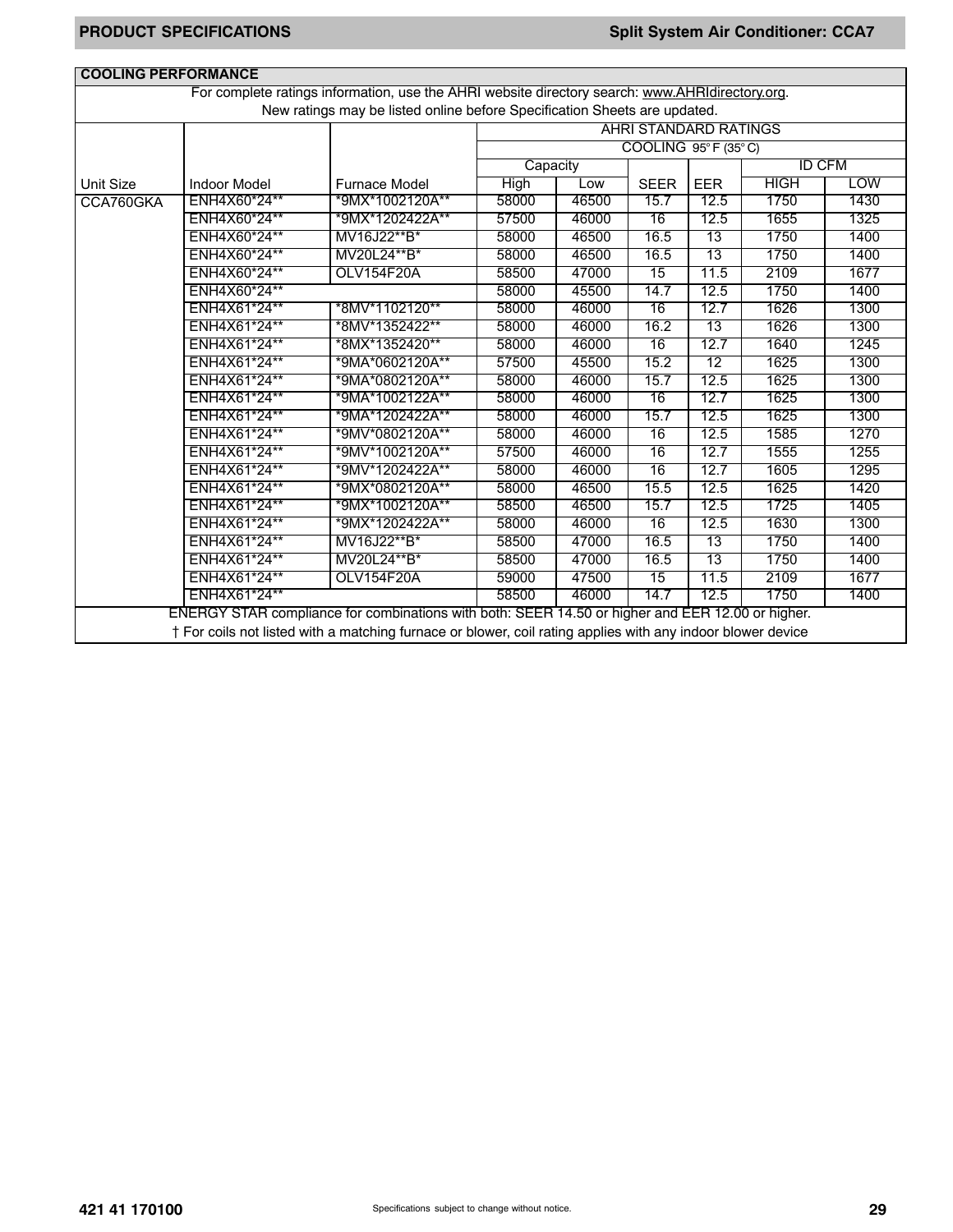| <b>COOLING PERFORMANCE</b>                                                        |                     |                                                                                                                                                                              |             |       |                                          |            |             |               |
|-----------------------------------------------------------------------------------|---------------------|------------------------------------------------------------------------------------------------------------------------------------------------------------------------------|-------------|-------|------------------------------------------|------------|-------------|---------------|
|                                                                                   |                     | For complete ratings information, use the AHRI website directory search: www.AHRIdirectory.org.<br>New ratings may be listed online before Specification Sheets are updated. |             |       |                                          |            |             |               |
|                                                                                   |                     |                                                                                                                                                                              |             |       | <b>AHRI STANDARD RATINGS</b>             |            |             |               |
|                                                                                   |                     |                                                                                                                                                                              |             |       | COOLING $95^{\circ}$ F (35 $^{\circ}$ C) |            |             |               |
|                                                                                   |                     |                                                                                                                                                                              | Capacity    |       |                                          |            |             | <b>ID CFM</b> |
| <b>Unit Size</b>                                                                  | <b>Indoor Model</b> | <b>Furnace Model</b>                                                                                                                                                         | <b>High</b> | Low   | <b>SEER</b>                              | <b>EER</b> | <b>HIGH</b> | <b>LOW</b>    |
| CCA760GKA                                                                         | ENH4X60*24**        | *9MX*1002120A**                                                                                                                                                              | 58000       | 46500 | 15.7                                     | 12.5       | 1750        | 1430          |
|                                                                                   | ENH4X60*24**        | *9MX*1202422A**                                                                                                                                                              | 57500       | 46000 | 16                                       | 12.5       | 1655        | 1325          |
|                                                                                   | ENH4X60*24**        | MV16J22**B*                                                                                                                                                                  | 58000       | 46500 | 16.5                                     | 13         | 1750        | 1400          |
|                                                                                   | ENH4X60*24**        | MV20L24**B*                                                                                                                                                                  | 58000       | 46500 | 16.5                                     | 13         | 1750        | 1400          |
|                                                                                   | ENH4X60*24**        | OLV154F20A                                                                                                                                                                   | 58500       | 47000 | 15                                       | 11.5       | 2109        | 1677          |
|                                                                                   | ENH4X60*24**        |                                                                                                                                                                              | 58000       | 45500 | 14.7                                     | 12.5       | 1750        | 1400          |
|                                                                                   | ENH4X61*24**        | *8MV*1102120**                                                                                                                                                               | 58000       | 46000 | 16                                       | 12.7       | 1626        | 1300          |
|                                                                                   | ENH4X61*24**        | *8MV*1352422**                                                                                                                                                               | 58000       | 46000 | 16.2                                     | 13         | 1626        | 1300          |
|                                                                                   | ENH4X61*24**        | *8MX*1352420**                                                                                                                                                               | 58000       | 46000 | 16                                       | 12.7       | 1640        | 1245          |
|                                                                                   | ENH4X61*24**        | *9MA*0602120A**                                                                                                                                                              | 57500       | 45500 | 15.2                                     | 12         | 1625        | 1300          |
|                                                                                   | ENH4X61*24**        | *9MA*0802120A**                                                                                                                                                              | 58000       | 46000 | 15.7                                     | 12.5       | 1625        | 1300          |
|                                                                                   | ENH4X61*24**        | *9MA*1002122A**                                                                                                                                                              | 58000       | 46000 | 16                                       | 12.7       | 1625        | 1300          |
|                                                                                   | ENH4X61*24**        | *9MA*1202422A**                                                                                                                                                              | 58000       | 46000 | 15.7                                     | 12.5       | 1625        | 1300          |
|                                                                                   | ENH4X61*24**        | *9MV*0802120A**                                                                                                                                                              | 58000       | 46000 | 16                                       | 12.5       | 1585        | 1270          |
|                                                                                   | ENH4X61*24**        | *9MV*1002120A**                                                                                                                                                              | 57500       | 46000 | 16                                       | 12.7       | 1555        | 1255          |
|                                                                                   | ENH4X61*24**        | *9MV*1202422A**                                                                                                                                                              | 58000       | 46000 | 16                                       | 12.7       | 1605        | 1295          |
|                                                                                   | ENH4X61*24**        | *9MX*0802120A**                                                                                                                                                              | 58000       | 46500 | 15.5                                     | 12.5       | 1625        | 1420          |
|                                                                                   | ENH4X61*24**        | *9MX*1002120A**                                                                                                                                                              | 58500       | 46500 | 15.7                                     | 12.5       | 1725        | 1405          |
|                                                                                   | ENH4X61*24**        | *9MX*1202422A**                                                                                                                                                              | 58000       | 46000 | 16                                       | 12.5       | 1630        | 1300          |
|                                                                                   | ENH4X61*24**        | MV16J22**B*                                                                                                                                                                  | 58500       | 47000 | 16.5                                     | 13         | 1750        | 1400          |
|                                                                                   | ENH4X61*24**        | MV20L24**B*                                                                                                                                                                  | 58500       | 47000 | 16.5                                     | 13         | 1750        | 1400          |
| ENH4X61*24**<br>2109<br><b>OLV154F20A</b><br>59000<br>47500<br>15<br>11.5<br>1677 |                     |                                                                                                                                                                              |             |       |                                          |            |             |               |
| ENH4X61*24**<br>58500<br>14.7<br>12.5<br>1750<br>46000<br>1400                    |                     |                                                                                                                                                                              |             |       |                                          |            |             |               |
|                                                                                   |                     | ENERGY STAR compliance for combinations with both: SEER 14.50 or higher and EER 12.00 or higher.                                                                             |             |       |                                          |            |             |               |
|                                                                                   |                     | † For coils not listed with a matching furnace or blower, coil rating applies with any indoor blower device                                                                  |             |       |                                          |            |             |               |